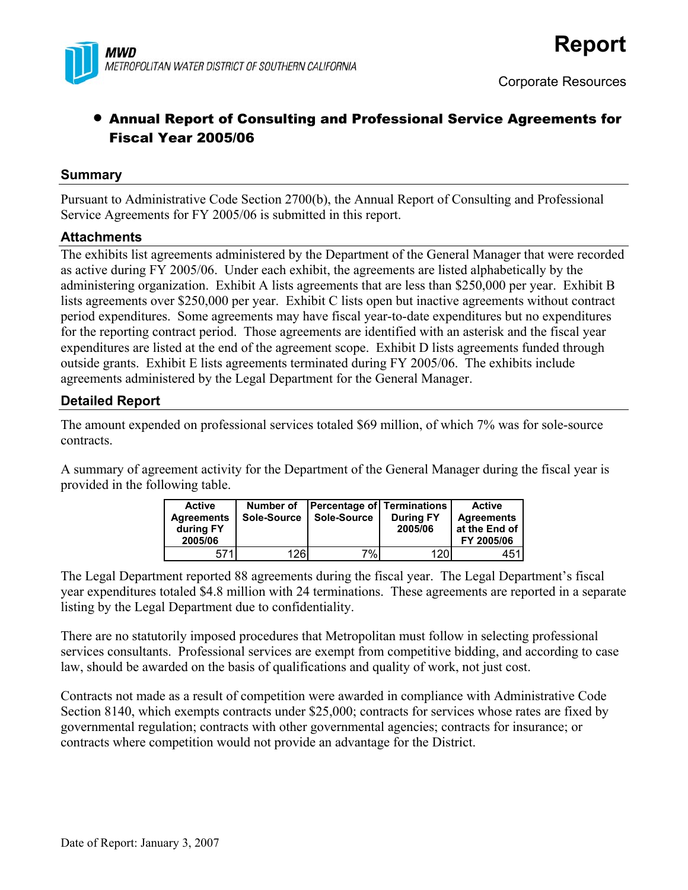

## • Annual Report of Consulting and Professional Service Agreements for Fiscal Year 2005/06

#### **Summary**

Pursuant to Administrative Code Section 2700(b), the Annual Report of Consulting and Professional Service Agreements for FY 2005/06 is submitted in this report.

#### **Attachments**

The exhibits list agreements administered by the Department of the General Manager that were recorded as active during FY 2005/06. Under each exhibit, the agreements are listed alphabetically by the administering organization. Exhibit A lists agreements that are less than \$250,000 per year. Exhibit B lists agreements over \$250,000 per year. Exhibit C lists open but inactive agreements without contract period expenditures. Some agreements may have fiscal year-to-date expenditures but no expenditures for the reporting contract period. Those agreements are identified with an asterisk and the fiscal year expenditures are listed at the end of the agreement scope. Exhibit D lists agreements funded through outside grants. Exhibit E lists agreements terminated during FY 2005/06. The exhibits include agreements administered by the Legal Department for the General Manager.

#### **Detailed Report**

The amount expended on professional services totaled \$69 million, of which 7% was for sole-source contracts.

A summary of agreement activity for the Department of the General Manager during the fiscal year is provided in the following table.

| <b>Active</b><br><b>Agreements</b><br>during FY<br>2005/06 | Number of<br>Sole-Source | Percentage of Terminations<br>Sole-Source | <b>During FY</b><br>2005/06 | <b>Active</b><br><b>Agreements</b><br>at the End of<br>FY 2005/06 |
|------------------------------------------------------------|--------------------------|-------------------------------------------|-----------------------------|-------------------------------------------------------------------|
| 571                                                        | 126                      | 7%I                                       | 120                         | 451                                                               |

The Legal Department reported 88 agreements during the fiscal year. The Legal Department's fiscal year expenditures totaled \$4.8 million with 24 terminations. These agreements are reported in a separate listing by the Legal Department due to confidentiality.

There are no statutorily imposed procedures that Metropolitan must follow in selecting professional services consultants. Professional services are exempt from competitive bidding, and according to case law, should be awarded on the basis of qualifications and quality of work, not just cost.

Contracts not made as a result of competition were awarded in compliance with Administrative Code Section 8140, which exempts contracts under \$25,000; contracts for services whose rates are fixed by governmental regulation; contracts with other governmental agencies; contracts for insurance; or contracts where competition would not provide an advantage for the District.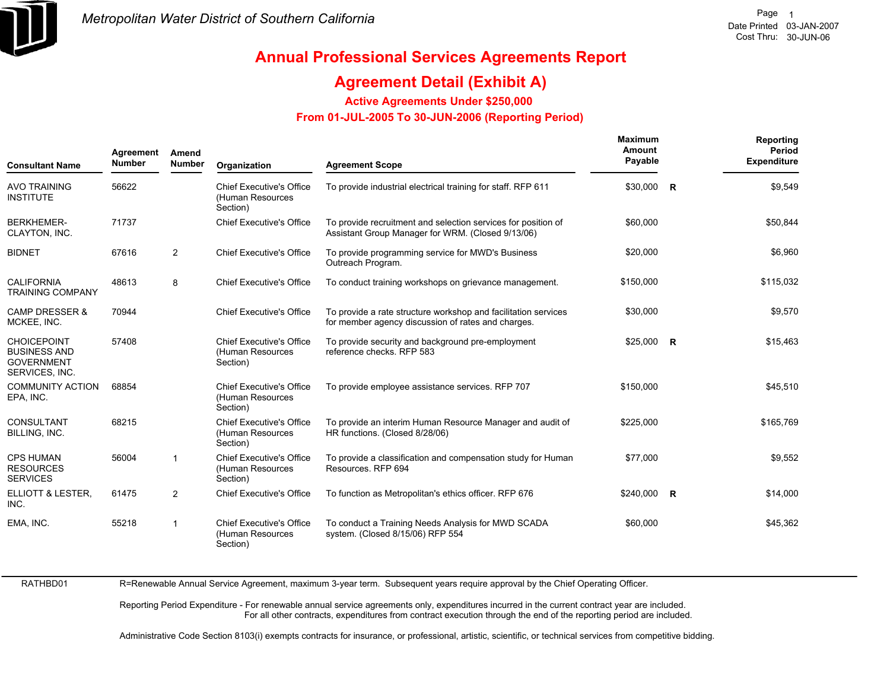

# **Annual Professional Services Agreements Report**

### **Agreement Detail (Exhibit A)**

**Active Agreements Under \$250,000** 

 **From 01-JUL-2005 To 30-JUN-2006 (Reporting Period)** 

| <b>Consultant Name</b>                                                           | Agreement<br><b>Number</b> | Amend<br><b>Number</b> | Organization                                                    | <b>Agreement Scope</b>                                                                                               | Maximum<br>Amount<br>Payable |                         | Reporting<br>Period<br><b>Expenditure</b> |
|----------------------------------------------------------------------------------|----------------------------|------------------------|-----------------------------------------------------------------|----------------------------------------------------------------------------------------------------------------------|------------------------------|-------------------------|-------------------------------------------|
| <b>AVO TRAINING</b><br><b>INSTITUTE</b>                                          | 56622                      |                        | <b>Chief Executive's Office</b><br>(Human Resources<br>Section) | To provide industrial electrical training for staff. RFP 611                                                         | \$30,000                     | $\overline{\mathbf{R}}$ | \$9,549                                   |
| <b>BERKHEMER-</b><br>CLAYTON, INC.                                               | 71737                      |                        | <b>Chief Executive's Office</b>                                 | To provide recruitment and selection services for position of<br>Assistant Group Manager for WRM. (Closed 9/13/06)   | \$60,000                     |                         | \$50,844                                  |
| <b>BIDNET</b>                                                                    | 67616                      | $\overline{2}$         | <b>Chief Executive's Office</b>                                 | To provide programming service for MWD's Business<br>Outreach Program.                                               | \$20,000                     |                         | \$6,960                                   |
| <b>CALIFORNIA</b><br><b>TRAINING COMPANY</b>                                     | 48613                      | 8                      | <b>Chief Executive's Office</b>                                 | To conduct training workshops on grievance management.                                                               | \$150,000                    |                         | \$115,032                                 |
| <b>CAMP DRESSER &amp;</b><br>MCKEE, INC.                                         | 70944                      |                        | <b>Chief Executive's Office</b>                                 | To provide a rate structure workshop and facilitation services<br>for member agency discussion of rates and charges. | \$30,000                     |                         | \$9,570                                   |
| <b>CHOICEPOINT</b><br><b>BUSINESS AND</b><br><b>GOVERNMENT</b><br>SERVICES, INC. | 57408                      |                        | <b>Chief Executive's Office</b><br>(Human Resources<br>Section) | To provide security and background pre-employment<br>reference checks. RFP 583                                       | $$25,000$ R                  |                         | \$15,463                                  |
| <b>COMMUNITY ACTION</b><br>EPA, INC.                                             | 68854                      |                        | <b>Chief Executive's Office</b><br>(Human Resources<br>Section) | To provide employee assistance services. RFP 707                                                                     | \$150.000                    |                         | \$45,510                                  |
| <b>CONSULTANT</b><br>BILLING, INC.                                               | 68215                      |                        | <b>Chief Executive's Office</b><br>(Human Resources<br>Section) | To provide an interim Human Resource Manager and audit of<br>HR functions. (Closed 8/28/06)                          | \$225,000                    |                         | \$165,769                                 |
| <b>CPS HUMAN</b><br><b>RESOURCES</b><br><b>SERVICES</b>                          | 56004                      | $\mathbf{1}$           | <b>Chief Executive's Office</b><br>(Human Resources<br>Section) | To provide a classification and compensation study for Human<br>Resources, RFP 694                                   | \$77,000                     |                         | \$9,552                                   |
| ELLIOTT & LESTER,<br>INC.                                                        | 61475                      | $\overline{2}$         | <b>Chief Executive's Office</b>                                 | To function as Metropolitan's ethics officer. RFP 676                                                                | \$240,000 R                  |                         | \$14,000                                  |
| EMA, INC.                                                                        | 55218                      | 1                      | <b>Chief Executive's Office</b><br>(Human Resources<br>Section) | To conduct a Training Needs Analysis for MWD SCADA<br>system. (Closed 8/15/06) RFP 554                               | \$60,000                     |                         | \$45,362                                  |
|                                                                                  |                            |                        |                                                                 |                                                                                                                      |                              |                         |                                           |

R=Renewable Annual Service Agreement, maximum 3-year term. Subsequent years require approval by the Chief Operating Officer.

Reporting Period Expenditure - For renewable annual service agreements only, expenditures incurred in the current contract year are included. For all other contracts, expenditures from contract execution through the end of the reporting period are included.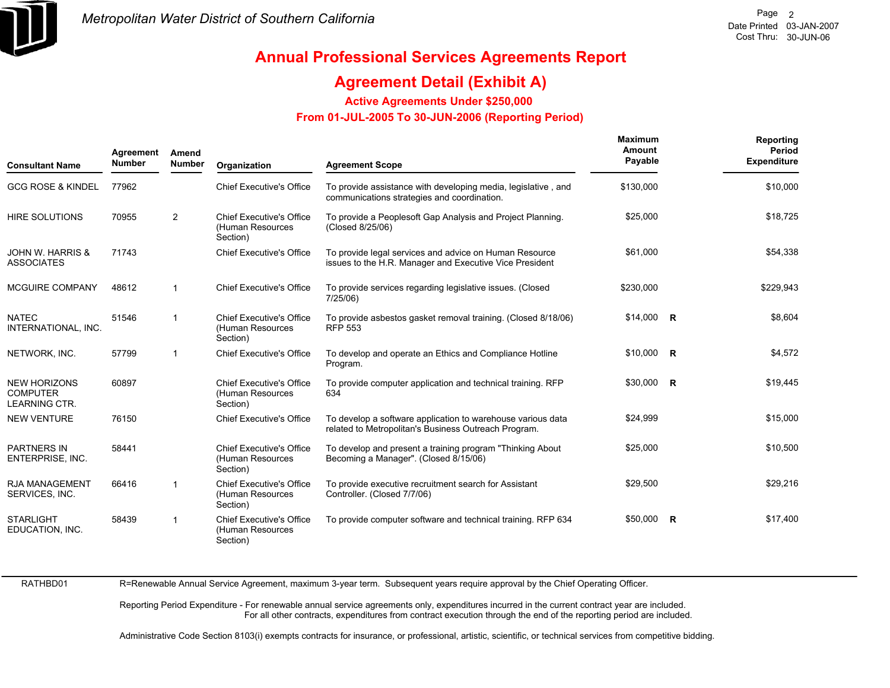

### **Agreement Detail (Exhibit A)**

**Active Agreements Under \$250,000** 

 **From 01-JUL-2005 To 30-JUN-2006 (Reporting Period)** 

| <b>Consultant Name</b>                                         | Agreement<br><b>Number</b> | Amend<br><b>Number</b>  | Organization                                                    | <b>Agreement Scope</b>                                                                                              | <b>Maximum</b><br>Amount<br>Payable | Reporting<br>Period<br><b>Expenditure</b> |
|----------------------------------------------------------------|----------------------------|-------------------------|-----------------------------------------------------------------|---------------------------------------------------------------------------------------------------------------------|-------------------------------------|-------------------------------------------|
| <b>GCG ROSE &amp; KINDEL</b>                                   | 77962                      |                         | <b>Chief Executive's Office</b>                                 | To provide assistance with developing media, legislative, and<br>communications strategies and coordination.        | \$130,000                           | \$10,000                                  |
| <b>HIRE SOLUTIONS</b>                                          | 70955                      | $\overline{2}$          | <b>Chief Executive's Office</b><br>(Human Resources<br>Section) | To provide a Peoplesoft Gap Analysis and Project Planning.<br>(Closed 8/25/06)                                      | \$25,000                            | \$18,725                                  |
| <b>JOHN W. HARRIS &amp;</b><br><b>ASSOCIATES</b>               | 71743                      |                         | <b>Chief Executive's Office</b>                                 | To provide legal services and advice on Human Resource<br>issues to the H.R. Manager and Executive Vice President   | \$61.000                            | \$54,338                                  |
| <b>MCGUIRE COMPANY</b>                                         | 48612                      | $\overline{\mathbf{1}}$ | <b>Chief Executive's Office</b>                                 | To provide services regarding legislative issues. (Closed<br>7/25/06)                                               | \$230,000                           | \$229,943                                 |
| <b>NATEC</b><br>INTERNATIONAL, INC.                            | 51546                      | $\overline{1}$          | <b>Chief Executive's Office</b><br>(Human Resources<br>Section) | To provide asbestos gasket removal training. (Closed 8/18/06)<br><b>RFP 553</b>                                     | $$14,000$ R                         | \$8,604                                   |
| NETWORK, INC.                                                  | 57799                      | $\overline{\mathbf{1}}$ | <b>Chief Executive's Office</b>                                 | To develop and operate an Ethics and Compliance Hotline<br>Program.                                                 | $$10,000$ R                         | \$4,572                                   |
| <b>NEW HORIZONS</b><br><b>COMPUTER</b><br><b>LEARNING CTR.</b> | 60897                      |                         | <b>Chief Executive's Office</b><br>(Human Resources<br>Section) | To provide computer application and technical training. RFP<br>634                                                  | $$30,000$ R                         | \$19,445                                  |
| <b>NEW VENTURE</b>                                             | 76150                      |                         | <b>Chief Executive's Office</b>                                 | To develop a software application to warehouse various data<br>related to Metropolitan's Business Outreach Program. | \$24,999                            | \$15,000                                  |
| <b>PARTNERS IN</b><br>ENTERPRISE, INC.                         | 58441                      |                         | <b>Chief Executive's Office</b><br>(Human Resources<br>Section) | To develop and present a training program "Thinking About<br>Becoming a Manager". (Closed 8/15/06)                  | \$25,000                            | \$10,500                                  |
| <b>RJA MANAGEMENT</b><br>SERVICES, INC.                        | 66416                      | -1                      | <b>Chief Executive's Office</b><br>(Human Resources<br>Section) | To provide executive recruitment search for Assistant<br>Controller. (Closed 7/7/06)                                | \$29,500                            | \$29,216                                  |
| <b>STARLIGHT</b><br>EDUCATION, INC.                            | 58439                      | $\overline{\mathbf{1}}$ | <b>Chief Executive's Office</b><br>(Human Resources<br>Section) | To provide computer software and technical training. RFP 634                                                        | $$50,000$ R                         | \$17,400                                  |

RATHBD01

R=Renewable Annual Service Agreement, maximum 3-year term. Subsequent years require approval by the Chief Operating Officer.

Reporting Period Expenditure - For renewable annual service agreements only, expenditures incurred in the current contract year are included. For all other contracts, expenditures from contract execution through the end of the reporting period are included.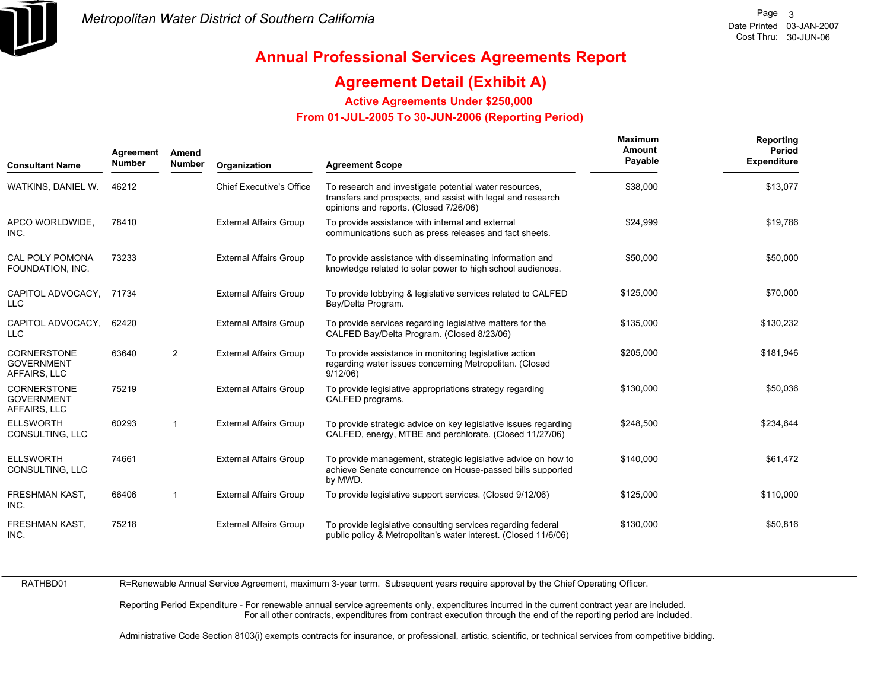

### **Agreement Detail (Exhibit A)**

**Active Agreements Under \$250,000** 

 **From 01-JUL-2005 To 30-JUN-2006 (Reporting Period)** 

| <b>Consultant Name</b>                                  | Agreement<br><b>Number</b> | Amend<br>Number | Organization                    | <b>Agreement Scope</b>                                                                                                                                          | <b>Maximum</b><br>Amount<br>Payable | Reporting<br>Period<br><b>Expenditure</b> |
|---------------------------------------------------------|----------------------------|-----------------|---------------------------------|-----------------------------------------------------------------------------------------------------------------------------------------------------------------|-------------------------------------|-------------------------------------------|
| WATKINS, DANIEL W.                                      | 46212                      |                 | <b>Chief Executive's Office</b> | To research and investigate potential water resources,<br>transfers and prospects, and assist with legal and research<br>opinions and reports. (Closed 7/26/06) | \$38,000                            | \$13,077                                  |
| APCO WORLDWIDE,<br>INC.                                 | 78410                      |                 | <b>External Affairs Group</b>   | To provide assistance with internal and external<br>communications such as press releases and fact sheets.                                                      | \$24,999                            | \$19,786                                  |
| CAL POLY POMONA<br>FOUNDATION, INC.                     | 73233                      |                 | <b>External Affairs Group</b>   | To provide assistance with disseminating information and<br>knowledge related to solar power to high school audiences.                                          | \$50,000                            | \$50,000                                  |
| CAPITOL ADVOCACY, 71734<br><b>LLC</b>                   |                            |                 | <b>External Affairs Group</b>   | To provide lobbying & legislative services related to CALFED<br>Bay/Delta Program.                                                                              | \$125,000                           | \$70,000                                  |
| CAPITOL ADVOCACY.<br><b>LLC</b>                         | 62420                      |                 | <b>External Affairs Group</b>   | To provide services regarding legislative matters for the<br>CALFED Bay/Delta Program. (Closed 8/23/06)                                                         | \$135,000                           | \$130,232                                 |
| <b>CORNERSTONE</b><br><b>GOVERNMENT</b><br>AFFAIRS, LLC | 63640                      | $\overline{2}$  | <b>External Affairs Group</b>   | To provide assistance in monitoring legislative action<br>regarding water issues concerning Metropolitan. (Closed<br>9/12/06                                    | \$205,000                           | \$181,946                                 |
| <b>CORNERSTONE</b><br><b>GOVERNMENT</b><br>AFFAIRS, LLC | 75219                      |                 | <b>External Affairs Group</b>   | To provide legislative appropriations strategy regarding<br>CALFED programs.                                                                                    | \$130,000                           | \$50,036                                  |
| <b>ELLSWORTH</b><br>CONSULTING, LLC                     | 60293                      | -1              | <b>External Affairs Group</b>   | To provide strategic advice on key legislative issues regarding<br>CALFED, energy, MTBE and perchlorate. (Closed 11/27/06)                                      | \$248.500                           | \$234,644                                 |
| <b>ELLSWORTH</b><br>CONSULTING, LLC                     | 74661                      |                 | <b>External Affairs Group</b>   | To provide management, strategic legislative advice on how to<br>achieve Senate concurrence on House-passed bills supported<br>by MWD.                          | \$140,000                           | \$61,472                                  |
| FRESHMAN KAST,<br>INC.                                  | 66406                      | -1              | <b>External Affairs Group</b>   | To provide legislative support services. (Closed 9/12/06)                                                                                                       | \$125,000                           | \$110,000                                 |
| FRESHMAN KAST,<br>INC.                                  | 75218                      |                 | <b>External Affairs Group</b>   | To provide legislative consulting services regarding federal<br>public policy & Metropolitan's water interest. (Closed 11/6/06)                                 | \$130,000                           | \$50,816                                  |

RATHBD01R=Renewable Annual Service Agreement, maximum 3-year term. Subsequent years require approval by the Chief Operating Officer.

> Reporting Period Expenditure - For renewable annual service agreements only, expenditures incurred in the current contract year are included. For all other contracts, expenditures from contract execution through the end of the reporting period are included.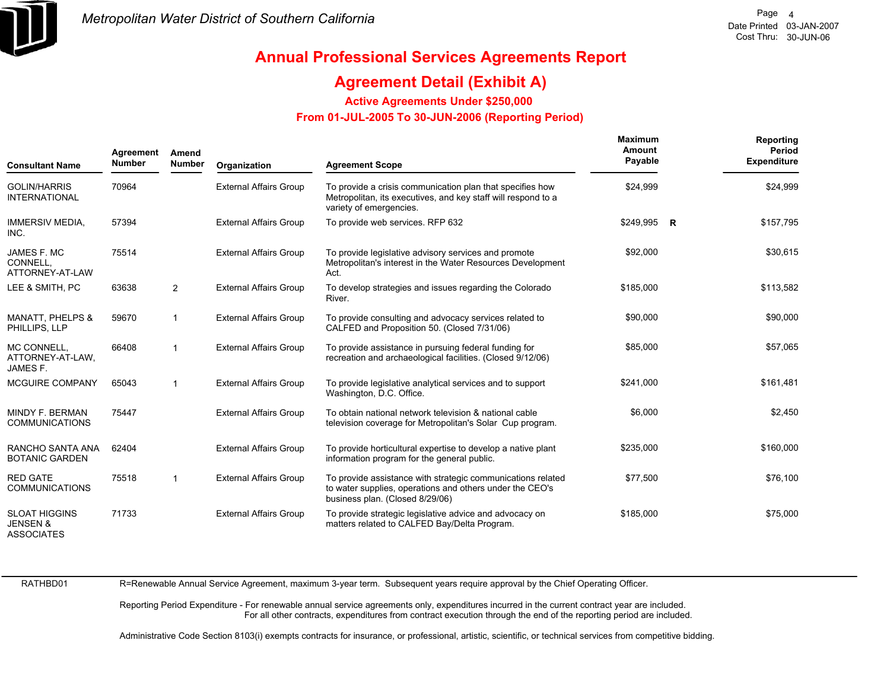

### **Agreement Detail (Exhibit A)**

**Active Agreements Under \$250,000** 

 **From 01-JUL-2005 To 30-JUN-2006 (Reporting Period)** 

| <b>Consultant Name</b>                                           | Agreement<br><b>Number</b> | Amend<br><b>Number</b> | Organization                  | <b>Agreement Scope</b>                                                                                                                                     | Maximum<br>Amount<br>Payable | Reporting<br>Period<br><b>Expenditure</b> |
|------------------------------------------------------------------|----------------------------|------------------------|-------------------------------|------------------------------------------------------------------------------------------------------------------------------------------------------------|------------------------------|-------------------------------------------|
| <b>GOLIN/HARRIS</b><br><b>INTERNATIONAL</b>                      | 70964                      |                        | <b>External Affairs Group</b> | To provide a crisis communication plan that specifies how<br>Metropolitan, its executives, and key staff will respond to a<br>variety of emergencies.      | \$24,999                     | \$24,999                                  |
| <b>IMMERSIV MEDIA,</b><br>INC.                                   | 57394                      |                        | <b>External Affairs Group</b> | To provide web services. RFP 632                                                                                                                           | $$249,995$ R                 | \$157,795                                 |
| JAMES F. MC<br>CONNELL,<br>ATTORNEY-AT-LAW                       | 75514                      |                        | <b>External Affairs Group</b> | To provide legislative advisory services and promote<br>Metropolitan's interest in the Water Resources Development<br>Act.                                 | \$92,000                     | \$30,615                                  |
| LEE & SMITH, PC                                                  | 63638                      | 2                      | <b>External Affairs Group</b> | To develop strategies and issues regarding the Colorado<br>River.                                                                                          | \$185,000                    | \$113,582                                 |
| <b>MANATT, PHELPS &amp;</b><br>PHILLIPS, LLP                     | 59670                      | $\mathbf{1}$           | <b>External Affairs Group</b> | To provide consulting and advocacy services related to<br>CALFED and Proposition 50. (Closed 7/31/06)                                                      | \$90,000                     | \$90,000                                  |
| MC CONNELL,<br>ATTORNEY-AT-LAW,<br>JAMES F.                      | 66408                      | $\mathbf 1$            | <b>External Affairs Group</b> | To provide assistance in pursuing federal funding for<br>recreation and archaeological facilities. (Closed 9/12/06)                                        | \$85,000                     | \$57,065                                  |
| <b>MCGUIRE COMPANY</b>                                           | 65043                      | $\mathbf{1}$           | <b>External Affairs Group</b> | To provide legislative analytical services and to support<br>Washington, D.C. Office.                                                                      | \$241,000                    | \$161,481                                 |
| MINDY F. BERMAN<br><b>COMMUNICATIONS</b>                         | 75447                      |                        | <b>External Affairs Group</b> | To obtain national network television & national cable<br>television coverage for Metropolitan's Solar Cup program.                                        | \$6,000                      | \$2,450                                   |
| RANCHO SANTA ANA<br><b>BOTANIC GARDEN</b>                        | 62404                      |                        | <b>External Affairs Group</b> | To provide horticultural expertise to develop a native plant<br>information program for the general public.                                                | \$235,000                    | \$160,000                                 |
| <b>RED GATE</b><br><b>COMMUNICATIONS</b>                         | 75518                      | $\mathbf{1}$           | <b>External Affairs Group</b> | To provide assistance with strategic communications related<br>to water supplies, operations and others under the CEO's<br>business plan. (Closed 8/29/06) | \$77,500                     | \$76,100                                  |
| <b>SLOAT HIGGINS</b><br><b>JENSEN &amp;</b><br><b>ASSOCIATES</b> | 71733                      |                        | <b>External Affairs Group</b> | To provide strategic legislative advice and advocacy on<br>matters related to CALFED Bay/Delta Program.                                                    | \$185,000                    | \$75,000                                  |

RATHBD01

R=Renewable Annual Service Agreement, maximum 3-year term. Subsequent years require approval by the Chief Operating Officer.

Reporting Period Expenditure - For renewable annual service agreements only, expenditures incurred in the current contract year are included. For all other contracts, expenditures from contract execution through the end of the reporting period are included.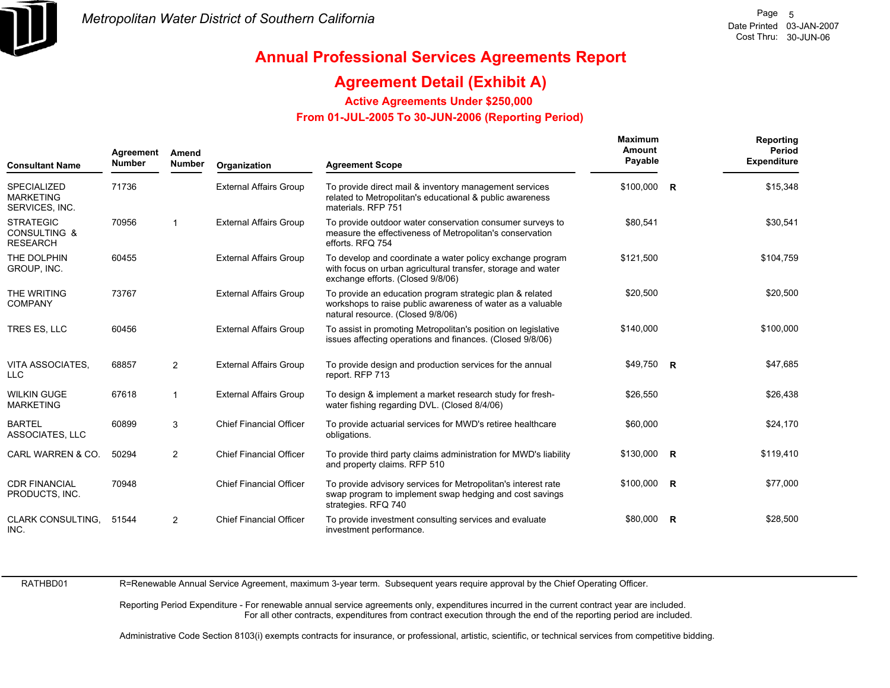

### **Agreement Detail (Exhibit A)**

**Active Agreements Under \$250,000** 

 **From 01-JUL-2005 To 30-JUN-2006 (Reporting Period)** 

| <b>Consultant Name</b>                                   | Agreement<br><b>Number</b> | Amend<br>Number | Organization                   | <b>Agreement Scope</b>                                                                                                                                         | <b>Maximum</b><br>Amount<br>Payable |   | <b>Reporting</b><br>Period<br><b>Expenditure</b> |
|----------------------------------------------------------|----------------------------|-----------------|--------------------------------|----------------------------------------------------------------------------------------------------------------------------------------------------------------|-------------------------------------|---|--------------------------------------------------|
| <b>SPECIALIZED</b><br><b>MARKETING</b><br>SERVICES, INC. | 71736                      |                 | <b>External Affairs Group</b>  | To provide direct mail & inventory management services<br>related to Metropolitan's educational & public awareness<br>materials. RFP 751                       | \$100,000 R                         |   | \$15,348                                         |
| <b>STRATEGIC</b><br>CONSULTING &<br><b>RESEARCH</b>      | 70956                      | $\mathbf{1}$    | <b>External Affairs Group</b>  | To provide outdoor water conservation consumer surveys to<br>measure the effectiveness of Metropolitan's conservation<br>efforts. RFQ 754                      | \$80,541                            |   | \$30,541                                         |
| THE DOLPHIN<br>GROUP, INC.                               | 60455                      |                 | <b>External Affairs Group</b>  | To develop and coordinate a water policy exchange program<br>with focus on urban agricultural transfer, storage and water<br>exchange efforts. (Closed 9/8/06) | \$121,500                           |   | \$104,759                                        |
| THE WRITING<br><b>COMPANY</b>                            | 73767                      |                 | <b>External Affairs Group</b>  | To provide an education program strategic plan & related<br>workshops to raise public awareness of water as a valuable<br>natural resource. (Closed 9/8/06)    | \$20,500                            |   | \$20,500                                         |
| TRES ES, LLC                                             | 60456                      |                 | <b>External Affairs Group</b>  | To assist in promoting Metropolitan's position on legislative<br>issues affecting operations and finances. (Closed 9/8/06)                                     | \$140,000                           |   | \$100,000                                        |
| VITA ASSOCIATES.<br><b>LLC</b>                           | 68857                      | 2               | <b>External Affairs Group</b>  | To provide design and production services for the annual<br>report. RFP 713                                                                                    | \$49,750 R                          |   | \$47,685                                         |
| <b>WILKIN GUGE</b><br><b>MARKETING</b>                   | 67618                      | $\mathbf{1}$    | <b>External Affairs Group</b>  | To design & implement a market research study for fresh-<br>water fishing regarding DVL. (Closed 8/4/06)                                                       | \$26,550                            |   | \$26,438                                         |
| <b>BARTEL</b><br>ASSOCIATES, LLC                         | 60899                      | 3               | <b>Chief Financial Officer</b> | To provide actuarial services for MWD's retiree healthcare<br>obligations.                                                                                     | \$60,000                            |   | \$24,170                                         |
| CARL WARREN & CO.                                        | 50294                      | $\overline{2}$  | <b>Chief Financial Officer</b> | To provide third party claims administration for MWD's liability<br>and property claims. RFP 510                                                               | $$130,000$ R                        |   | \$119,410                                        |
| <b>CDR FINANCIAL</b><br>PRODUCTS, INC.                   | 70948                      |                 | <b>Chief Financial Officer</b> | To provide advisory services for Metropolitan's interest rate<br>swap program to implement swap hedging and cost savings<br>strategies. RFQ 740                | $$100,000$ R                        |   | \$77,000                                         |
| <b>CLARK CONSULTING.</b><br>INC.                         | 51544                      | $\overline{2}$  | <b>Chief Financial Officer</b> | To provide investment consulting services and evaluate<br>investment performance.                                                                              | \$80.000                            | R | \$28,500                                         |

RATHBD01

R=Renewable Annual Service Agreement, maximum 3-year term. Subsequent years require approval by the Chief Operating Officer.

Reporting Period Expenditure - For renewable annual service agreements only, expenditures incurred in the current contract year are included. For all other contracts, expenditures from contract execution through the end of the reporting period are included.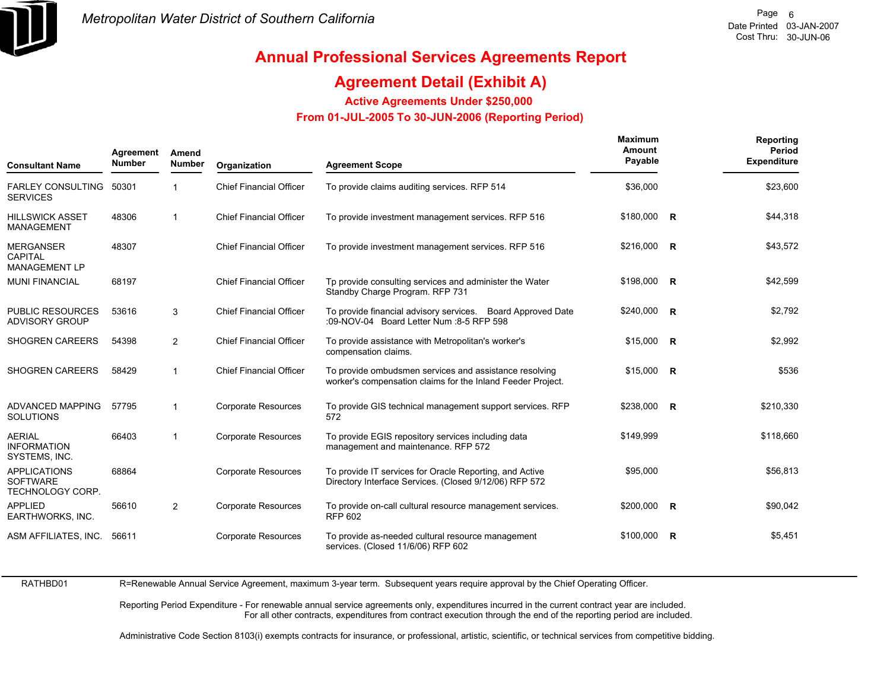

### **Agreement Detail (Exhibit A)**

**Active Agreements Under \$250,000** 

 **From 01-JUL-2005 To 30-JUN-2006 (Reporting Period)** 

| <b>Consultant Name</b>                                     | Agreement<br><b>Number</b> | Amend<br><b>Number</b> | Organization                   | <b>Agreement Scope</b>                                                                                                | Maximum<br>Amount<br>Payable | Reporting<br>Period<br><b>Expenditure</b> |
|------------------------------------------------------------|----------------------------|------------------------|--------------------------------|-----------------------------------------------------------------------------------------------------------------------|------------------------------|-------------------------------------------|
| <b>FARLEY CONSULTING</b><br><b>SERVICES</b>                | 50301                      | 1                      | <b>Chief Financial Officer</b> | To provide claims auditing services. RFP 514                                                                          | \$36,000                     | \$23,600                                  |
| <b>HILLSWICK ASSET</b><br><b>MANAGEMENT</b>                | 48306                      | $\mathbf{1}$           | <b>Chief Financial Officer</b> | To provide investment management services. RFP 516                                                                    | \$180,000 R                  | \$44,318                                  |
| <b>MERGANSER</b><br><b>CAPITAL</b><br><b>MANAGEMENT LP</b> | 48307                      |                        | <b>Chief Financial Officer</b> | To provide investment management services. RFP 516                                                                    | $$216,000$ R                 | \$43,572                                  |
| <b>MUNI FINANCIAL</b>                                      | 68197                      |                        | <b>Chief Financial Officer</b> | Tp provide consulting services and administer the Water<br>Standby Charge Program. RFP 731                            | $$198,000$ R                 | \$42,599                                  |
| <b>PUBLIC RESOURCES</b><br><b>ADVISORY GROUP</b>           | 53616                      | 3                      | <b>Chief Financial Officer</b> | To provide financial advisory services. Board Approved Date<br>:09-NOV-04 Board Letter Num :8-5 RFP 598               | \$240,000 R                  | \$2,792                                   |
| <b>SHOGREN CAREERS</b>                                     | 54398                      | $\overline{2}$         | <b>Chief Financial Officer</b> | To provide assistance with Metropolitan's worker's<br>compensation claims.                                            | $$15,000$ R                  | \$2,992                                   |
| <b>SHOGREN CAREERS</b>                                     | 58429                      | 1                      | <b>Chief Financial Officer</b> | To provide ombudsmen services and assistance resolving<br>worker's compensation claims for the Inland Feeder Project. | $$15,000$ R                  | \$536                                     |
| <b>ADVANCED MAPPING</b><br><b>SOLUTIONS</b>                | 57795                      | $\mathbf{1}$           | <b>Corporate Resources</b>     | To provide GIS technical management support services. RFP<br>572                                                      | \$238,000 R                  | \$210,330                                 |
| <b>AERIAL</b><br><b>INFORMATION</b><br>SYSTEMS, INC.       | 66403                      | 1                      | <b>Corporate Resources</b>     | To provide EGIS repository services including data<br>management and maintenance. RFP 572                             | \$149,999                    | \$118,660                                 |
| <b>APPLICATIONS</b><br><b>SOFTWARE</b><br>TECHNOLOGY CORP. | 68864                      |                        | <b>Corporate Resources</b>     | To provide IT services for Oracle Reporting, and Active<br>Directory Interface Services. (Closed 9/12/06) RFP 572     | \$95,000                     | \$56,813                                  |
| <b>APPLIED</b><br>EARTHWORKS, INC.                         | 56610                      | 2                      | <b>Corporate Resources</b>     | To provide on-call cultural resource management services.<br><b>RFP 602</b>                                           | \$200,000 R                  | \$90,042                                  |
| ASM AFFILIATES, INC.                                       | 56611                      |                        | <b>Corporate Resources</b>     | To provide as-needed cultural resource management<br>services. (Closed 11/6/06) RFP 602                               | $$100,000$ R                 | \$5,451                                   |

RATHBD01

R=Renewable Annual Service Agreement, maximum 3-year term. Subsequent years require approval by the Chief Operating Officer.

Reporting Period Expenditure - For renewable annual service agreements only, expenditures incurred in the current contract year are included. For all other contracts, expenditures from contract execution through the end of the reporting period are included.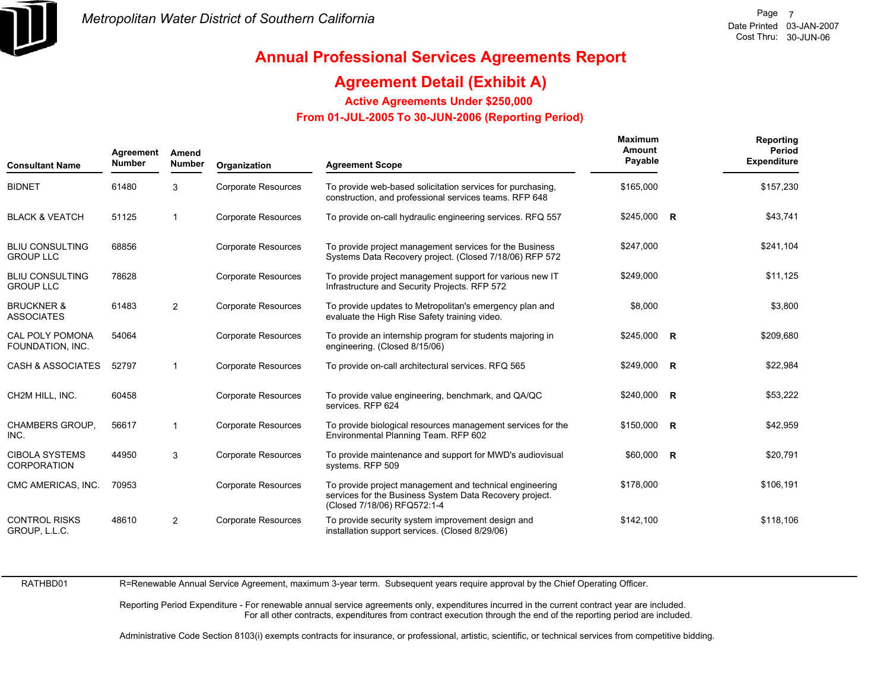

### **Agreement Detail (Exhibit A)**

**Active Agreements Under \$250,000** 

 **From 01-JUL-2005 To 30-JUN-2006 (Reporting Period)** 

| <b>Consultant Name</b>                      | Agreement<br><b>Number</b> | Amend<br><b>Number</b>  | Organization               | <b>Agreement Scope</b>                                                                                                                            | <b>Maximum</b><br>Amount<br>Payable | <b>Reporting</b><br>Period<br><b>Expenditure</b> |
|---------------------------------------------|----------------------------|-------------------------|----------------------------|---------------------------------------------------------------------------------------------------------------------------------------------------|-------------------------------------|--------------------------------------------------|
| <b>BIDNET</b>                               | 61480                      | 3                       | <b>Corporate Resources</b> | To provide web-based solicitation services for purchasing.<br>construction, and professional services teams. RFP 648                              | \$165,000                           | \$157,230                                        |
| <b>BLACK &amp; VEATCH</b>                   | 51125                      | $\overline{\mathbf{1}}$ | <b>Corporate Resources</b> | To provide on-call hydraulic engineering services. RFQ 557                                                                                        | $$245,000$ R                        | \$43,741                                         |
| <b>BLIU CONSULTING</b><br><b>GROUP LLC</b>  | 68856                      |                         | <b>Corporate Resources</b> | To provide project management services for the Business<br>Systems Data Recovery project. (Closed 7/18/06) RFP 572                                | \$247,000                           | \$241,104                                        |
| <b>BLIU CONSULTING</b><br><b>GROUP LLC</b>  | 78628                      |                         | <b>Corporate Resources</b> | To provide project management support for various new IT<br>Infrastructure and Security Projects. RFP 572                                         | \$249,000                           | \$11,125                                         |
| <b>BRUCKNER &amp;</b><br><b>ASSOCIATES</b>  | 61483                      | $\overline{2}$          | <b>Corporate Resources</b> | To provide updates to Metropolitan's emergency plan and<br>evaluate the High Rise Safety training video.                                          | \$8,000                             | \$3,800                                          |
| <b>CAL POLY POMONA</b><br>FOUNDATION, INC.  | 54064                      |                         | <b>Corporate Resources</b> | To provide an internship program for students majoring in<br>engineering. (Closed 8/15/06)                                                        | $$245,000$ R                        | \$209,680                                        |
| <b>CASH &amp; ASSOCIATES</b>                | 52797                      | $\mathbf{1}$            | <b>Corporate Resources</b> | To provide on-call architectural services. RFQ 565                                                                                                | \$249,000 R                         | \$22,984                                         |
| CH2M HILL, INC.                             | 60458                      |                         | <b>Corporate Resources</b> | To provide value engineering, benchmark, and QA/QC<br>services. RFP 624                                                                           | $$240,000$ R                        | \$53,222                                         |
| <b>CHAMBERS GROUP.</b><br>INC.              | 56617                      | $\mathbf{1}$            | <b>Corporate Resources</b> | To provide biological resources management services for the<br>Environmental Planning Team. RFP 602                                               | \$150,000 R                         | \$42,959                                         |
| <b>CIBOLA SYSTEMS</b><br><b>CORPORATION</b> | 44950                      | 3                       | <b>Corporate Resources</b> | To provide maintenance and support for MWD's audiovisual<br>systems. RFP 509                                                                      | $$60,000$ R                         | \$20,791                                         |
| CMC AMERICAS, INC.                          | 70953                      |                         | <b>Corporate Resources</b> | To provide project management and technical engineering<br>services for the Business System Data Recovery project.<br>(Closed 7/18/06) RFQ572:1-4 | \$178,000                           | \$106,191                                        |
| <b>CONTROL RISKS</b><br>GROUP, L.L.C.       | 48610                      | 2                       | <b>Corporate Resources</b> | To provide security system improvement design and<br>installation support services. (Closed 8/29/06)                                              | \$142,100                           | \$118,106                                        |

RATHBD01

R=Renewable Annual Service Agreement, maximum 3-year term. Subsequent years require approval by the Chief Operating Officer.

Reporting Period Expenditure - For renewable annual service agreements only, expenditures incurred in the current contract year are included. For all other contracts, expenditures from contract execution through the end of the reporting period are included.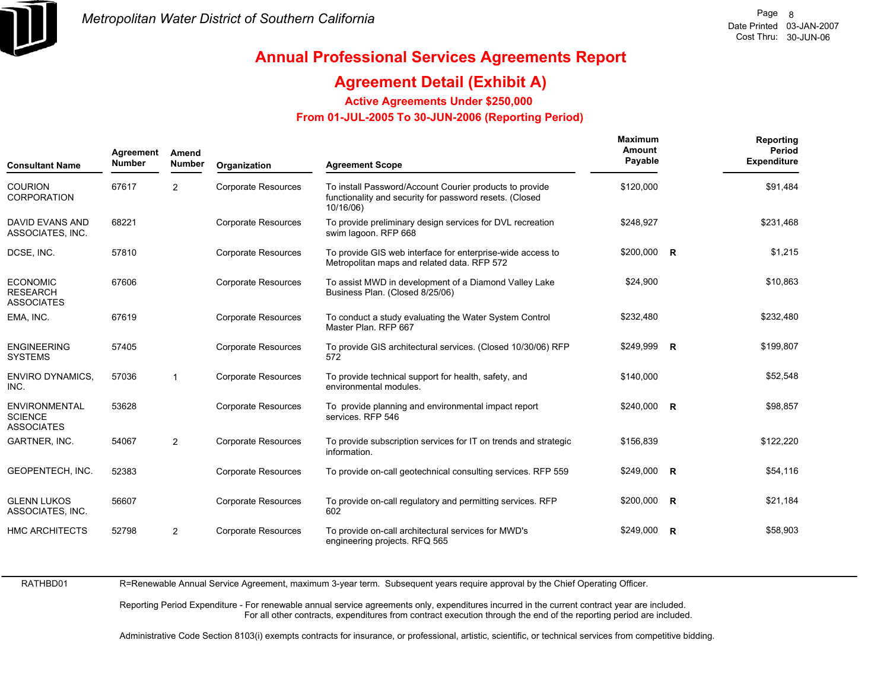

### **Agreement Detail (Exhibit A)**

**Active Agreements Under \$250,000** 

 **From 01-JUL-2005 To 30-JUN-2006 (Reporting Period)** 

| <b>Consultant Name</b>                                      | Agreement<br><b>Number</b> | Amend<br><b>Number</b> | Organization               | <b>Agreement Scope</b>                                                                                                          | Maximum<br>Amount<br>Payable | Reporting<br>Period<br><b>Expenditure</b> |
|-------------------------------------------------------------|----------------------------|------------------------|----------------------------|---------------------------------------------------------------------------------------------------------------------------------|------------------------------|-------------------------------------------|
| <b>COURION</b><br><b>CORPORATION</b>                        | 67617                      | 2                      | <b>Corporate Resources</b> | To install Password/Account Courier products to provide<br>functionality and security for password resets. (Closed<br>10/16/06) | \$120,000                    | \$91,484                                  |
| DAVID EVANS AND<br>ASSOCIATES, INC.                         | 68221                      |                        | <b>Corporate Resources</b> | To provide preliminary design services for DVL recreation<br>swim lagoon. RFP 668                                               | \$248,927                    | \$231,468                                 |
| DCSE, INC.                                                  | 57810                      |                        | <b>Corporate Resources</b> | To provide GIS web interface for enterprise-wide access to<br>Metropolitan maps and related data. RFP 572                       | $$200,000$ R                 | \$1,215                                   |
| <b>ECONOMIC</b><br><b>RESEARCH</b><br><b>ASSOCIATES</b>     | 67606                      |                        | <b>Corporate Resources</b> | To assist MWD in development of a Diamond Valley Lake<br>Business Plan. (Closed 8/25/06)                                        | \$24,900                     | \$10,863                                  |
| EMA, INC.                                                   | 67619                      |                        | <b>Corporate Resources</b> | To conduct a study evaluating the Water System Control<br>Master Plan, RFP 667                                                  | \$232,480                    | \$232,480                                 |
| <b>ENGINEERING</b><br><b>SYSTEMS</b>                        | 57405                      |                        | <b>Corporate Resources</b> | To provide GIS architectural services. (Closed 10/30/06) RFP<br>572                                                             | \$249,999 R                  | \$199,807                                 |
| <b>ENVIRO DYNAMICS,</b><br>INC.                             | 57036                      | 1                      | <b>Corporate Resources</b> | To provide technical support for health, safety, and<br>environmental modules.                                                  | \$140,000                    | \$52,548                                  |
| <b>ENVIRONMENTAL</b><br><b>SCIENCE</b><br><b>ASSOCIATES</b> | 53628                      |                        | <b>Corporate Resources</b> | To provide planning and environmental impact report<br>services. RFP 546                                                        | \$240,000 R                  | \$98,857                                  |
| GARTNER, INC.                                               | 54067                      | $\overline{2}$         | <b>Corporate Resources</b> | To provide subscription services for IT on trends and strategic<br>information.                                                 | \$156,839                    | \$122,220                                 |
| GEOPENTECH, INC.                                            | 52383                      |                        | <b>Corporate Resources</b> | To provide on-call geotechnical consulting services. RFP 559                                                                    | \$249,000 R                  | \$54,116                                  |
| <b>GLENN LUKOS</b><br>ASSOCIATES, INC.                      | 56607                      |                        | <b>Corporate Resources</b> | To provide on-call regulatory and permitting services. RFP<br>602                                                               | $$200,000$ R                 | \$21,184                                  |
| <b>HMC ARCHITECTS</b>                                       | 52798                      | $\overline{2}$         | <b>Corporate Resources</b> | To provide on-call architectural services for MWD's<br>engineering projects. RFQ 565                                            | \$249,000 R                  | \$58,903                                  |

RATHBD01

R=Renewable Annual Service Agreement, maximum 3-year term. Subsequent years require approval by the Chief Operating Officer.

Reporting Period Expenditure - For renewable annual service agreements only, expenditures incurred in the current contract year are included. For all other contracts, expenditures from contract execution through the end of the reporting period are included.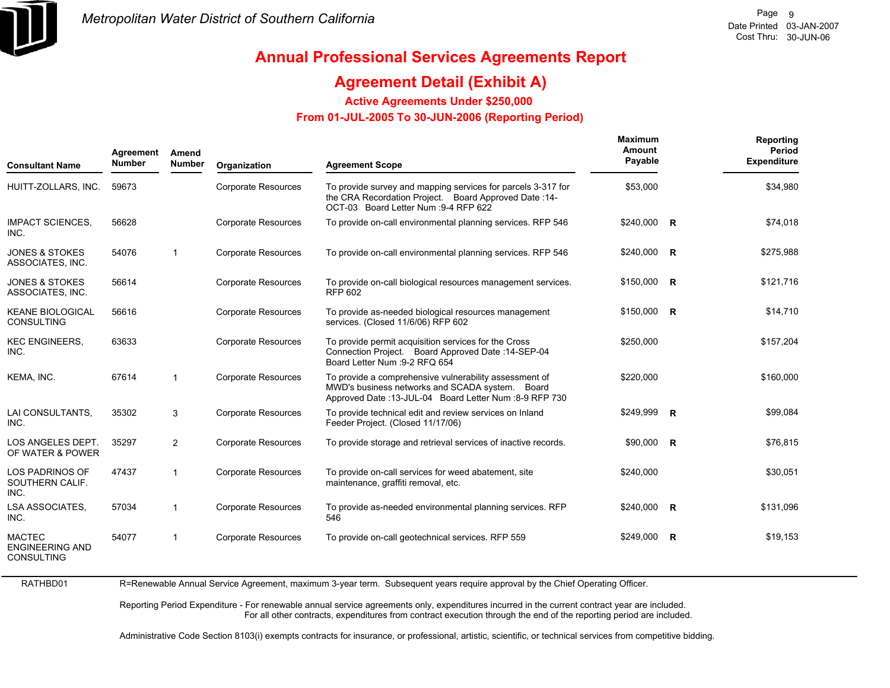

# **Annual Professional Services Agreements Report**

### **Agreement Detail (Exhibit A)**

**Active Agreements Under \$250,000** 

 **From 01-JUL-2005 To 30-JUN-2006 (Reporting Period)** 

| <b>Consultant Name</b>                                       | Agreement<br><b>Number</b> | Amend<br><b>Number</b> | Organization               | <b>Agreement Scope</b>                                                                                                                                               | Maximum<br>Amount<br>Payable | Reporting<br>Period<br><b>Expenditure</b> |
|--------------------------------------------------------------|----------------------------|------------------------|----------------------------|----------------------------------------------------------------------------------------------------------------------------------------------------------------------|------------------------------|-------------------------------------------|
| HUITT-ZOLLARS, INC.                                          | 59673                      |                        | <b>Corporate Resources</b> | To provide survey and mapping services for parcels 3-317 for<br>the CRA Recordation Project. Board Approved Date: 14-<br>OCT-03 Board Letter Num : 9-4 RFP 622       | \$53,000                     | \$34,980                                  |
| <b>IMPACT SCIENCES.</b><br>INC.                              | 56628                      |                        | <b>Corporate Resources</b> | To provide on-call environmental planning services. RFP 546                                                                                                          | \$240,000 R                  | \$74,018                                  |
| <b>JONES &amp; STOKES</b><br>ASSOCIATES, INC.                | 54076                      | $\mathbf{1}$           | <b>Corporate Resources</b> | To provide on-call environmental planning services. RFP 546                                                                                                          | $$240,000$ R                 | \$275,988                                 |
| <b>JONES &amp; STOKES</b><br>ASSOCIATES, INC.                | 56614                      |                        | <b>Corporate Resources</b> | To provide on-call biological resources management services.<br><b>RFP 602</b>                                                                                       | \$150,000 R                  | \$121,716                                 |
| <b>KEANE BIOLOGICAL</b><br><b>CONSULTING</b>                 | 56616                      |                        | <b>Corporate Resources</b> | To provide as-needed biological resources management<br>services. (Closed 11/6/06) RFP 602                                                                           | $$150,000$ R                 | \$14,710                                  |
| <b>KEC ENGINEERS,</b><br>INC.                                | 63633                      |                        | <b>Corporate Resources</b> | To provide permit acquisition services for the Cross<br>Connection Project. Board Approved Date: 14-SEP-04<br>Board Letter Num : 9-2 RFQ 654                         | \$250,000                    | \$157,204                                 |
| KEMA, INC.                                                   | 67614                      | $\mathbf{1}$           | <b>Corporate Resources</b> | To provide a comprehensive vulnerability assessment of<br>MWD's business networks and SCADA system. Board<br>Approved Date: 13-JUL-04 Board Letter Num : 8-9 RFP 730 | \$220,000                    | \$160,000                                 |
| LAI CONSULTANTS,<br>INC.                                     | 35302                      | 3                      | <b>Corporate Resources</b> | To provide technical edit and review services on Inland<br>Feeder Project. (Closed 11/17/06)                                                                         | \$249,999 R                  | \$99,084                                  |
| LOS ANGELES DEPT.<br>OF WATER & POWER                        | 35297                      | $\overline{2}$         | <b>Corporate Resources</b> | To provide storage and retrieval services of inactive records.                                                                                                       | \$90,000 R                   | \$76,815                                  |
| <b>LOS PADRINOS OF</b><br>SOUTHERN CALIF.<br>INC.            | 47437                      | $\mathbf{1}$           | <b>Corporate Resources</b> | To provide on-call services for weed abatement, site<br>maintenance, graffiti removal, etc.                                                                          | \$240,000                    | \$30,051                                  |
| <b>LSA ASSOCIATES.</b><br>INC.                               | 57034                      | $\mathbf{1}$           | <b>Corporate Resources</b> | To provide as-needed environmental planning services. RFP<br>546                                                                                                     | $$240,000$ R                 | \$131,096                                 |
| <b>MACTEC</b><br><b>ENGINEERING AND</b><br><b>CONSULTING</b> | 54077                      | $\mathbf{1}$           | <b>Corporate Resources</b> | To provide on-call geotechnical services. RFP 559                                                                                                                    | \$249,000 R                  | \$19,153                                  |

R=Renewable Annual Service Agreement, maximum 3-year term. Subsequent years require approval by the Chief Operating Officer.

Reporting Period Expenditure - For renewable annual service agreements only, expenditures incurred in the current contract year are included. For all other contracts, expenditures from contract execution through the end of the reporting period are included.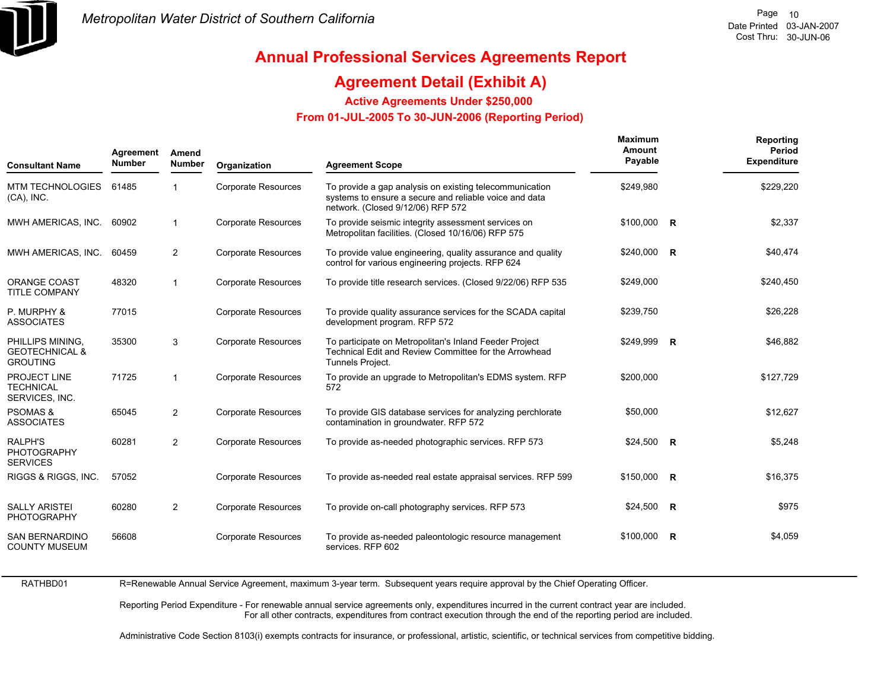

# **Annual Professional Services Agreements Report**

### **Agreement Detail (Exhibit A)**

**Active Agreements Under \$250,000** 

 **From 01-JUL-2005 To 30-JUN-2006 (Reporting Period)** 

| <b>Consultant Name</b>                                           | Agreement<br><b>Number</b> | Amend<br><b>Number</b> | Organization               | <b>Agreement Scope</b>                                                                                                                                 | <b>Maximum</b><br>Amount<br>Payable | Reporting<br>Period<br><b>Expenditure</b> |
|------------------------------------------------------------------|----------------------------|------------------------|----------------------------|--------------------------------------------------------------------------------------------------------------------------------------------------------|-------------------------------------|-------------------------------------------|
| <b>MTM TECHNOLOGIES</b><br>$(CA)$ , INC.                         | 61485                      |                        | <b>Corporate Resources</b> | To provide a gap analysis on existing telecommunication<br>systems to ensure a secure and reliable voice and data<br>network. (Closed 9/12/06) RFP 572 | \$249,980                           | \$229,220                                 |
| MWH AMERICAS, INC.                                               | 60902                      | $\mathbf{1}$           | <b>Corporate Resources</b> | To provide seismic integrity assessment services on<br>Metropolitan facilities. (Closed 10/16/06) RFP 575                                              | $$100,000$ R                        | \$2,337                                   |
| MWH AMERICAS, INC.                                               | 60459                      | $\overline{2}$         | <b>Corporate Resources</b> | To provide value engineering, quality assurance and quality<br>control for various engineering projects. RFP 624                                       | $$240,000$ R                        | \$40,474                                  |
| <b>ORANGE COAST</b><br><b>TITLE COMPANY</b>                      | 48320                      | $\mathbf{1}$           | <b>Corporate Resources</b> | To provide title research services. (Closed 9/22/06) RFP 535                                                                                           | \$249,000                           | \$240,450                                 |
| P. MURPHY &<br><b>ASSOCIATES</b>                                 | 77015                      |                        | <b>Corporate Resources</b> | To provide quality assurance services for the SCADA capital<br>development program. RFP 572                                                            | \$239,750                           | \$26,228                                  |
| PHILLIPS MINING,<br><b>GEOTECHNICAL &amp;</b><br><b>GROUTING</b> | 35300                      | 3                      | <b>Corporate Resources</b> | To participate on Metropolitan's Inland Feeder Project<br>Technical Edit and Review Committee for the Arrowhead<br>Tunnels Project.                    | \$249,999 R                         | \$46,882                                  |
| PROJECT LINE<br><b>TECHNICAL</b><br>SERVICES, INC.               | 71725                      | 1                      | <b>Corporate Resources</b> | To provide an upgrade to Metropolitan's EDMS system. RFP<br>572                                                                                        | \$200.000                           | \$127,729                                 |
| <b>PSOMAS &amp;</b><br><b>ASSOCIATES</b>                         | 65045                      | 2                      | <b>Corporate Resources</b> | To provide GIS database services for analyzing perchlorate<br>contamination in groundwater. RFP 572                                                    | \$50,000                            | \$12,627                                  |
| RALPH'S<br><b>PHOTOGRAPHY</b><br><b>SERVICES</b>                 | 60281                      | 2                      | <b>Corporate Resources</b> | To provide as-needed photographic services. RFP 573                                                                                                    | $$24,500$ R                         | \$5,248                                   |
| RIGGS & RIGGS, INC.                                              | 57052                      |                        | <b>Corporate Resources</b> | To provide as-needed real estate appraisal services. RFP 599                                                                                           | \$150,000 R                         | \$16,375                                  |
| <b>SALLY ARISTEI</b><br>PHOTOGRAPHY                              | 60280                      | $\overline{2}$         | <b>Corporate Resources</b> | To provide on-call photography services. RFP 573                                                                                                       | $$24,500$ R                         | \$975                                     |
| SAN BERNARDINO<br><b>COUNTY MUSEUM</b>                           | 56608                      |                        | <b>Corporate Resources</b> | To provide as-needed paleontologic resource management<br>services. RFP 602                                                                            | $$100,000$ R                        | \$4,059                                   |

R=Renewable Annual Service Agreement, maximum 3-year term. Subsequent years require approval by the Chief Operating Officer.

Reporting Period Expenditure - For renewable annual service agreements only, expenditures incurred in the current contract year are included. For all other contracts, expenditures from contract execution through the end of the reporting period are included.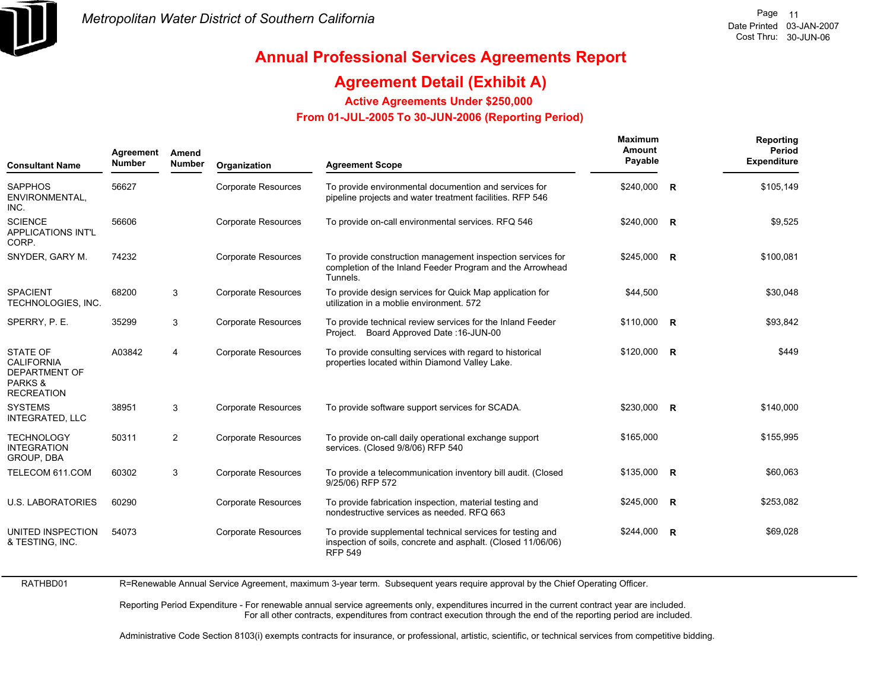

# **Annual Professional Services Agreements Report**

### **Agreement Detail (Exhibit A)**

**Active Agreements Under \$250,000** 

 **From 01-JUL-2005 To 30-JUN-2006 (Reporting Period)** 

| <b>Consultant Name</b>                                                                      | Agreement<br><b>Number</b> | Amend<br><b>Number</b> | Organization               | <b>Agreement Scope</b>                                                                                                                       | Maximum<br>Amount<br>Payable |                | Reporting<br>Period<br><b>Expenditure</b> |
|---------------------------------------------------------------------------------------------|----------------------------|------------------------|----------------------------|----------------------------------------------------------------------------------------------------------------------------------------------|------------------------------|----------------|-------------------------------------------|
| <b>SAPPHOS</b><br>ENVIRONMENTAL,<br>INC.                                                    | 56627                      |                        | <b>Corporate Resources</b> | To provide environmental documention and services for<br>pipeline projects and water treatment facilities. RFP 546                           | \$240,000                    | $\overline{R}$ | \$105,149                                 |
| <b>SCIENCE</b><br><b>APPLICATIONS INT'L</b><br>CORP.                                        | 56606                      |                        | <b>Corporate Resources</b> | To provide on-call environmental services. RFQ 546                                                                                           | \$240,000 R                  |                | \$9,525                                   |
| SNYDER, GARY M.                                                                             | 74232                      |                        | <b>Corporate Resources</b> | To provide construction management inspection services for<br>completion of the Inland Feeder Program and the Arrowhead<br>Tunnels.          | $$245,000$ R                 |                | \$100,081                                 |
| <b>SPACIENT</b><br>TECHNOLOGIES, INC.                                                       | 68200                      | 3                      | <b>Corporate Resources</b> | To provide design services for Quick Map application for<br>utilization in a moblie environment. 572                                         | \$44,500                     |                | \$30,048                                  |
| SPERRY, P. E.                                                                               | 35299                      | 3                      | <b>Corporate Resources</b> | To provide technical review services for the Inland Feeder<br>Project. Board Approved Date: 16-JUN-00                                        | $$110,000$ R                 |                | \$93,842                                  |
| <b>STATE OF</b><br><b>CALIFORNIA</b><br><b>DEPARTMENT OF</b><br>PARKS&<br><b>RECREATION</b> | A03842                     | $\overline{4}$         | <b>Corporate Resources</b> | To provide consulting services with regard to historical<br>properties located within Diamond Valley Lake.                                   | \$120,000 R                  |                | \$449                                     |
| <b>SYSTEMS</b><br><b>INTEGRATED, LLC</b>                                                    | 38951                      | 3                      | <b>Corporate Resources</b> | To provide software support services for SCADA.                                                                                              | \$230,000 R                  |                | \$140,000                                 |
| <b>TECHNOLOGY</b><br><b>INTEGRATION</b><br>GROUP, DBA                                       | 50311                      | 2                      | <b>Corporate Resources</b> | To provide on-call daily operational exchange support<br>services. (Closed 9/8/06) RFP 540                                                   | \$165,000                    |                | \$155,995                                 |
| TELECOM 611.COM                                                                             | 60302                      | 3                      | <b>Corporate Resources</b> | To provide a telecommunication inventory bill audit. (Closed<br>9/25/06) RFP 572                                                             | $$135,000$ R                 |                | \$60,063                                  |
| <b>U.S. LABORATORIES</b>                                                                    | 60290                      |                        | <b>Corporate Resources</b> | To provide fabrication inspection, material testing and<br>nondestructive services as needed. RFQ 663                                        | $$245,000$ R                 |                | \$253,082                                 |
| UNITED INSPECTION<br>& TESTING, INC.                                                        | 54073                      |                        | <b>Corporate Resources</b> | To provide supplemental technical services for testing and<br>inspection of soils, concrete and asphalt. (Closed 11/06/06)<br><b>RFP 549</b> | \$244,000 R                  |                | \$69,028                                  |

R=Renewable Annual Service Agreement, maximum 3-year term. Subsequent years require approval by the Chief Operating Officer.

Reporting Period Expenditure - For renewable annual service agreements only, expenditures incurred in the current contract year are included. For all other contracts, expenditures from contract execution through the end of the reporting period are included.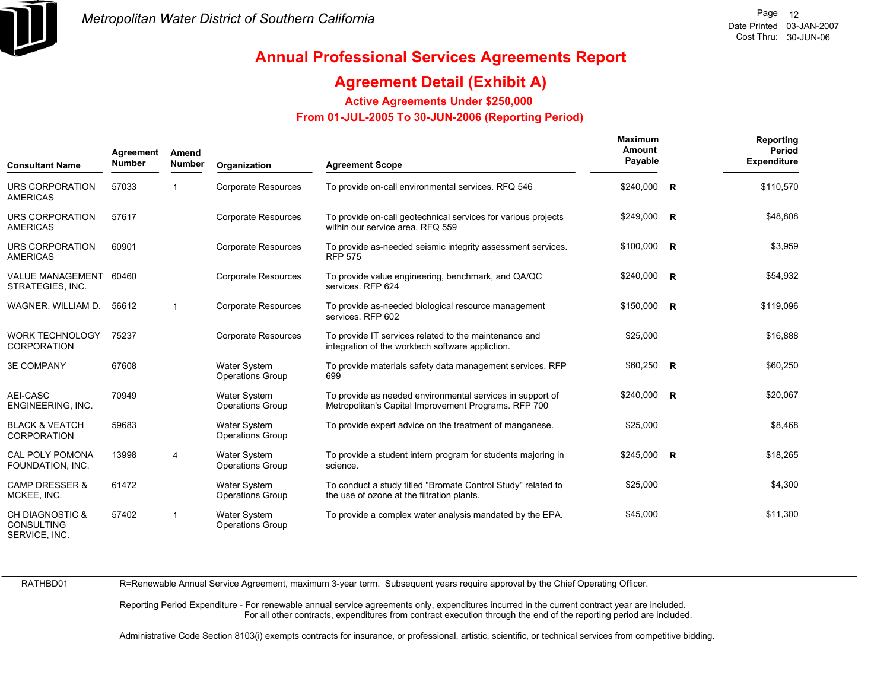

### **Agreement Detail (Exhibit A)**

**Active Agreements Under \$250,000** 

 **From 01-JUL-2005 To 30-JUN-2006 (Reporting Period)** 

| Agreement<br>Amend<br><b>Number</b><br><b>Consultant Name</b>    |       | <b>Number</b>  | Organization                                   | <b>Agreement Scope</b>                                                                                            | Maximum<br>Amount<br>Payable | Reporting<br>Period<br><b>Expenditure</b> |
|------------------------------------------------------------------|-------|----------------|------------------------------------------------|-------------------------------------------------------------------------------------------------------------------|------------------------------|-------------------------------------------|
| URS CORPORATION<br><b>AMERICAS</b>                               | 57033 |                | <b>Corporate Resources</b>                     | To provide on-call environmental services. RFQ 546                                                                | $$240,000$ R                 | \$110,570                                 |
| URS CORPORATION<br><b>AMERICAS</b>                               | 57617 |                | <b>Corporate Resources</b>                     | To provide on-call geotechnical services for various projects<br>within our service area. RFQ 559                 | $$249,000$ R                 | \$48,808                                  |
| URS CORPORATION<br><b>AMERICAS</b>                               | 60901 |                | <b>Corporate Resources</b>                     | To provide as-needed seismic integrity assessment services.<br><b>RFP 575</b>                                     | $$100,000$ R                 | \$3,959                                   |
| VALUE MANAGEMENT 60460<br>STRATEGIES, INC.                       |       |                | <b>Corporate Resources</b>                     | To provide value engineering, benchmark, and QA/QC<br>services. RFP 624                                           | $$240,000$ R                 | \$54,932                                  |
| WAGNER, WILLIAM D.                                               | 56612 | -1             | <b>Corporate Resources</b>                     | To provide as-needed biological resource management<br>services. RFP 602                                          | $$150,000$ R                 | \$119,096                                 |
| <b>WORK TECHNOLOGY</b><br><b>CORPORATION</b>                     | 75237 |                | <b>Corporate Resources</b>                     | To provide IT services related to the maintenance and<br>integration of the worktech software appliction.         | \$25,000                     | \$16,888                                  |
| <b>3E COMPANY</b>                                                | 67608 |                | <b>Water System</b><br><b>Operations Group</b> | To provide materials safety data management services. RFP<br>699                                                  | $$60,250$ R                  | \$60,250                                  |
| AEI-CASC<br>ENGINEERING, INC.                                    | 70949 |                | <b>Water System</b><br><b>Operations Group</b> | To provide as needed environmental services in support of<br>Metropolitan's Capital Improvement Programs. RFP 700 | $$240,000$ R                 | \$20,067                                  |
| <b>BLACK &amp; VEATCH</b><br><b>CORPORATION</b>                  | 59683 |                | Water System<br><b>Operations Group</b>        | To provide expert advice on the treatment of manganese.                                                           | \$25,000                     | \$8,468                                   |
| <b>CAL POLY POMONA</b><br>FOUNDATION, INC.                       | 13998 | $\overline{4}$ | <b>Water System</b><br><b>Operations Group</b> | To provide a student intern program for students majoring in<br>science.                                          | $$245,000$ R                 | \$18,265                                  |
| <b>CAMP DRESSER &amp;</b><br>MCKEE, INC.                         | 61472 |                | <b>Water System</b><br><b>Operations Group</b> | To conduct a study titled "Bromate Control Study" related to<br>the use of ozone at the filtration plants.        | \$25,000                     | \$4,300                                   |
| <b>CH DIAGNOSTIC &amp;</b><br><b>CONSULTING</b><br>SERVICE, INC. | 57402 |                | <b>Water System</b><br><b>Operations Group</b> | To provide a complex water analysis mandated by the EPA.                                                          | \$45,000                     | \$11,300                                  |

RATHBD01

R=Renewable Annual Service Agreement, maximum 3-year term. Subsequent years require approval by the Chief Operating Officer.

Reporting Period Expenditure - For renewable annual service agreements only, expenditures incurred in the current contract year are included. For all other contracts, expenditures from contract execution through the end of the reporting period are included.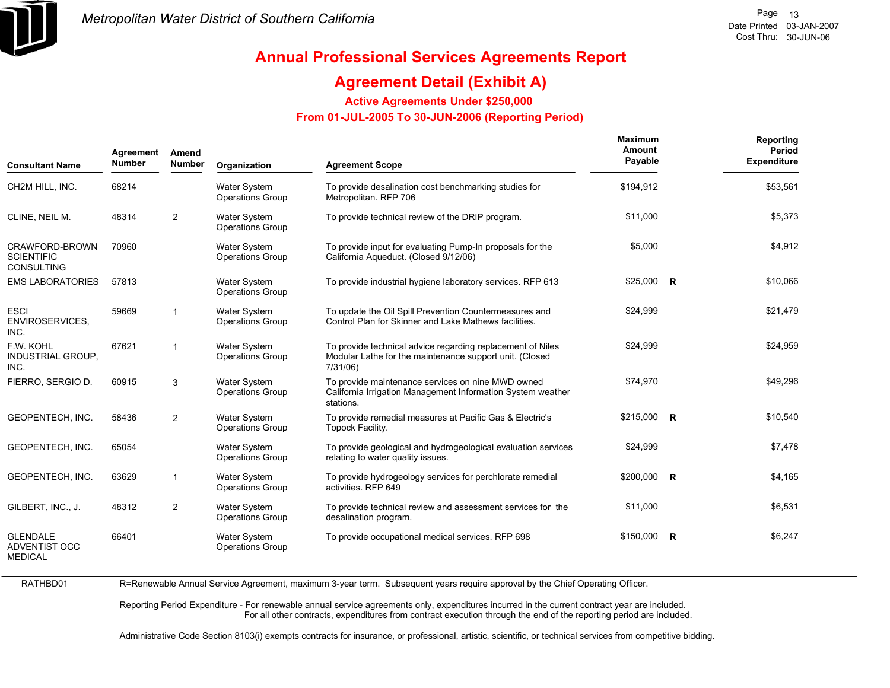

# **Annual Professional Services Agreements Report**

### **Agreement Detail (Exhibit A)**

**Active Agreements Under \$250,000** 

 **From 01-JUL-2005 To 30-JUN-2006 (Reporting Period)** 

| Agreement<br><b>Number</b><br><b>Consultant Name</b>      |       | Amend<br><b>Number</b> | Organization                                   | <b>Agreement Scope</b>                                                                                                               | <b>Maximum</b><br>Amount<br>Payable | Reporting<br>Period<br><b>Expenditure</b> |
|-----------------------------------------------------------|-------|------------------------|------------------------------------------------|--------------------------------------------------------------------------------------------------------------------------------------|-------------------------------------|-------------------------------------------|
| CH2M HILL, INC.                                           | 68214 |                        | <b>Water System</b><br><b>Operations Group</b> | To provide desalination cost benchmarking studies for<br>Metropolitan. RFP 706                                                       | \$194,912                           | \$53,561                                  |
| CLINE, NEIL M.                                            | 48314 | 2                      | <b>Water System</b><br><b>Operations Group</b> | To provide technical review of the DRIP program.                                                                                     | \$11,000                            | \$5,373                                   |
| CRAWFORD-BROWN<br><b>SCIENTIFIC</b><br><b>CONSULTING</b>  | 70960 |                        | <b>Water System</b><br><b>Operations Group</b> | To provide input for evaluating Pump-In proposals for the<br>California Aqueduct. (Closed 9/12/06)                                   | \$5,000                             | \$4,912                                   |
| <b>EMS LABORATORIES</b>                                   | 57813 |                        | <b>Water System</b><br><b>Operations Group</b> | To provide industrial hygiene laboratory services. RFP 613                                                                           | $$25,000$ R                         | \$10,066                                  |
| <b>ESCI</b><br><b>ENVIROSERVICES,</b><br>INC.             | 59669 | $\mathbf{1}$           | <b>Water System</b><br><b>Operations Group</b> | To update the Oil Spill Prevention Countermeasures and<br>Control Plan for Skinner and Lake Mathews facilities.                      | \$24,999                            | \$21,479                                  |
| F.W. KOHL<br><b>INDUSTRIAL GROUP,</b><br>INC.             | 67621 | $\mathbf{1}$           | <b>Water System</b><br><b>Operations Group</b> | To provide technical advice regarding replacement of Niles<br>Modular Lathe for the maintenance support unit. (Closed<br>$7/31/06$ ) | \$24,999                            | \$24,959                                  |
| FIERRO, SERGIO D.                                         | 60915 | 3                      | Water System<br><b>Operations Group</b>        | To provide maintenance services on nine MWD owned<br>California Irrigation Management Information System weather<br>stations.        | \$74,970                            | \$49,296                                  |
| GEOPENTECH, INC.                                          | 58436 | 2                      | <b>Water System</b><br><b>Operations Group</b> | To provide remedial measures at Pacific Gas & Electric's<br>Topock Facility.                                                         | \$215,000 R                         | \$10,540                                  |
| GEOPENTECH, INC.                                          | 65054 |                        | <b>Water System</b><br><b>Operations Group</b> | To provide geological and hydrogeological evaluation services<br>relating to water quality issues.                                   | \$24,999                            | \$7,478                                   |
| GEOPENTECH, INC.                                          | 63629 | $\mathbf{1}$           | <b>Water System</b><br><b>Operations Group</b> | To provide hydrogeology services for perchlorate remedial<br>activities. RFP 649                                                     | \$200,000 R                         | \$4,165                                   |
| GILBERT, INC., J.                                         | 48312 | 2                      | <b>Water System</b><br><b>Operations Group</b> | To provide technical review and assessment services for the<br>desalination program.                                                 | \$11,000                            | \$6,531                                   |
| <b>GLENDALE</b><br><b>ADVENTIST OCC</b><br><b>MEDICAL</b> | 66401 |                        | <b>Water System</b><br><b>Operations Group</b> | To provide occupational medical services. RFP 698                                                                                    | \$150,000 R                         | \$6,247                                   |

R=Renewable Annual Service Agreement, maximum 3-year term. Subsequent years require approval by the Chief Operating Officer.

Reporting Period Expenditure - For renewable annual service agreements only, expenditures incurred in the current contract year are included. For all other contracts, expenditures from contract execution through the end of the reporting period are included.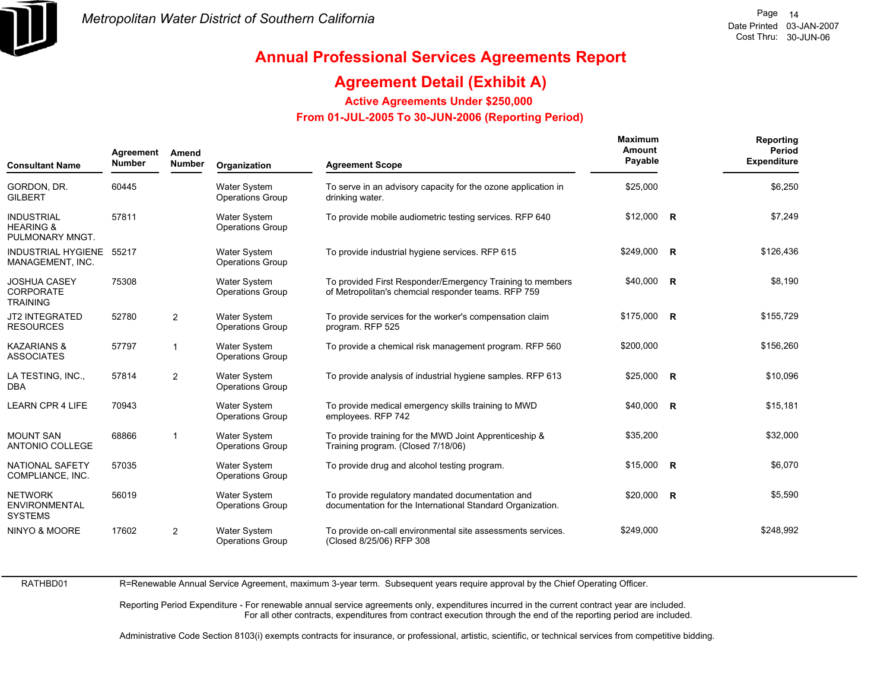

### **Agreement Detail (Exhibit A)**

**Active Agreements Under \$250,000** 

 **From 01-JUL-2005 To 30-JUN-2006 (Reporting Period)** 

| <b>Consultant Name</b>                                       | Agreement<br><b>Number</b> | Amend<br><b>Number</b> | Organization                                   | <b>Agreement Scope</b>                                                                                           | <b>Maximum</b><br>Amount<br>Payable | Reporting<br>Period<br><b>Expenditure</b> |
|--------------------------------------------------------------|----------------------------|------------------------|------------------------------------------------|------------------------------------------------------------------------------------------------------------------|-------------------------------------|-------------------------------------------|
| GORDON, DR.<br><b>GILBERT</b>                                | 60445                      |                        | <b>Water System</b><br><b>Operations Group</b> | To serve in an advisory capacity for the ozone application in<br>drinking water.                                 | \$25,000                            | \$6,250                                   |
| <b>INDUSTRIAL</b><br><b>HEARING &amp;</b><br>PULMONARY MNGT. | 57811                      |                        | <b>Water System</b><br><b>Operations Group</b> | To provide mobile audiometric testing services. RFP 640                                                          | $$12,000$ R                         | \$7,249                                   |
| INDUSTRIAL HYGIENE 55217<br>MANAGEMENT, INC.                 |                            |                        | <b>Water System</b><br><b>Operations Group</b> | To provide industrial hygiene services. RFP 615                                                                  | \$249,000 R                         | \$126,436                                 |
| <b>JOSHUA CASEY</b><br>CORPORATE<br><b>TRAINING</b>          | 75308                      |                        | <b>Water System</b><br><b>Operations Group</b> | To provided First Responder/Emergency Training to members<br>of Metropolitan's chemcial responder teams. RFP 759 | \$40,000 R                          | \$8,190                                   |
| JT2 INTEGRATED<br><b>RESOURCES</b>                           | 52780                      | $\overline{2}$         | <b>Water System</b><br><b>Operations Group</b> | To provide services for the worker's compensation claim<br>program. RFP 525                                      | \$175,000 R                         | \$155,729                                 |
| <b>KAZARIANS &amp;</b><br><b>ASSOCIATES</b>                  | 57797                      | $\overline{1}$         | <b>Water System</b><br><b>Operations Group</b> | To provide a chemical risk management program. RFP 560                                                           | \$200,000                           | \$156,260                                 |
| LA TESTING, INC.,<br><b>DBA</b>                              | 57814                      | 2                      | <b>Water System</b><br><b>Operations Group</b> | To provide analysis of industrial hygiene samples. RFP 613                                                       | $$25,000$ R                         | \$10,096                                  |
| <b>LEARN CPR 4 LIFE</b>                                      | 70943                      |                        | <b>Water System</b><br><b>Operations Group</b> | To provide medical emergency skills training to MWD<br>employees. RFP 742                                        | $$40,000$ R                         | \$15,181                                  |
| <b>MOUNT SAN</b><br>ANTONIO COLLEGE                          | 68866                      | $\overline{1}$         | <b>Water System</b><br><b>Operations Group</b> | To provide training for the MWD Joint Apprenticeship &<br>Training program. (Closed 7/18/06)                     | \$35,200                            | \$32,000                                  |
| <b>NATIONAL SAFETY</b><br>COMPLIANCE, INC.                   | 57035                      |                        | <b>Water System</b><br><b>Operations Group</b> | To provide drug and alcohol testing program.                                                                     | $$15,000$ R                         | \$6,070                                   |
| <b>NETWORK</b><br><b>ENVIRONMENTAL</b><br><b>SYSTEMS</b>     | 56019                      |                        | <b>Water System</b><br><b>Operations Group</b> | To provide regulatory mandated documentation and<br>documentation for the International Standard Organization.   | $$20,000$ R                         | \$5,590                                   |
| NINYO & MOORE                                                | 17602                      | $\overline{2}$         | <b>Water System</b><br><b>Operations Group</b> | To provide on-call environmental site assessments services.<br>(Closed 8/25/06) RFP 308                          | \$249.000                           | \$248.992                                 |

RATHBD01

R=Renewable Annual Service Agreement, maximum 3-year term. Subsequent years require approval by the Chief Operating Officer.

Reporting Period Expenditure - For renewable annual service agreements only, expenditures incurred in the current contract year are included. For all other contracts, expenditures from contract execution through the end of the reporting period are included.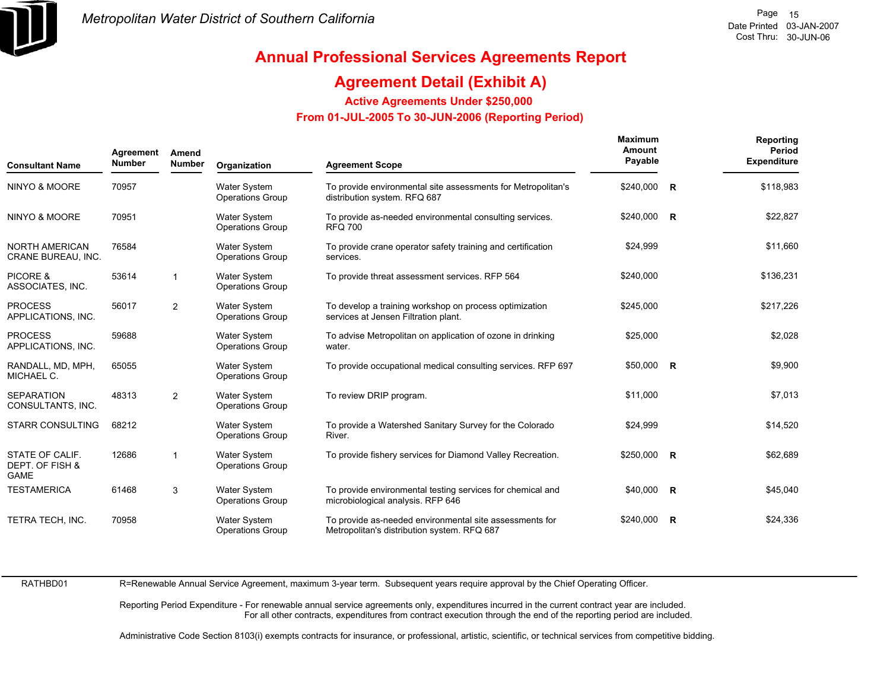

### **Agreement Detail (Exhibit A)**

**Active Agreements Under \$250,000** 

 **From 01-JUL-2005 To 30-JUN-2006 (Reporting Period)** 

| <b>Consultant Name</b>                            | Agreement<br><b>Number</b> | Amend<br><b>Number</b>  | Organization                                   | <b>Agreement Scope</b>                                                                                 | <b>Maximum</b><br>Amount<br>Payable | Reporting<br>Period<br><b>Expenditure</b> |
|---------------------------------------------------|----------------------------|-------------------------|------------------------------------------------|--------------------------------------------------------------------------------------------------------|-------------------------------------|-------------------------------------------|
| NINYO & MOORE                                     | 70957                      |                         | <b>Water System</b><br><b>Operations Group</b> | To provide environmental site assessments for Metropolitan's<br>distribution system. RFQ 687           | \$240,000 R                         | \$118,983                                 |
| NINYO & MOORE                                     | 70951                      |                         | <b>Water System</b><br><b>Operations Group</b> | To provide as-needed environmental consulting services.<br><b>RFQ 700</b>                              | \$240,000 R                         | \$22,827                                  |
| <b>NORTH AMERICAN</b><br>CRANE BUREAU, INC.       | 76584                      |                         | Water System<br><b>Operations Group</b>        | To provide crane operator safety training and certification<br>services.                               | \$24,999                            | \$11,660                                  |
| PICORE &<br>ASSOCIATES, INC.                      | 53614                      | $\overline{1}$          | <b>Water System</b><br><b>Operations Group</b> | To provide threat assessment services. RFP 564                                                         | \$240,000                           | \$136,231                                 |
| <b>PROCESS</b><br>APPLICATIONS, INC.              | 56017                      | $\overline{2}$          | <b>Water System</b><br><b>Operations Group</b> | To develop a training workshop on process optimization<br>services at Jensen Filtration plant.         | \$245.000                           | \$217.226                                 |
| <b>PROCESS</b><br>APPLICATIONS, INC.              | 59688                      |                         | <b>Water System</b><br><b>Operations Group</b> | To advise Metropolitan on application of ozone in drinking<br>water.                                   | \$25,000                            | \$2,028                                   |
| RANDALL, MD, MPH,<br>MICHAEL C.                   | 65055                      |                         | Water System<br><b>Operations Group</b>        | To provide occupational medical consulting services. RFP 697                                           | $$50,000$ R                         | \$9,900                                   |
| <b>SEPARATION</b><br>CONSULTANTS, INC.            | 48313                      | $\overline{2}$          | <b>Water System</b><br><b>Operations Group</b> | To review DRIP program.                                                                                | \$11,000                            | \$7,013                                   |
| <b>STARR CONSULTING</b>                           | 68212                      |                         | <b>Water System</b><br><b>Operations Group</b> | To provide a Watershed Sanitary Survey for the Colorado<br>River.                                      | \$24,999                            | \$14,520                                  |
| STATE OF CALIF.<br>DEPT. OF FISH &<br><b>GAME</b> | 12686                      | $\overline{\mathbf{1}}$ | <b>Water System</b><br><b>Operations Group</b> | To provide fishery services for Diamond Valley Recreation.                                             | $$250,000$ R                        | \$62,689                                  |
| <b>TESTAMERICA</b>                                | 61468                      | 3                       | Water System<br><b>Operations Group</b>        | To provide environmental testing services for chemical and<br>microbiological analysis. RFP 646        | $$40,000$ R                         | \$45,040                                  |
| TETRA TECH, INC.                                  | 70958                      |                         | <b>Water System</b><br><b>Operations Group</b> | To provide as-needed environmental site assessments for<br>Metropolitan's distribution system. RFQ 687 | $$240,000$ R                        | \$24,336                                  |

RATHBD01

R=Renewable Annual Service Agreement, maximum 3-year term. Subsequent years require approval by the Chief Operating Officer.

Reporting Period Expenditure - For renewable annual service agreements only, expenditures incurred in the current contract year are included. For all other contracts, expenditures from contract execution through the end of the reporting period are included.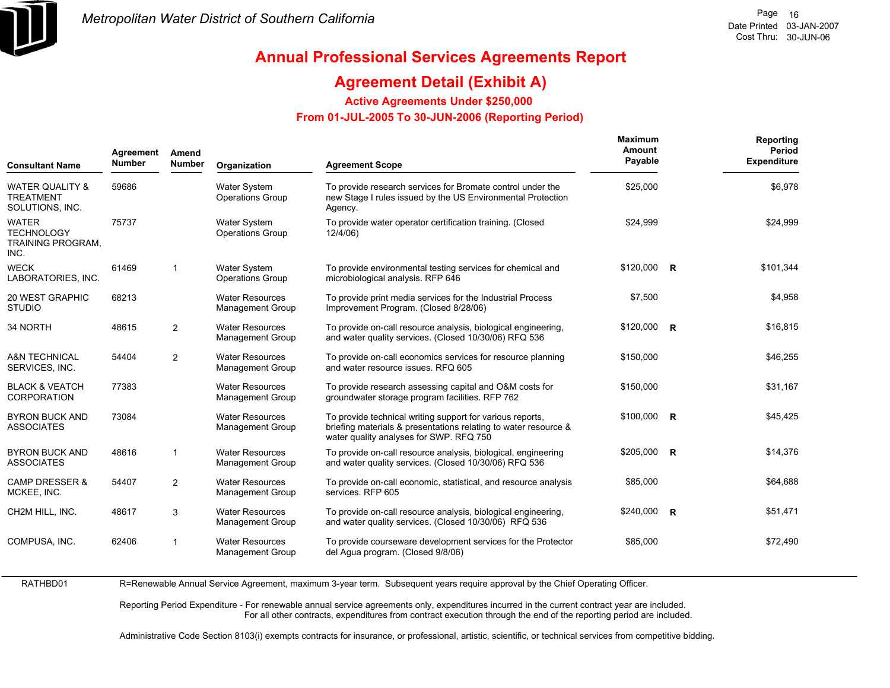

### **Agreement Detail (Exhibit A)**

**Active Agreements Under \$250,000** 

 **From 01-JUL-2005 To 30-JUN-2006 (Reporting Period)** 

| Agreement<br>Amend<br><b>Number</b><br><b>Consultant Name</b> |                | Organization                                      | <b>Agreement Scope</b>                                                                                                                                                  | <b>Maximum</b><br>Amount<br>Payable | Reporting<br><b>Period</b><br><b>Expenditure</b>                            |
|---------------------------------------------------------------|----------------|---------------------------------------------------|-------------------------------------------------------------------------------------------------------------------------------------------------------------------------|-------------------------------------|-----------------------------------------------------------------------------|
| 59686                                                         |                | <b>Water System</b><br><b>Operations Group</b>    | To provide research services for Bromate control under the<br>new Stage I rules issued by the US Environmental Protection<br>Agency.                                    | \$25,000                            | \$6,978                                                                     |
| 75737                                                         |                | <b>Water System</b><br><b>Operations Group</b>    | To provide water operator certification training. (Closed<br>12/4/06)                                                                                                   | \$24,999                            | \$24,999                                                                    |
| 61469                                                         | $\overline{1}$ | <b>Water System</b><br><b>Operations Group</b>    | To provide environmental testing services for chemical and<br>microbiological analysis. RFP 646                                                                         |                                     | \$101,344                                                                   |
| 68213                                                         |                | <b>Water Resources</b><br><b>Management Group</b> | To provide print media services for the Industrial Process<br>Improvement Program. (Closed 8/28/06)                                                                     | \$7,500                             | \$4,958                                                                     |
| 48615                                                         | 2              | <b>Water Resources</b><br><b>Management Group</b> | To provide on-call resource analysis, biological engineering,<br>and water quality services. (Closed 10/30/06) RFQ 536                                                  |                                     | \$16,815                                                                    |
| 54404                                                         | 2              | <b>Water Resources</b><br><b>Management Group</b> | To provide on-call economics services for resource planning<br>and water resource issues. RFQ 605                                                                       | \$150,000                           | \$46,255                                                                    |
| 77383                                                         |                | <b>Water Resources</b><br><b>Management Group</b> | To provide research assessing capital and O&M costs for<br>groundwater storage program facilities. RFP 762                                                              | \$150,000                           | \$31,167                                                                    |
| 73084                                                         |                | <b>Water Resources</b><br><b>Management Group</b> | To provide technical writing support for various reports,<br>briefing materials & presentations relating to water resource &<br>water quality analyses for SWP. RFQ 750 |                                     | \$45,425                                                                    |
| 48616                                                         | 1              | <b>Water Resources</b><br><b>Management Group</b> | To provide on-call resource analysis, biological, engineering<br>and water quality services. (Closed 10/30/06) RFQ 536                                                  |                                     | \$14,376                                                                    |
| 54407                                                         | 2              | <b>Water Resources</b><br><b>Management Group</b> | To provide on-call economic, statistical, and resource analysis<br>services. RFP 605                                                                                    | \$85,000                            | \$64,688                                                                    |
| 48617                                                         | 3              | <b>Water Resources</b><br><b>Management Group</b> | To provide on-call resource analysis, biological engineering,<br>and water quality services. (Closed 10/30/06) RFQ 536                                                  |                                     | \$51,471                                                                    |
| 62406                                                         | $\overline{1}$ | <b>Water Resources</b><br><b>Management Group</b> | To provide courseware development services for the Protector<br>del Agua program. (Closed 9/8/06)                                                                       | \$85,000                            | \$72,490                                                                    |
|                                                               |                | <b>Number</b>                                     |                                                                                                                                                                         |                                     | $$120,000$ R<br>$$120,000$ R<br>$$100,000$ R<br>\$205,000 R<br>$$240,000$ R |

RATHBD01R=Renewable Annual Service Agreement, maximum 3-year term. Subsequent years require approval by the Chief Operating Officer.

> Reporting Period Expenditure - For renewable annual service agreements only, expenditures incurred in the current contract year are included. For all other contracts, expenditures from contract execution through the end of the reporting period are included.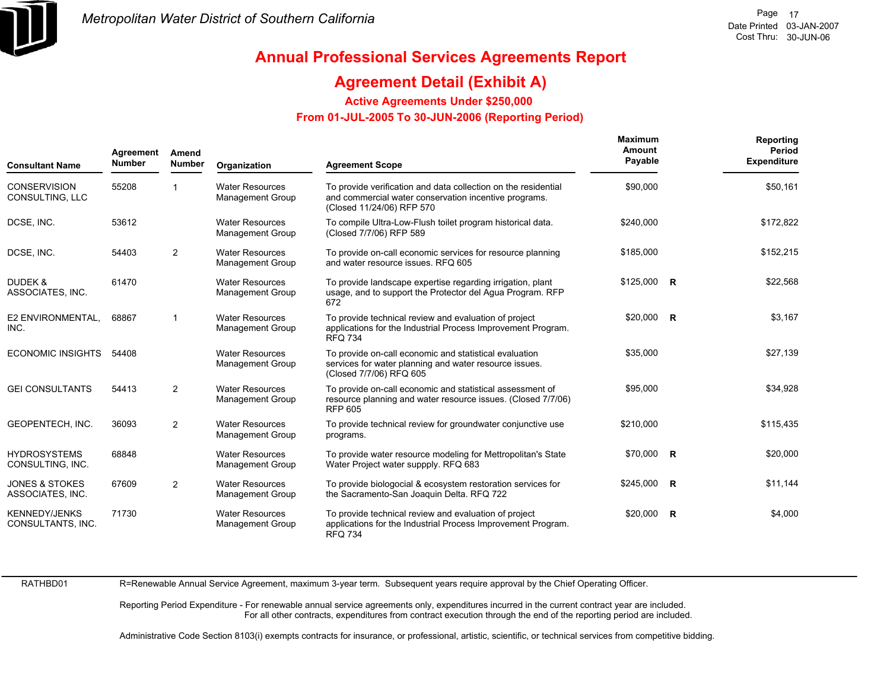

### **Agreement Detail (Exhibit A)**

**Active Agreements Under \$250,000** 

 **From 01-JUL-2005 To 30-JUN-2006 (Reporting Period)** 

| <b>Consultant Name</b>                        | Agreement<br><b>Number</b> | Amend<br><b>Number</b> | Organization                                      | <b>Agreement Scope</b>                                                                                                                               | <b>Maximum</b><br>Amount<br>Payable | Reporting<br>Period<br><b>Expenditure</b> |
|-----------------------------------------------|----------------------------|------------------------|---------------------------------------------------|------------------------------------------------------------------------------------------------------------------------------------------------------|-------------------------------------|-------------------------------------------|
| <b>CONSERVISION</b><br>CONSULTING, LLC        | 55208                      |                        | <b>Water Resources</b><br><b>Management Group</b> | To provide verification and data collection on the residential<br>and commercial water conservation incentive programs.<br>(Closed 11/24/06) RFP 570 | \$90,000                            | \$50,161                                  |
| DCSE, INC.                                    | 53612                      |                        | <b>Water Resources</b><br><b>Management Group</b> | To compile Ultra-Low-Flush toilet program historical data.<br>(Closed 7/7/06) RFP 589                                                                | \$240,000                           | \$172,822                                 |
| DCSE, INC.                                    | 54403                      | 2                      | <b>Water Resources</b><br><b>Management Group</b> | To provide on-call economic services for resource planning<br>and water resource issues. RFQ 605                                                     | \$185,000                           | \$152,215                                 |
| DUDEK &<br>ASSOCIATES, INC.                   | 61470                      |                        | <b>Water Resources</b><br><b>Management Group</b> | To provide landscape expertise regarding irrigation, plant<br>usage, and to support the Protector del Agua Program. RFP<br>672                       | $$125,000$ R                        | \$22,568                                  |
| E2 ENVIRONMENTAL,<br>INC.                     | 68867                      |                        | <b>Water Resources</b><br><b>Management Group</b> | To provide technical review and evaluation of project<br>applications for the Industrial Process Improvement Program.<br><b>RFQ 734</b>              | \$20,000 R                          | \$3,167                                   |
| <b>ECONOMIC INSIGHTS</b>                      | 54408                      |                        | <b>Water Resources</b><br>Management Group        | To provide on-call economic and statistical evaluation<br>services for water planning and water resource issues.<br>(Closed 7/7/06) RFQ 605          | \$35,000                            | \$27,139                                  |
| <b>GEI CONSULTANTS</b>                        | 54413                      | 2                      | <b>Water Resources</b><br><b>Management Group</b> | To provide on-call economic and statistical assessment of<br>resource planning and water resource issues. (Closed 7/7/06)<br><b>RFP 605</b>          | \$95,000                            | \$34,928                                  |
| GEOPENTECH, INC.                              | 36093                      | 2                      | <b>Water Resources</b><br><b>Management Group</b> | To provide technical review for groundwater conjunctive use<br>programs.                                                                             | \$210,000                           | \$115,435                                 |
| <b>HYDROSYSTEMS</b><br>CONSULTING, INC.       | 68848                      |                        | <b>Water Resources</b><br><b>Management Group</b> | To provide water resource modeling for Mettropolitan's State<br>Water Project water suppply. RFQ 683                                                 | $$70,000$ R                         | \$20,000                                  |
| <b>JONES &amp; STOKES</b><br>ASSOCIATES, INC. | 67609                      | 2                      | <b>Water Resources</b><br><b>Management Group</b> | To provide biologocial & ecosystem restoration services for<br>the Sacramento-San Joaquin Delta. RFQ 722                                             | \$245,000 R                         | \$11,144                                  |
| <b>KENNEDY/JENKS</b><br>CONSULTANTS, INC.     | 71730                      |                        | <b>Water Resources</b><br><b>Management Group</b> | To provide technical review and evaluation of project<br>applications for the Industrial Process Improvement Program.<br><b>RFQ 734</b>              | $$20,000$ R                         | \$4,000                                   |

RATHBD01

R=Renewable Annual Service Agreement, maximum 3-year term. Subsequent years require approval by the Chief Operating Officer.

Reporting Period Expenditure - For renewable annual service agreements only, expenditures incurred in the current contract year are included. For all other contracts, expenditures from contract execution through the end of the reporting period are included.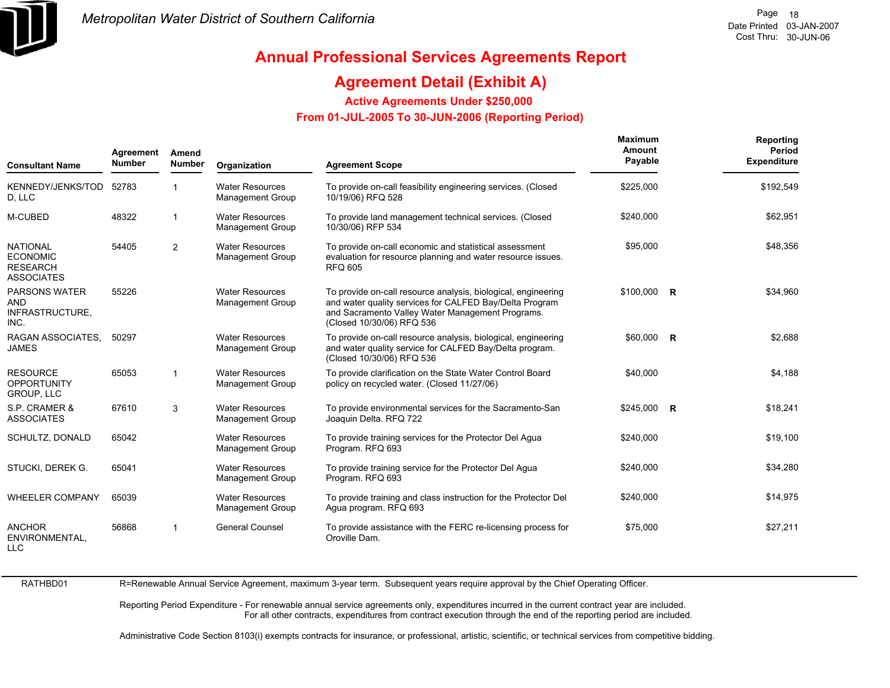

### **Agreement Detail (Exhibit A)**

**Active Agreements Under \$250,000** 

 **From 01-JUL-2005 To 30-JUN-2006 (Reporting Period)** 

| <b>Consultant Name</b>                                                     | Agreement<br><b>Number</b> | Amend<br><b>Number</b> | Organization                                      | <b>Agreement Scope</b>                                                                                                                                                                                    | <b>Maximum</b><br>Amount<br>Payable | Reporting<br>Period<br><b>Expenditure</b> |
|----------------------------------------------------------------------------|----------------------------|------------------------|---------------------------------------------------|-----------------------------------------------------------------------------------------------------------------------------------------------------------------------------------------------------------|-------------------------------------|-------------------------------------------|
| KENNEDY/JENKS/TOD<br>D, LLC                                                | 52783                      |                        | <b>Water Resources</b><br><b>Management Group</b> | To provide on-call feasibility engineering services. (Closed<br>10/19/06) RFQ 528                                                                                                                         | \$225,000                           | \$192,549                                 |
| M-CUBED                                                                    | 48322                      | $\mathbf{1}$           | <b>Water Resources</b><br><b>Management Group</b> | To provide land management technical services. (Closed<br>10/30/06) RFP 534                                                                                                                               | \$240,000                           | \$62,951                                  |
| <b>NATIONAL</b><br><b>ECONOMIC</b><br><b>RESEARCH</b><br><b>ASSOCIATES</b> | 54405                      | 2                      | <b>Water Resources</b><br><b>Management Group</b> | To provide on-call economic and statistical assessment<br>evaluation for resource planning and water resource issues.<br><b>RFQ 605</b>                                                                   | \$95,000                            | \$48,356                                  |
| <b>PARSONS WATER</b><br>AND<br>INFRASTRUCTURE,<br>INC.                     | 55226                      |                        | <b>Water Resources</b><br><b>Management Group</b> | To provide on-call resource analysis, biological, engineering<br>and water quality services for CALFED Bay/Delta Program<br>and Sacramento Valley Water Management Programs.<br>(Closed 10/30/06) RFQ 536 | \$100,000 R                         | \$34,960                                  |
| RAGAN ASSOCIATES.<br><b>JAMES</b>                                          | 50297                      |                        | <b>Water Resources</b><br><b>Management Group</b> | To provide on-call resource analysis, biological, engineering<br>and water quality service for CALFED Bay/Delta program.<br>(Closed 10/30/06) RFQ 536                                                     | \$60,000 R                          | \$2,688                                   |
| <b>RESOURCE</b><br><b>OPPORTUNITY</b><br><b>GROUP, LLC</b>                 | 65053                      | $\mathbf{1}$           | <b>Water Resources</b><br><b>Management Group</b> | To provide clarification on the State Water Control Board<br>policy on recycled water. (Closed 11/27/06)                                                                                                  | \$40,000                            | \$4,188                                   |
| S.P. CRAMER &<br><b>ASSOCIATES</b>                                         | 67610                      | 3                      | <b>Water Resources</b><br><b>Management Group</b> | To provide environmental services for the Sacramento-San<br>Joaquin Delta. RFQ 722                                                                                                                        | $$245,000$ R                        | \$18,241                                  |
| SCHULTZ, DONALD                                                            | 65042                      |                        | <b>Water Resources</b><br><b>Management Group</b> | To provide training services for the Protector Del Agua<br>Program. RFQ 693                                                                                                                               | \$240,000                           | \$19,100                                  |
| STUCKI, DEREK G.                                                           | 65041                      |                        | <b>Water Resources</b><br><b>Management Group</b> | To provide training service for the Protector Del Agua<br>Program. RFQ 693                                                                                                                                | \$240,000                           | \$34,280                                  |
| <b>WHEELER COMPANY</b>                                                     | 65039                      |                        | <b>Water Resources</b><br><b>Management Group</b> | To provide training and class instruction for the Protector Del<br>Agua program. RFQ 693                                                                                                                  | \$240,000                           | \$14,975                                  |
| <b>ANCHOR</b><br>ENVIRONMENTAL.<br><b>LLC</b>                              | 56868                      | $\mathbf{1}$           | <b>General Counsel</b>                            | To provide assistance with the FERC re-licensing process for<br>Oroville Dam.                                                                                                                             | \$75,000                            | \$27,211                                  |

RATHBD01

R=Renewable Annual Service Agreement, maximum 3-year term. Subsequent years require approval by the Chief Operating Officer.

Reporting Period Expenditure - For renewable annual service agreements only, expenditures incurred in the current contract year are included. For all other contracts, expenditures from contract execution through the end of the reporting period are included.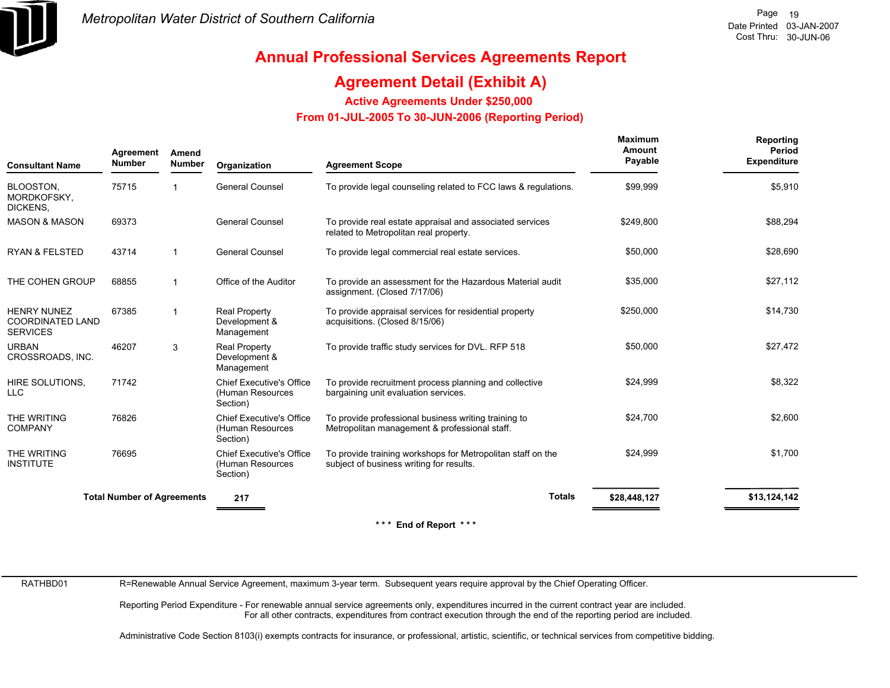

### **Agreement Detail (Exhibit A)**

**Active Agreements Under \$250,000** 

 **From 01-JUL-2005 To 30-JUN-2006 (Reporting Period)** 

| <b>Consultant Name</b>                                           | Agreement<br><b>Number</b>        | Amend<br><b>Number</b>  | Organization                                                    | <b>Agreement Scope</b>                                                                                  | Maximum<br>Amount<br>Payable | Reporting<br>Period<br><b>Expenditure</b> |
|------------------------------------------------------------------|-----------------------------------|-------------------------|-----------------------------------------------------------------|---------------------------------------------------------------------------------------------------------|------------------------------|-------------------------------------------|
| BLOOSTON,<br>MORDKOFSKY,<br>DICKENS,                             | 75715                             |                         | <b>General Counsel</b>                                          | To provide legal counseling related to FCC laws & regulations.                                          | \$99,999                     | \$5,910                                   |
| <b>MASON &amp; MASON</b>                                         | 69373                             |                         | <b>General Counsel</b>                                          | To provide real estate appraisal and associated services<br>related to Metropolitan real property.      | \$249,800                    | \$88,294                                  |
| <b>RYAN &amp; FELSTED</b>                                        | 43714                             | $\mathbf{1}$            | <b>General Counsel</b>                                          | To provide legal commercial real estate services.                                                       | \$50,000                     | \$28,690                                  |
| THE COHEN GROUP                                                  | 68855                             | -1                      | Office of the Auditor                                           | To provide an assessment for the Hazardous Material audit<br>assignment. (Closed 7/17/06)               | \$35,000                     | \$27,112                                  |
| <b>HENRY NUNEZ</b><br><b>COORDINATED LAND</b><br><b>SERVICES</b> | 67385                             | $\overline{\mathbf{1}}$ | <b>Real Property</b><br>Development &<br>Management             | To provide appraisal services for residential property<br>acquisitions. (Closed 8/15/06)                | \$250,000                    | \$14,730                                  |
| <b>URBAN</b><br>CROSSROADS, INC.                                 | 46207                             | 3                       | <b>Real Property</b><br>Development &<br>Management             | To provide traffic study services for DVL. RFP 518                                                      | \$50,000                     | \$27,472                                  |
| HIRE SOLUTIONS,<br>LLC                                           | 71742                             |                         | <b>Chief Executive's Office</b><br>(Human Resources<br>Section) | To provide recruitment process planning and collective<br>bargaining unit evaluation services.          | \$24,999                     | \$8,322                                   |
| THE WRITING<br><b>COMPANY</b>                                    | 76826                             |                         | <b>Chief Executive's Office</b><br>(Human Resources<br>Section) | To provide professional business writing training to<br>Metropolitan management & professional staff.   | \$24,700                     | \$2,600                                   |
| THE WRITING<br><b>INSTITUTE</b>                                  | 76695                             |                         | <b>Chief Executive's Office</b><br>(Human Resources<br>Section) | To provide training workshops for Metropolitan staff on the<br>subject of business writing for results. | \$24,999                     | \$1,700                                   |
|                                                                  | <b>Total Number of Agreements</b> |                         | 217                                                             | <b>Totals</b>                                                                                           | \$28,448,127                 | \$13,124,142                              |
|                                                                  |                                   |                         |                                                                 | $***$ End of Danaut $***$                                                                               |                              |                                           |

 $End$  of Report

RATHBD01

R=Renewable Annual Service Agreement, maximum 3-year term. Subsequent years require approval by the Chief Operating Officer.

Reporting Period Expenditure - For renewable annual service agreements only, expenditures incurred in the current contract year are included. For all other contracts, expenditures from contract execution through the end of the reporting period are included.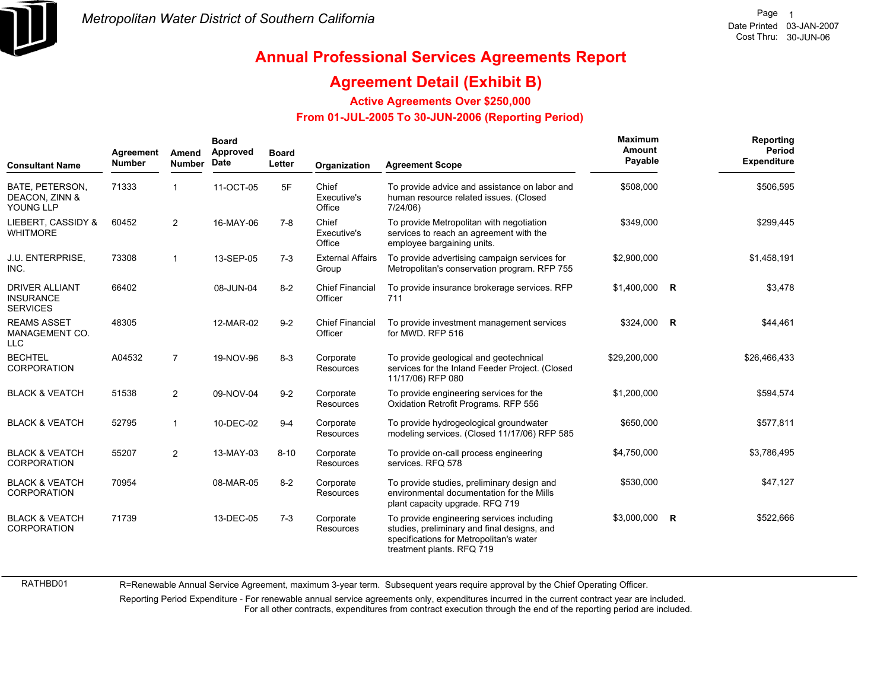

## **Annual Professional Services Agreements Report**

#### **Agreement Detail (Exhibit B)**

**Active Agreements Over \$250,000**

 **From 01-JUL-2005 To 30-JUN-2006 (Reporting Period)** 

| <b>Consultant Name</b>                                       | Agreement<br><b>Number</b> | Amend<br><b>Number</b> | <b>Board</b><br>Approved<br>Date | <b>Board</b><br>Letter | Organization                      | <b>Agreement Scope</b>                                                                                                                                           | Maximum<br>Amount<br>Payable | Reporting<br>Period<br><b>Expenditure</b> |
|--------------------------------------------------------------|----------------------------|------------------------|----------------------------------|------------------------|-----------------------------------|------------------------------------------------------------------------------------------------------------------------------------------------------------------|------------------------------|-------------------------------------------|
| BATE, PETERSON,<br>DEACON, ZINN &<br>YOUNG LLP               | 71333                      |                        | 11-OCT-05                        | 5F                     | Chief<br>Executive's<br>Office    | To provide advice and assistance on labor and<br>human resource related issues. (Closed<br>7/24/06                                                               | \$508,000                    | \$506,595                                 |
| LIEBERT. CASSIDY &<br><b>WHITMORE</b>                        | 60452                      | 2                      | 16-MAY-06                        | $7 - 8$                | Chief<br>Executive's<br>Office    | To provide Metropolitan with negotiation<br>services to reach an agreement with the<br>employee bargaining units.                                                | \$349,000                    | \$299,445                                 |
| <b>J.U. ENTERPRISE,</b><br>INC.                              | 73308                      | $\overline{1}$         | 13-SEP-05                        | $7-3$                  | <b>External Affairs</b><br>Group  | To provide advertising campaign services for<br>Metropolitan's conservation program. RFP 755                                                                     | \$2,900,000                  | \$1,458,191                               |
| <b>DRIVER ALLIANT</b><br><b>INSURANCE</b><br><b>SERVICES</b> | 66402                      |                        | 08-JUN-04                        | $8 - 2$                | <b>Chief Financial</b><br>Officer | To provide insurance brokerage services. RFP<br>711                                                                                                              | $$1,400,000$ R               | \$3,478                                   |
| <b>REAMS ASSET</b><br>MANAGEMENT CO.<br><b>LLC</b>           | 48305                      |                        | 12-MAR-02                        | $9 - 2$                | <b>Chief Financial</b><br>Officer | To provide investment management services<br>for MWD, RFP 516                                                                                                    | \$324,000 R                  | \$44,461                                  |
| <b>BECHTEL</b><br><b>CORPORATION</b>                         | A04532                     | $\overline{7}$         | 19-NOV-96                        | $8 - 3$                | Corporate<br>Resources            | To provide geological and geotechnical<br>services for the Inland Feeder Project. (Closed<br>11/17/06) RFP 080                                                   | \$29,200,000                 | \$26,466,433                              |
| <b>BLACK &amp; VEATCH</b>                                    | 51538                      | 2                      | 09-NOV-04                        | $9 - 2$                | Corporate<br>Resources            | To provide engineering services for the<br>Oxidation Retrofit Programs. RFP 556                                                                                  | \$1,200,000                  | \$594,574                                 |
| <b>BLACK &amp; VEATCH</b>                                    | 52795                      | $\overline{1}$         | 10-DEC-02                        | $9 - 4$                | Corporate<br>Resources            | To provide hydrogeological groundwater<br>modeling services. (Closed 11/17/06) RFP 585                                                                           | \$650,000                    | \$577,811                                 |
| <b>BLACK &amp; VEATCH</b><br><b>CORPORATION</b>              | 55207                      | 2                      | 13-MAY-03                        | $8 - 10$               | Corporate<br>Resources            | To provide on-call process engineering<br>services. RFQ 578                                                                                                      | \$4,750,000                  | \$3,786,495                               |
| <b>BLACK &amp; VEATCH</b><br><b>CORPORATION</b>              | 70954                      |                        | 08-MAR-05                        | $8 - 2$                | Corporate<br>Resources            | To provide studies, preliminary design and<br>environmental documentation for the Mills<br>plant capacity upgrade. RFQ 719                                       | \$530,000                    | \$47,127                                  |
| <b>BLACK &amp; VEATCH</b><br><b>CORPORATION</b>              | 71739                      |                        | 13-DEC-05                        | $7-3$                  | Corporate<br>Resources            | To provide engineering services including<br>studies, preliminary and final designs, and<br>specifications for Metropolitan's water<br>treatment plants. RFQ 719 | \$3,000,000 R                | \$522,666                                 |

R=Renewable Annual Service Agreement, maximum 3-year term. Subsequent years require approval by the Chief Operating Officer.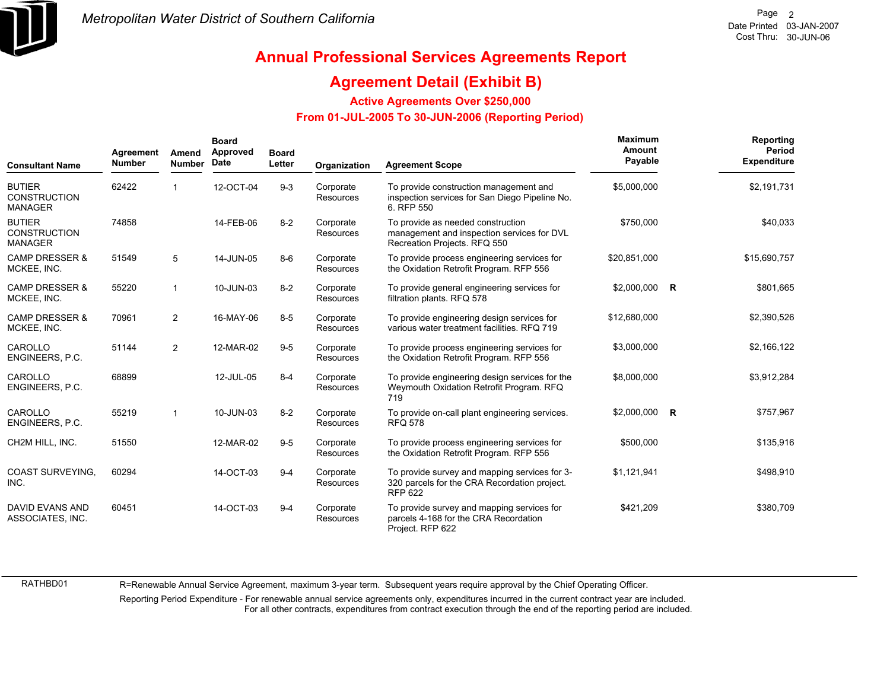

### **Agreement Detail (Exhibit B)**

**Active Agreements Over \$250,000**

#### **From 01-JUL-2005 To 30-JUN-2006 (Reporting Period)**

| <b>Consultant Name</b>                                 | Agreement<br><b>Number</b> | Amend<br><b>Number</b> | <b>Board</b><br>Approved<br><b>Date</b> | <b>Board</b><br>Letter | Organization                  | <b>Agreement Scope</b>                                                                                          | Maximum<br>Amount<br>Payable | Reporting<br>Period<br><b>Expenditure</b> |
|--------------------------------------------------------|----------------------------|------------------------|-----------------------------------------|------------------------|-------------------------------|-----------------------------------------------------------------------------------------------------------------|------------------------------|-------------------------------------------|
| <b>BUTIER</b><br><b>CONSTRUCTION</b><br><b>MANAGER</b> | 62422                      |                        | 12-OCT-04                               | $9 - 3$                | Corporate<br><b>Resources</b> | To provide construction management and<br>inspection services for San Diego Pipeline No.<br>6. RFP 550          | \$5,000,000                  | \$2,191,731                               |
| <b>BUTIER</b><br><b>CONSTRUCTION</b><br><b>MANAGER</b> | 74858                      |                        | 14-FEB-06                               | $8 - 2$                | Corporate<br><b>Resources</b> | To provide as needed construction<br>management and inspection services for DVL<br>Recreation Projects. RFQ 550 | \$750,000                    | \$40,033                                  |
| <b>CAMP DRESSER &amp;</b><br>MCKEE, INC.               | 51549                      | 5                      | 14-JUN-05                               | $8 - 6$                | Corporate<br><b>Resources</b> | To provide process engineering services for<br>the Oxidation Retrofit Program. RFP 556                          | \$20,851,000                 | \$15,690,757                              |
| <b>CAMP DRESSER &amp;</b><br>MCKEE, INC.               | 55220                      | $\mathbf 1$            | 10-JUN-03                               | $8 - 2$                | Corporate<br><b>Resources</b> | To provide general engineering services for<br>filtration plants. RFQ 578                                       | \$2,000,000 R                | \$801,665                                 |
| <b>CAMP DRESSER &amp;</b><br>MCKEE, INC.               | 70961                      | $\overline{2}$         | 16-MAY-06                               | $8-5$                  | Corporate<br>Resources        | To provide engineering design services for<br>various water treatment facilities. RFQ 719                       | \$12,680,000                 | \$2,390,526                               |
| CAROLLO<br>ENGINEERS, P.C.                             | 51144                      | $\overline{2}$         | 12-MAR-02                               | $9-5$                  | Corporate<br>Resources        | To provide process engineering services for<br>the Oxidation Retrofit Program. RFP 556                          | \$3,000,000                  | \$2,166,122                               |
| CAROLLO<br>ENGINEERS, P.C.                             | 68899                      |                        | 12-JUL-05                               | $8 - 4$                | Corporate<br>Resources        | To provide engineering design services for the<br>Weymouth Oxidation Retrofit Program. RFQ<br>719               | \$8,000,000                  | \$3,912,284                               |
| CAROLLO<br>ENGINEERS, P.C.                             | 55219                      | $\mathbf{1}$           | 10-JUN-03                               | $8 - 2$                | Corporate<br><b>Resources</b> | To provide on-call plant engineering services.<br><b>RFQ 578</b>                                                | \$2,000,000 R                | \$757,967                                 |
| CH2M HILL, INC.                                        | 51550                      |                        | 12-MAR-02                               | $9 - 5$                | Corporate<br><b>Resources</b> | To provide process engineering services for<br>the Oxidation Retrofit Program. RFP 556                          | \$500,000                    | \$135,916                                 |
| <b>COAST SURVEYING.</b><br>INC.                        | 60294                      |                        | 14-OCT-03                               | $9 - 4$                | Corporate<br><b>Resources</b> | To provide survey and mapping services for 3-<br>320 parcels for the CRA Recordation project.<br><b>RFP 622</b> | \$1,121,941                  | \$498,910                                 |
| <b>DAVID EVANS AND</b><br>ASSOCIATES, INC.             | 60451                      |                        | 14-OCT-03                               | $9 - 4$                | Corporate<br>Resources        | To provide survey and mapping services for<br>parcels 4-168 for the CRA Recordation<br>Project. RFP 622         | \$421,209                    | \$380,709                                 |

RATHBD01

R=Renewable Annual Service Agreement, maximum 3-year term. Subsequent years require approval by the Chief Operating Officer.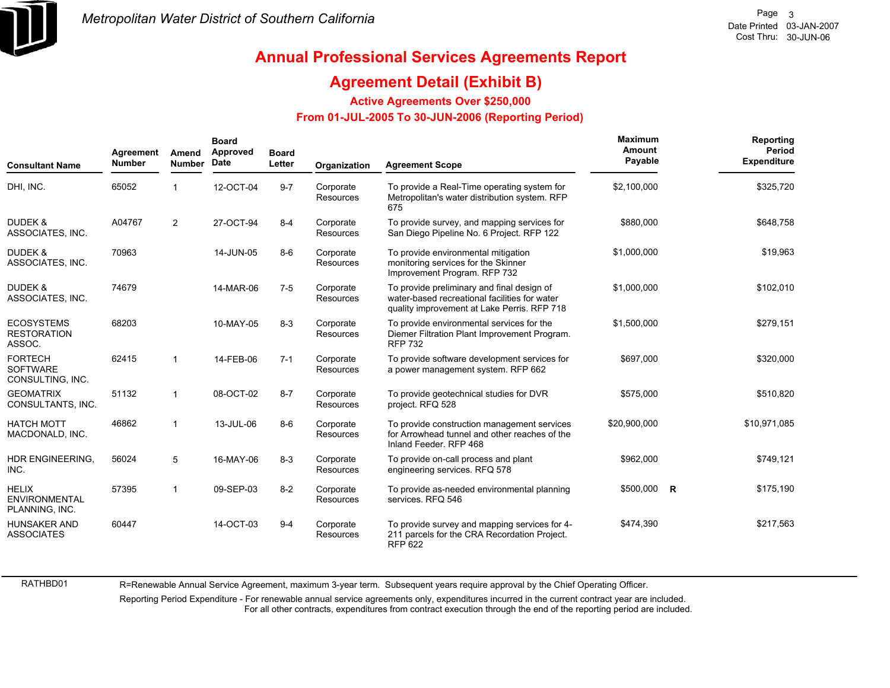

## **Annual Professional Services Agreements Report**

### **Agreement Detail (Exhibit B)**

**Active Agreements Over \$250,000**

#### **From 01-JUL-2005 To 30-JUN-2006 (Reporting Period)**

| <b>Consultant Name</b>                                 | Agreement<br><b>Number</b> | Amend<br><b>Number</b> | <b>Board</b><br>Approved<br>Date | <b>Board</b><br>Letter | Organization                  | <b>Agreement Scope</b>                                                                                                                     | Maximum<br>Amount<br>Payable |          | Reporting<br>Period<br><b>Expenditure</b> |
|--------------------------------------------------------|----------------------------|------------------------|----------------------------------|------------------------|-------------------------------|--------------------------------------------------------------------------------------------------------------------------------------------|------------------------------|----------|-------------------------------------------|
| DHI, INC.                                              | 65052                      |                        | 12-OCT-04                        | $9 - 7$                | Corporate<br><b>Resources</b> | To provide a Real-Time operating system for<br>Metropolitan's water distribution system. RFP<br>675                                        | \$2,100,000                  |          | \$325,720                                 |
| <b>DUDEK &amp;</b><br>ASSOCIATES, INC.                 | A04767                     | $\overline{2}$         | 27-OCT-94                        | $8 - 4$                | Corporate<br><b>Resources</b> | To provide survey, and mapping services for<br>San Diego Pipeline No. 6 Project. RFP 122                                                   | \$880,000                    |          | \$648,758                                 |
| <b>DUDEK &amp;</b><br>ASSOCIATES, INC.                 | 70963                      |                        | 14-JUN-05                        | $8-6$                  | Corporate<br>Resources        | To provide environmental mitigation<br>monitoring services for the Skinner<br>Improvement Program. RFP 732                                 | \$1,000,000                  |          | \$19,963                                  |
| <b>DUDEK &amp;</b><br>ASSOCIATES, INC.                 | 74679                      |                        | 14-MAR-06                        | $7 - 5$                | Corporate<br>Resources        | To provide preliminary and final design of<br>water-based recreational facilities for water<br>quality improvement at Lake Perris. RFP 718 | \$1,000,000                  |          | \$102,010                                 |
| <b>ECOSYSTEMS</b><br><b>RESTORATION</b><br>ASSOC.      | 68203                      |                        | 10-MAY-05                        | $8 - 3$                | Corporate<br>Resources        | To provide environmental services for the<br>Diemer Filtration Plant Improvement Program.<br><b>RFP 732</b>                                | \$1,500,000                  |          | \$279,151                                 |
| <b>FORTECH</b><br><b>SOFTWARE</b><br>CONSULTING, INC.  | 62415                      | $\mathbf{1}$           | 14-FEB-06                        | $7 - 1$                | Corporate<br>Resources        | To provide software development services for<br>a power management system. RFP 662                                                         | \$697,000                    |          | \$320,000                                 |
| <b>GEOMATRIX</b><br>CONSULTANTS, INC.                  | 51132                      | $\mathbf{1}$           | 08-OCT-02                        | $8 - 7$                | Corporate<br>Resources        | To provide geotechnical studies for DVR<br>project. RFQ 528                                                                                | \$575,000                    |          | \$510,820                                 |
| <b>HATCH MOTT</b><br>MACDONALD, INC.                   | 46862                      | $\mathbf{1}$           | 13-JUL-06                        | $8-6$                  | Corporate<br>Resources        | To provide construction management services<br>for Arrowhead tunnel and other reaches of the<br>Inland Feeder, RFP 468                     | \$20,900,000                 |          | \$10,971,085                              |
| HDR ENGINEERING.<br>INC.                               | 56024                      | 5                      | 16-MAY-06                        | $8 - 3$                | Corporate<br>Resources        | To provide on-call process and plant<br>engineering services. RFQ 578                                                                      | \$962,000                    |          | \$749,121                                 |
| <b>HELIX</b><br><b>ENVIRONMENTAL</b><br>PLANNING, INC. | 57395                      | $\mathbf{1}$           | 09-SEP-03                        | $8 - 2$                | Corporate<br>Resources        | To provide as-needed environmental planning<br>services. RFQ 546                                                                           | \$500,000                    | <b>R</b> | \$175,190                                 |
| <b>HUNSAKER AND</b><br><b>ASSOCIATES</b>               | 60447                      |                        | 14-OCT-03                        | $9 - 4$                | Corporate<br>Resources        | To provide survey and mapping services for 4-<br>211 parcels for the CRA Recordation Project.<br><b>RFP 622</b>                            | \$474,390                    |          | \$217,563                                 |

R=Renewable Annual Service Agreement, maximum 3-year term. Subsequent years require approval by the Chief Operating Officer.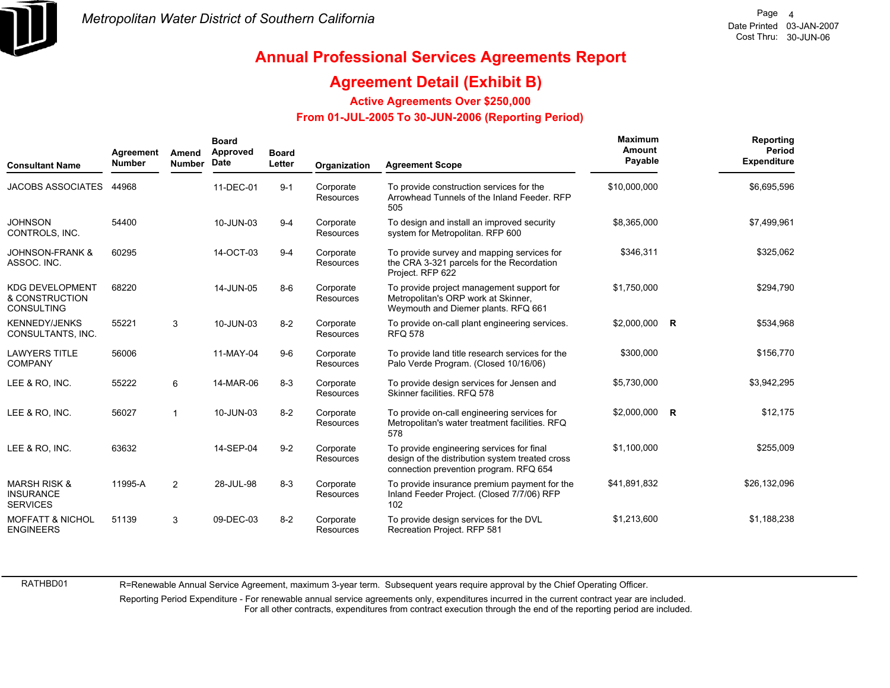

### **Agreement Detail (Exhibit B)**

**Active Agreements Over \$250,000**

#### **From 01-JUL-2005 To 30-JUN-2006 (Reporting Period)**

| <b>Consultant Name</b>                                         | Agreement<br><b>Number</b> | Amend<br><b>Number</b> | <b>Board</b><br>Approved<br>Date | <b>Board</b><br>Letter | Organization                  | <b>Agreement Scope</b>                                                                                                                 | Maximum<br><b>Amount</b><br>Payable | Reporting<br>Period<br><b>Expenditure</b> |
|----------------------------------------------------------------|----------------------------|------------------------|----------------------------------|------------------------|-------------------------------|----------------------------------------------------------------------------------------------------------------------------------------|-------------------------------------|-------------------------------------------|
| <b>JACOBS ASSOCIATES</b>                                       | 44968                      |                        | 11-DEC-01                        | $9 - 1$                | Corporate<br><b>Resources</b> | To provide construction services for the<br>Arrowhead Tunnels of the Inland Feeder, RFP<br>505                                         | \$10,000,000                        | \$6,695,596                               |
| <b>JOHNSON</b><br>CONTROLS, INC.                               | 54400                      |                        | 10-JUN-03                        | $9 - 4$                | Corporate<br>Resources        | To design and install an improved security<br>system for Metropolitan. RFP 600                                                         | \$8,365,000                         | \$7,499,961                               |
| <b>JOHNSON-FRANK &amp;</b><br>ASSOC. INC.                      | 60295                      |                        | 14-OCT-03                        | $9 - 4$                | Corporate<br>Resources        | To provide survey and mapping services for<br>the CRA 3-321 parcels for the Recordation<br>Project. RFP 622                            | \$346,311                           | \$325,062                                 |
| <b>KDG DEVELOPMENT</b><br>& CONSTRUCTION<br>CONSULTING         | 68220                      |                        | 14-JUN-05                        | $8-6$                  | Corporate<br>Resources        | To provide project management support for<br>Metropolitan's ORP work at Skinner,<br>Weymouth and Diemer plants. RFQ 661                | \$1,750,000                         | \$294,790                                 |
| <b>KENNEDY/JENKS</b><br>CONSULTANTS, INC.                      | 55221                      | 3                      | 10-JUN-03                        | $8 - 2$                | Corporate<br><b>Resources</b> | To provide on-call plant engineering services.<br><b>RFQ 578</b>                                                                       | \$2,000,000 R                       | \$534,968                                 |
| <b>LAWYERS TITLE</b><br><b>COMPANY</b>                         | 56006                      |                        | 11-MAY-04                        | $9-6$                  | Corporate<br>Resources        | To provide land title research services for the<br>Palo Verde Program. (Closed 10/16/06)                                               | \$300,000                           | \$156,770                                 |
| LEE & RO, INC.                                                 | 55222                      | 6                      | 14-MAR-06                        | $8 - 3$                | Corporate<br>Resources        | To provide design services for Jensen and<br>Skinner facilities, RFQ 578                                                               | \$5,730,000                         | \$3,942,295                               |
| LEE & RO. INC.                                                 | 56027                      |                        | 10-JUN-03                        | $8 - 2$                | Corporate<br>Resources        | To provide on-call engineering services for<br>Metropolitan's water treatment facilities. RFQ<br>578                                   | \$2,000,000 R                       | \$12,175                                  |
| LEE & RO. INC.                                                 | 63632                      |                        | 14-SEP-04                        | $9 - 2$                | Corporate<br>Resources        | To provide engineering services for final<br>design of the distribution system treated cross<br>connection prevention program. RFQ 654 | \$1,100,000                         | \$255,009                                 |
| <b>MARSH RISK &amp;</b><br><b>INSURANCE</b><br><b>SERVICES</b> | 11995-A                    | $\overline{2}$         | 28-JUL-98                        | $8 - 3$                | Corporate<br><b>Resources</b> | To provide insurance premium payment for the<br>Inland Feeder Project. (Closed 7/7/06) RFP<br>102                                      | \$41,891,832                        | \$26,132,096                              |
| <b>MOFFATT &amp; NICHOL</b><br><b>ENGINEERS</b>                | 51139                      | 3                      | 09-DEC-03                        | $8 - 2$                | Corporate<br>Resources        | To provide design services for the DVL<br>Recreation Project. RFP 581                                                                  | \$1,213,600                         | \$1,188,238                               |

RATHBD01

R=Renewable Annual Service Agreement, maximum 3-year term. Subsequent years require approval by the Chief Operating Officer.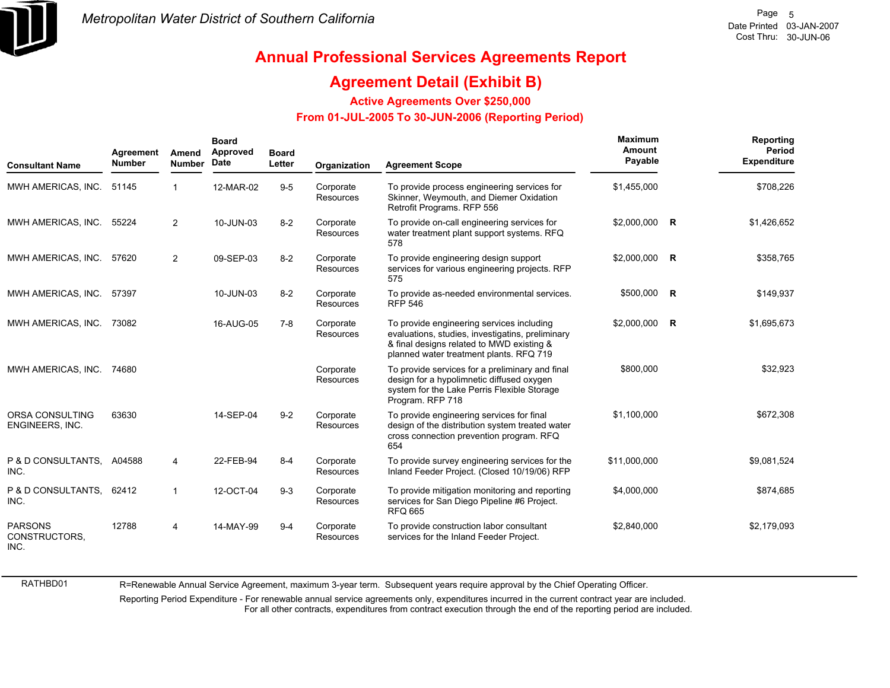

## **Annual Professional Services Agreements Report**

### **Agreement Detail (Exhibit B)**

**Active Agreements Over \$250,000**

#### **From 01-JUL-2005 To 30-JUN-2006 (Reporting Period)**

| <b>Consultant Name</b>                  | Agreement<br><b>Number</b> | Amend<br><b>Number</b> | <b>Board</b><br>Approved<br><b>Date</b> | <b>Board</b><br>Letter | Organization           | <b>Agreement Scope</b>                                                                                                                                                                | Maximum<br>Amount<br>Payable | Reporting<br>Period<br><b>Expenditure</b> |
|-----------------------------------------|----------------------------|------------------------|-----------------------------------------|------------------------|------------------------|---------------------------------------------------------------------------------------------------------------------------------------------------------------------------------------|------------------------------|-------------------------------------------|
| MWH AMERICAS, INC.                      | 51145                      | 1                      | 12-MAR-02                               | $9-5$                  | Corporate<br>Resources | To provide process engineering services for<br>Skinner, Weymouth, and Diemer Oxidation<br>Retrofit Programs. RFP 556                                                                  | \$1,455,000                  | \$708,226                                 |
| MWH AMERICAS, INC.                      | 55224                      | $\overline{2}$         | 10-JUN-03                               | $8 - 2$                | Corporate<br>Resources | To provide on-call engineering services for<br>water treatment plant support systems. RFQ<br>578                                                                                      | \$2,000,000 R                | \$1,426,652                               |
| MWH AMERICAS, INC.                      | 57620                      | $\overline{2}$         | 09-SEP-03                               | $8 - 2$                | Corporate<br>Resources | To provide engineering design support<br>services for various engineering projects. RFP<br>575                                                                                        | \$2,000,000 R                | \$358,765                                 |
| MWH AMERICAS, INC.                      | 57397                      |                        | 10-JUN-03                               | $8 - 2$                | Corporate<br>Resources | To provide as-needed environmental services.<br><b>RFP 546</b>                                                                                                                        | \$500,000 R                  | \$149,937                                 |
| MWH AMERICAS, INC.                      | 73082                      |                        | 16-AUG-05                               | $7 - 8$                | Corporate<br>Resources | To provide engineering services including<br>evaluations, studies, investigatins, preliminary<br>& final designs related to MWD existing &<br>planned water treatment plants. RFQ 719 | \$2,000,000 R                | \$1,695,673                               |
| MWH AMERICAS, INC.                      | 74680                      |                        |                                         |                        | Corporate<br>Resources | To provide services for a preliminary and final<br>design for a hypolimnetic diffused oxygen<br>system for the Lake Perris Flexible Storage<br>Program. RFP 718                       | \$800,000                    | \$32,923                                  |
| ORSA CONSULTING<br>ENGINEERS, INC.      | 63630                      |                        | 14-SEP-04                               | $9 - 2$                | Corporate<br>Resources | To provide engineering services for final<br>design of the distribution system treated water<br>cross connection prevention program. RFQ<br>654                                       | \$1,100,000                  | \$672,308                                 |
| P & D CONSULTANTS.<br>INC.              | A04588                     | 4                      | 22-FEB-94                               | $8 - 4$                | Corporate<br>Resources | To provide survey engineering services for the<br>Inland Feeder Project. (Closed 10/19/06) RFP                                                                                        | \$11,000,000                 | \$9,081,524                               |
| P & D CONSULTANTS,<br>INC.              | 62412                      | $\mathbf{1}$           | 12-OCT-04                               | $9 - 3$                | Corporate<br>Resources | To provide mitigation monitoring and reporting<br>services for San Diego Pipeline #6 Project.<br><b>RFQ 665</b>                                                                       | \$4,000,000                  | \$874,685                                 |
| <b>PARSONS</b><br>CONSTRUCTORS,<br>INC. | 12788                      | 4                      | 14-MAY-99                               | $9 - 4$                | Corporate<br>Resources | To provide construction labor consultant<br>services for the Inland Feeder Project.                                                                                                   | \$2.840.000                  | \$2,179,093                               |

R=Renewable Annual Service Agreement, maximum 3-year term. Subsequent years require approval by the Chief Operating Officer.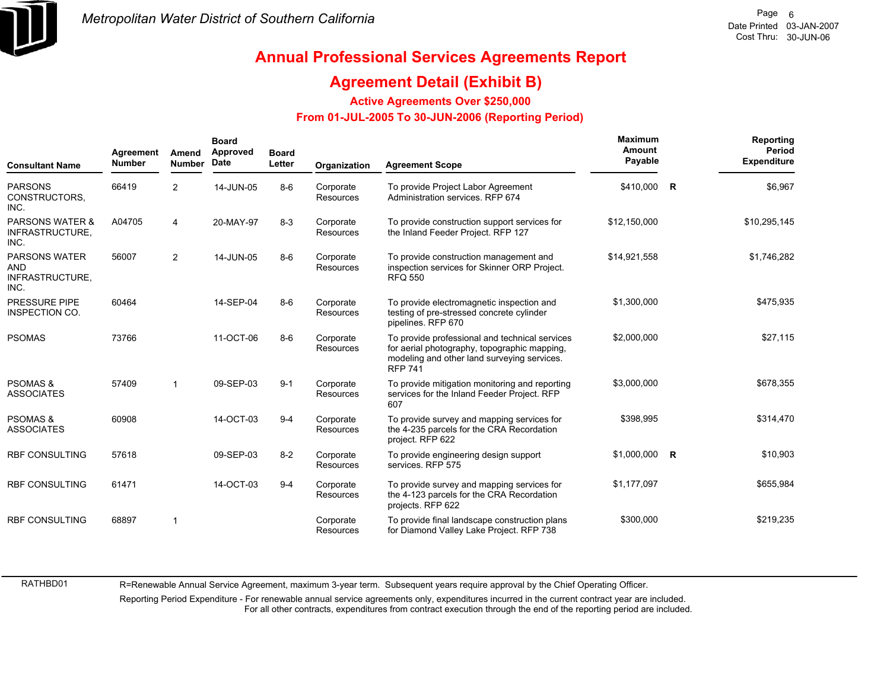

## **Annual Professional Services Agreements Report**

### **Agreement Detail (Exhibit B)**

**Active Agreements Over \$250,000**

#### **From 01-JUL-2005 To 30-JUN-2006 (Reporting Period)**

| <b>Consultant Name</b>                                        | Agreement<br><b>Number</b> | Amend<br><b>Number</b> | <b>Board</b><br>Approved<br>Date | <b>Board</b><br>Letter | Organization                  | <b>Agreement Scope</b>                                                                                                                                          | Maximum<br>Amount<br>Payable |             | Reporting<br>Period<br><b>Expenditure</b> |
|---------------------------------------------------------------|----------------------------|------------------------|----------------------------------|------------------------|-------------------------------|-----------------------------------------------------------------------------------------------------------------------------------------------------------------|------------------------------|-------------|-------------------------------------------|
| <b>PARSONS</b><br>CONSTRUCTORS,<br>INC.                       | 66419                      | $\overline{2}$         | 14-JUN-05                        | $8 - 6$                | Corporate<br>Resources        | To provide Project Labor Agreement<br>Administration services. RFP 674                                                                                          | \$410,000                    | R           | \$6,967                                   |
| <b>PARSONS WATER &amp;</b><br>INFRASTRUCTURE,<br>INC.         | A04705                     | 4                      | 20-MAY-97                        | $8 - 3$                | Corporate<br><b>Resources</b> | To provide construction support services for<br>the Inland Feeder Project. RFP 127                                                                              | \$12,150,000                 |             | \$10,295,145                              |
| <b>PARSONS WATER</b><br><b>AND</b><br>INFRASTRUCTURE,<br>INC. | 56007                      | $\overline{2}$         | 14-JUN-05                        | $8-6$                  | Corporate<br><b>Resources</b> | To provide construction management and<br>inspection services for Skinner ORP Project.<br><b>RFQ 550</b>                                                        | \$14,921,558                 |             | \$1,746,282                               |
| <b>PRESSURE PIPE</b><br><b>INSPECTION CO.</b>                 | 60464                      |                        | 14-SEP-04                        | $8 - 6$                | Corporate<br><b>Resources</b> | To provide electromagnetic inspection and<br>testing of pre-stressed concrete cylinder<br>pipelines. RFP 670                                                    | \$1,300,000                  |             | \$475,935                                 |
| <b>PSOMAS</b>                                                 | 73766                      |                        | 11-OCT-06                        | $8 - 6$                | Corporate<br>Resources        | To provide professional and technical services<br>for aerial photography, topographic mapping,<br>modeling and other land surveying services.<br><b>RFP 741</b> | \$2,000,000                  |             | \$27,115                                  |
| <b>PSOMAS &amp;</b><br><b>ASSOCIATES</b>                      | 57409                      | $\mathbf{1}$           | 09-SEP-03                        | $9 - 1$                | Corporate<br>Resources        | To provide mitigation monitoring and reporting<br>services for the Inland Feeder Project. RFP<br>607                                                            | \$3,000,000                  |             | \$678,355                                 |
| <b>PSOMAS &amp;</b><br><b>ASSOCIATES</b>                      | 60908                      |                        | 14-OCT-03                        | $9 - 4$                | Corporate<br><b>Resources</b> | To provide survey and mapping services for<br>the 4-235 parcels for the CRA Recordation<br>project. RFP 622                                                     | \$398,995                    |             | \$314,470                                 |
| <b>RBF CONSULTING</b>                                         | 57618                      |                        | 09-SEP-03                        | $8 - 2$                | Corporate<br>Resources        | To provide engineering design support<br>services. RFP 575                                                                                                      | \$1,000,000                  | $\mathbf R$ | \$10,903                                  |
| <b>RBF CONSULTING</b>                                         | 61471                      |                        | 14-OCT-03                        | $9 - 4$                | Corporate<br><b>Resources</b> | To provide survey and mapping services for<br>the 4-123 parcels for the CRA Recordation<br>projects. RFP 622                                                    | \$1,177,097                  |             | \$655,984                                 |
| <b>RBF CONSULTING</b>                                         | 68897                      | -1                     |                                  |                        | Corporate<br>Resources        | To provide final landscape construction plans<br>for Diamond Valley Lake Project. RFP 738                                                                       | \$300,000                    |             | \$219,235                                 |

R=Renewable Annual Service Agreement, maximum 3-year term. Subsequent years require approval by the Chief Operating Officer.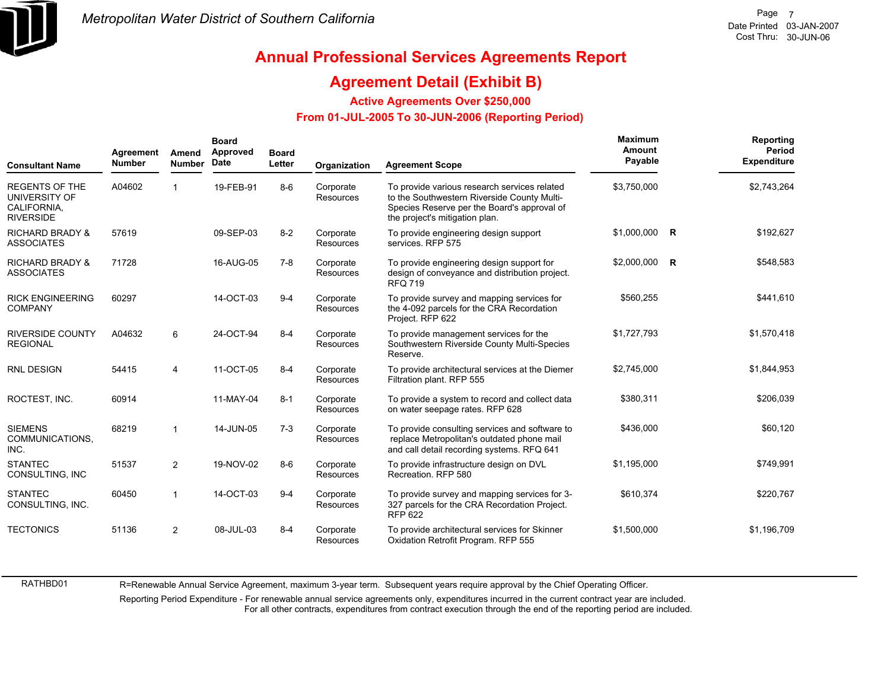

### **Annual Professional Services Agreements Report**

### **Agreement Detail (Exhibit B)**

**Active Agreements Over \$250,000**

 **From 01-JUL-2005 To 30-JUN-2006 (Reporting Period)** 

| <b>Consultant Name</b>                                                    | Agreement<br><b>Number</b> | Amend<br><b>Number</b> | <b>Board</b><br>Approved<br>Date | <b>Board</b><br>Letter | Organization                  | <b>Agreement Scope</b>                                                                                                                                                       | Maximum<br>Amount<br>Payable | Reporting<br>Period<br><b>Expenditure</b> |
|---------------------------------------------------------------------------|----------------------------|------------------------|----------------------------------|------------------------|-------------------------------|------------------------------------------------------------------------------------------------------------------------------------------------------------------------------|------------------------------|-------------------------------------------|
| <b>REGENTS OF THE</b><br>UNIVERSITY OF<br>CALIFORNIA.<br><b>RIVERSIDE</b> | A04602                     |                        | 19-FEB-91                        | $8-6$                  | Corporate<br><b>Resources</b> | To provide various research services related<br>to the Southwestern Riverside County Multi-<br>Species Reserve per the Board's approval of<br>the project's mitigation plan. | \$3,750,000                  | \$2,743,264                               |
| <b>RICHARD BRADY &amp;</b><br><b>ASSOCIATES</b>                           | 57619                      |                        | 09-SEP-03                        | $8 - 2$                | Corporate<br><b>Resources</b> | To provide engineering design support<br>services. RFP 575                                                                                                                   | \$1,000,000 R                | \$192,627                                 |
| <b>RICHARD BRADY &amp;</b><br><b>ASSOCIATES</b>                           | 71728                      |                        | 16-AUG-05                        | $7-8$                  | Corporate<br>Resources        | To provide engineering design support for<br>design of conveyance and distribution project.<br><b>RFQ 719</b>                                                                | \$2,000,000 R                | \$548,583                                 |
| <b>RICK ENGINEERING</b><br><b>COMPANY</b>                                 | 60297                      |                        | 14-OCT-03                        | $9 - 4$                | Corporate<br>Resources        | To provide survey and mapping services for<br>the 4-092 parcels for the CRA Recordation<br>Project. RFP 622                                                                  | \$560,255                    | \$441,610                                 |
| <b>RIVERSIDE COUNTY</b><br><b>REGIONAL</b>                                | A04632                     | 6                      | 24-OCT-94                        | $8 - 4$                | Corporate<br><b>Resources</b> | To provide management services for the<br>Southwestern Riverside County Multi-Species<br>Reserve.                                                                            | \$1,727,793                  | \$1,570,418                               |
| <b>RNL DESIGN</b>                                                         | 54415                      | $\overline{4}$         | 11-OCT-05                        | $8 - 4$                | Corporate<br><b>Resources</b> | To provide architectural services at the Diemer<br>Filtration plant. RFP 555                                                                                                 | \$2.745.000                  | \$1,844,953                               |
| ROCTEST, INC.                                                             | 60914                      |                        | 11-MAY-04                        | $8 - 1$                | Corporate<br><b>Resources</b> | To provide a system to record and collect data<br>on water seepage rates. RFP 628                                                                                            | \$380,311                    | \$206,039                                 |
| <b>SIEMENS</b><br>COMMUNICATIONS.<br>INC.                                 | 68219                      | $\mathbf{1}$           | 14-JUN-05                        | $7-3$                  | Corporate<br><b>Resources</b> | To provide consulting services and software to<br>replace Metropolitan's outdated phone mail<br>and call detail recording systems. RFQ 641                                   | \$436,000                    | \$60,120                                  |
| <b>STANTEC</b><br>CONSULTING, INC                                         | 51537                      | 2                      | 19-NOV-02                        | $8-6$                  | Corporate<br><b>Resources</b> | To provide infrastructure design on DVL<br>Recreation, RFP 580                                                                                                               | \$1,195,000                  | \$749,991                                 |
| <b>STANTEC</b><br>CONSULTING, INC.                                        | 60450                      | $\mathbf{1}$           | 14-OCT-03                        | $9 - 4$                | Corporate<br><b>Resources</b> | To provide survey and mapping services for 3-<br>327 parcels for the CRA Recordation Project.<br><b>RFP 622</b>                                                              | \$610,374                    | \$220,767                                 |
| <b>TECTONICS</b>                                                          | 51136                      | $\overline{2}$         | 08-JUL-03                        | $8 - 4$                | Corporate<br>Resources        | To provide architectural services for Skinner<br>Oxidation Retrofit Program. RFP 555                                                                                         | \$1,500,000                  | \$1,196,709                               |

R=Renewable Annual Service Agreement, maximum 3-year term. Subsequent years require approval by the Chief Operating Officer.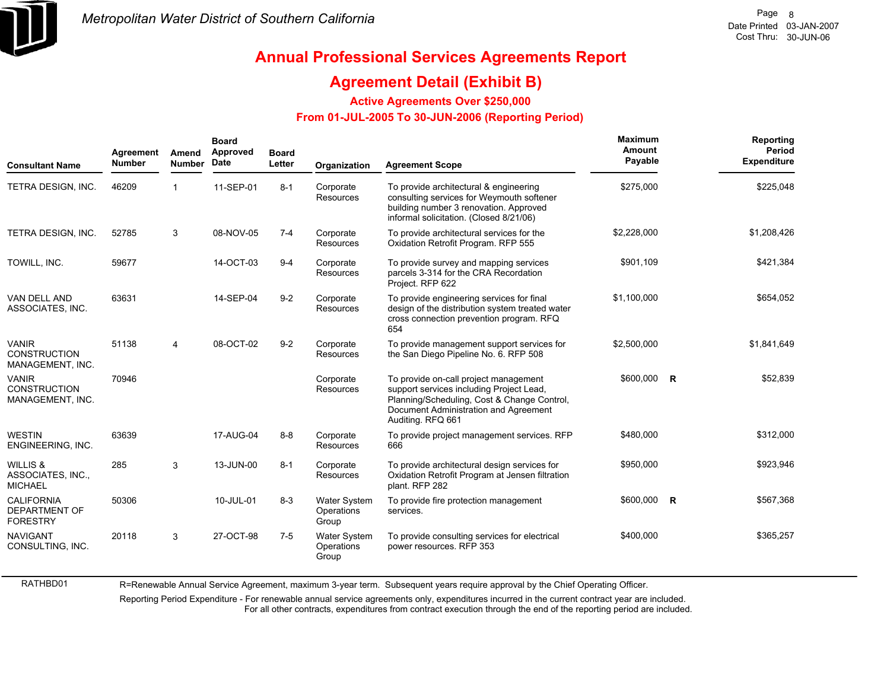

## **Annual Professional Services Agreements Report**

### **Agreement Detail (Exhibit B)**

**Active Agreements Over \$250,000**

#### **From 01-JUL-2005 To 30-JUN-2006 (Reporting Period)**

| <b>Consultant Name</b>                                       | Agreement<br><b>Number</b> | Amend<br><b>Number</b> | <b>Board</b><br>Approved<br>Date | <b>Board</b><br>Letter | Organization                               | <b>Agreement Scope</b>                                                                                                                                                                         | Maximum<br>Amount<br>Payable | Reporting<br><b>Period</b><br><b>Expenditure</b> |
|--------------------------------------------------------------|----------------------------|------------------------|----------------------------------|------------------------|--------------------------------------------|------------------------------------------------------------------------------------------------------------------------------------------------------------------------------------------------|------------------------------|--------------------------------------------------|
| TETRA DESIGN, INC.                                           | 46209                      | 1                      | 11-SEP-01                        | $8 - 1$                | Corporate<br>Resources                     | To provide architectural & engineering<br>consulting services for Weymouth softener<br>building number 3 renovation. Approved<br>informal solicitation. (Closed 8/21/06)                       | \$275,000                    | \$225,048                                        |
| TETRA DESIGN, INC.                                           | 52785                      | 3                      | 08-NOV-05                        | $7 - 4$                | Corporate<br><b>Resources</b>              | To provide architectural services for the<br>Oxidation Retrofit Program. RFP 555                                                                                                               | \$2,228,000                  | \$1,208,426                                      |
| TOWILL, INC.                                                 | 59677                      |                        | 14-OCT-03                        | $9 - 4$                | Corporate<br>Resources                     | To provide survey and mapping services<br>parcels 3-314 for the CRA Recordation<br>Project. RFP 622                                                                                            | \$901,109                    | \$421,384                                        |
| VAN DELL AND<br>ASSOCIATES, INC.                             | 63631                      |                        | 14-SEP-04                        | $9 - 2$                | Corporate<br>Resources                     | To provide engineering services for final<br>design of the distribution system treated water<br>cross connection prevention program. RFQ<br>654                                                | \$1,100,000                  | \$654,052                                        |
| <b>VANIR</b><br><b>CONSTRUCTION</b><br>MANAGEMENT, INC.      | 51138                      | 4                      | 08-OCT-02                        | $9 - 2$                | Corporate<br>Resources                     | To provide management support services for<br>the San Diego Pipeline No. 6. RFP 508                                                                                                            | \$2,500,000                  | \$1.841.649                                      |
| <b>VANIR</b><br><b>CONSTRUCTION</b><br>MANAGEMENT, INC.      | 70946                      |                        |                                  |                        | Corporate<br>Resources                     | To provide on-call project management<br>support services including Project Lead,<br>Planning/Scheduling, Cost & Change Control,<br>Document Administration and Agreement<br>Auditing. RFQ 661 | \$600,000 R                  | \$52,839                                         |
| <b>WESTIN</b><br>ENGINEERING, INC.                           | 63639                      |                        | 17-AUG-04                        | $8 - 8$                | Corporate<br>Resources                     | To provide project management services. RFP<br>666                                                                                                                                             | \$480,000                    | \$312,000                                        |
| WILLIS &<br>ASSOCIATES, INC.,<br><b>MICHAEL</b>              | 285                        | 3                      | 13-JUN-00                        | $8 - 1$                | Corporate<br>Resources                     | To provide architectural design services for<br>Oxidation Retrofit Program at Jensen filtration<br>plant. RFP 282                                                                              | \$950,000                    | \$923,946                                        |
| <b>CALIFORNIA</b><br><b>DEPARTMENT OF</b><br><b>FORESTRY</b> | 50306                      |                        | 10-JUL-01                        | $8 - 3$                | <b>Water System</b><br>Operations<br>Group | To provide fire protection management<br>services.                                                                                                                                             | \$600,000 R                  | \$567,368                                        |
| <b>NAVIGANT</b><br>CONSULTING, INC.                          | 20118                      | 3                      | 27-OCT-98                        | $7-5$                  | Water System<br>Operations<br>Group        | To provide consulting services for electrical<br>power resources. RFP 353                                                                                                                      | \$400,000                    | \$365,257                                        |

R=Renewable Annual Service Agreement, maximum 3-year term. Subsequent years require approval by the Chief Operating Officer.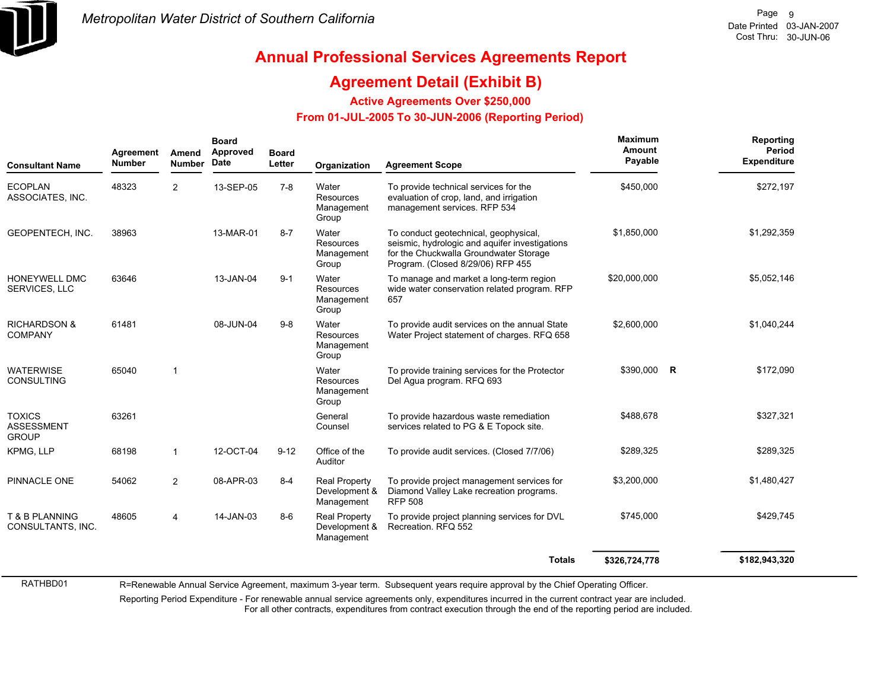

## **Annual Professional Services Agreements Report**

#### **Agreement Detail (Exhibit B)**

**Active Agreements Over \$250,000**

#### **From 01-JUL-2005 To 30-JUN-2006 (Reporting Period)**

| <b>Consultant Name</b>                             | Agreement<br><b>Number</b> | Amend<br><b>Number</b> | <b>Board</b><br><b>Approved</b><br><b>Date</b> | <b>Board</b><br>Letter | Organization                                        | <b>Agreement Scope</b>                                                                                                                                                 | <b>Maximum</b><br>Amount<br>Payable | Reporting<br>Period<br><b>Expenditure</b> |
|----------------------------------------------------|----------------------------|------------------------|------------------------------------------------|------------------------|-----------------------------------------------------|------------------------------------------------------------------------------------------------------------------------------------------------------------------------|-------------------------------------|-------------------------------------------|
| <b>ECOPLAN</b><br>ASSOCIATES. INC.                 | 48323                      | 2                      | 13-SEP-05                                      | $7 - 8$                | Water<br>Resources<br>Management<br>Group           | To provide technical services for the<br>evaluation of crop, land, and irrigation<br>management services. RFP 534                                                      | \$450,000                           | \$272,197                                 |
| GEOPENTECH, INC.                                   | 38963                      |                        | 13-MAR-01                                      | $8 - 7$                | Water<br>Resources<br>Management<br>Group           | To conduct geotechnical, geophysical,<br>seismic, hydrologic and aquifer investigations<br>for the Chuckwalla Groundwater Storage<br>Program. (Closed 8/29/06) RFP 455 | \$1,850,000                         | \$1,292,359                               |
| HONEYWELL DMC<br>SERVICES, LLC                     | 63646                      |                        | 13-JAN-04                                      | $9 - 1$                | Water<br>Resources<br>Management<br>Group           | To manage and market a long-term region<br>wide water conservation related program. RFP<br>657                                                                         | \$20,000,000                        | \$5,052,146                               |
| <b>RICHARDSON &amp;</b><br><b>COMPANY</b>          | 61481                      |                        | 08-JUN-04                                      | $9 - 8$                | Water<br>Resources<br>Management<br>Group           | To provide audit services on the annual State<br>Water Project statement of charges. RFQ 658                                                                           | \$2,600,000                         | \$1,040,244                               |
| <b>WATERWISE</b><br><b>CONSULTING</b>              | 65040                      | $\overline{1}$         |                                                |                        | Water<br>Resources<br>Management<br>Group           | To provide training services for the Protector<br>Del Aqua program. RFQ 693                                                                                            | \$390,000 R                         | \$172,090                                 |
| <b>TOXICS</b><br><b>ASSESSMENT</b><br><b>GROUP</b> | 63261                      |                        |                                                |                        | General<br>Counsel                                  | To provide hazardous waste remediation<br>services related to PG & E Topock site.                                                                                      | \$488,678                           | \$327,321                                 |
| KPMG, LLP                                          | 68198                      | $\mathbf{1}$           | 12-OCT-04                                      | $9 - 12$               | Office of the<br>Auditor                            | To provide audit services. (Closed 7/7/06)                                                                                                                             | \$289,325                           | \$289,325                                 |
| PINNACLE ONE                                       | 54062                      | $\overline{2}$         | 08-APR-03                                      | $8 - 4$                | <b>Real Property</b><br>Development &<br>Management | To provide project management services for<br>Diamond Valley Lake recreation programs.<br><b>RFP 508</b>                                                               | \$3,200,000                         | \$1,480,427                               |
| T & B PLANNING<br>CONSULTANTS, INC.                | 48605                      | 4                      | 14-JAN-03                                      | $8-6$                  | <b>Real Property</b><br>Development &<br>Management | To provide project planning services for DVL<br>Recreation. RFQ 552                                                                                                    | \$745,000                           | \$429,745                                 |
|                                                    |                            |                        |                                                |                        |                                                     | <b>Totals</b>                                                                                                                                                          | \$326,724,778                       | \$182,943,320                             |

R=Renewable Annual Service Agreement, maximum 3-year term. Subsequent years require approval by the Chief Operating Officer.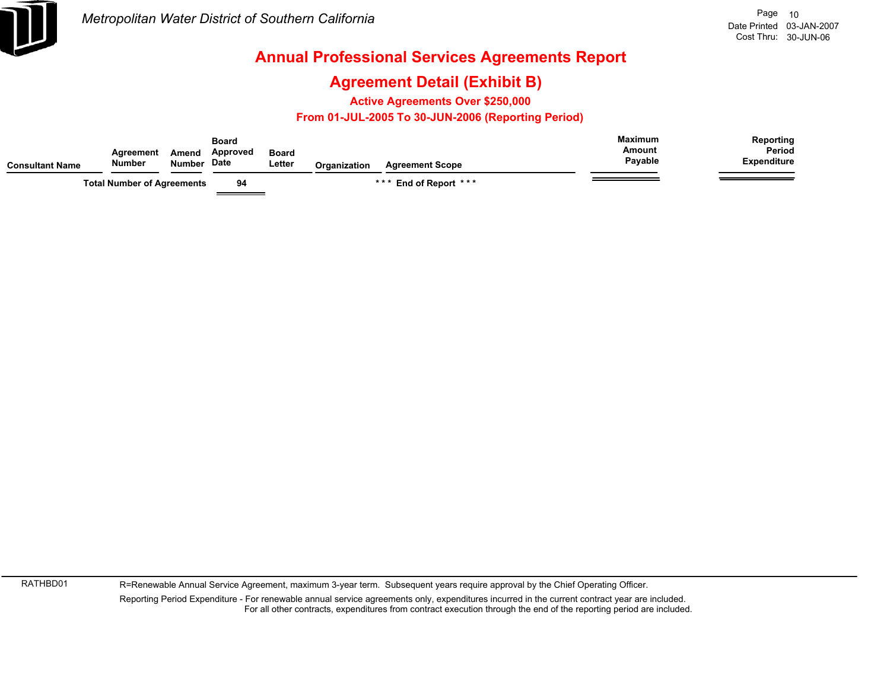

### **Agreement Detail (Exhibit B)**

**Active Agreements Over \$250,000**

#### **From 01-JUL-2005 To 30-JUN-2006 (Reporting Period)**

| <b>Consultant Name</b> | Agreement<br>Number               | Amend<br><b>Number</b> | Board<br>Approved<br><b>Date</b> | <b>Board</b><br>∟etter | <b>Organization</b> | <b>Agreement Scope</b>     | <b>Maximum</b><br>Amount<br>Payable | Reporting<br>Period<br><b>Expenditure</b> |
|------------------------|-----------------------------------|------------------------|----------------------------------|------------------------|---------------------|----------------------------|-------------------------------------|-------------------------------------------|
|                        | <b>Total Number of Agreements</b> |                        | 94                               |                        |                     | End of Report ***<br>* * * |                                     |                                           |

RATHBD01

R=Renewable Annual Service Agreement, maximum 3-year term. Subsequent years require approval by the Chief Operating Officer.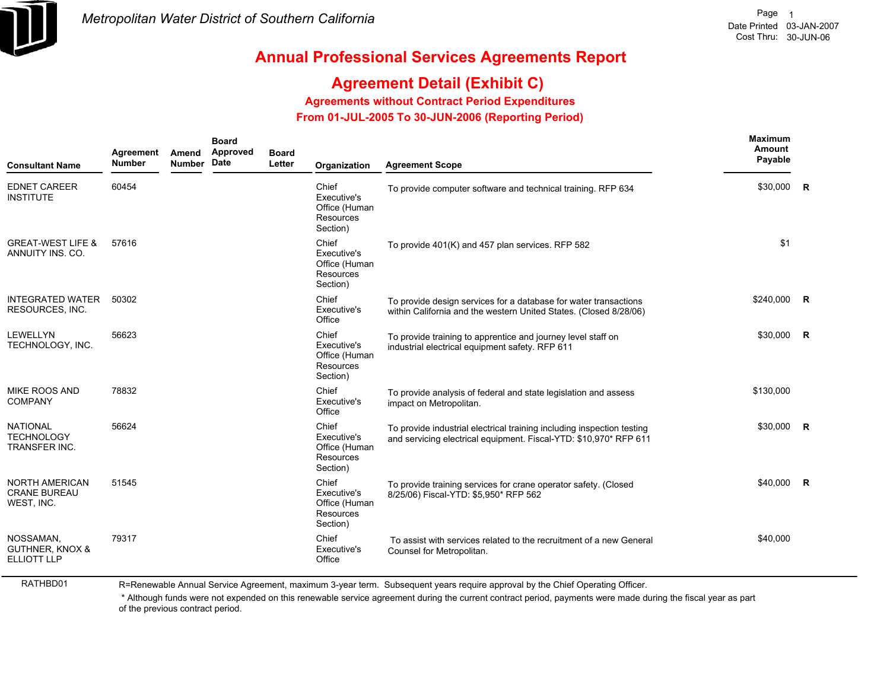

## **Agreement Detail (Exhibit C)**

**Agreements without Contract Period Expenditures**

 **From 01-JUL-2005 To 30-JUN-2006 (Reporting Period)** 

| <b>Consultant Name</b>                                        | Agreement<br><b>Number</b> | Amend<br><b>Number</b> | <b>Board</b><br>Approved<br>Date | <b>Board</b><br>Letter | Organization                                                   | <b>Agreement Scope</b>                                                                                                                      | <b>Maximum</b><br>Amount<br>Payable |             |
|---------------------------------------------------------------|----------------------------|------------------------|----------------------------------|------------------------|----------------------------------------------------------------|---------------------------------------------------------------------------------------------------------------------------------------------|-------------------------------------|-------------|
| <b>EDNET CAREER</b><br><b>INSTITUTE</b>                       | 60454                      |                        |                                  |                        | Chief<br>Executive's<br>Office (Human<br>Resources<br>Section) | To provide computer software and technical training. RFP 634                                                                                | \$30,000                            | R           |
| <b>GREAT-WEST LIFE &amp;</b><br>ANNUITY INS. CO.              | 57616                      |                        |                                  |                        | Chief<br>Executive's<br>Office (Human<br>Resources<br>Section) | To provide 401(K) and 457 plan services. RFP 582                                                                                            | \$1                                 |             |
| <b>INTEGRATED WATER</b><br><b>RESOURCES, INC.</b>             | 50302                      |                        |                                  |                        | Chief<br>Executive's<br>Office                                 | To provide design services for a database for water transactions<br>within California and the western United States. (Closed 8/28/06)       | \$240,000                           | <b>R</b>    |
| <b>LEWELLYN</b><br>TECHNOLOGY, INC.                           | 56623                      |                        |                                  |                        | Chief<br>Executive's<br>Office (Human<br>Resources<br>Section) | To provide training to apprentice and journey level staff on<br>industrial electrical equipment safety. RFP 611                             | \$30,000                            | <b>R</b>    |
| MIKE ROOS AND<br><b>COMPANY</b>                               | 78832                      |                        |                                  |                        | Chief<br>Executive's<br>Office                                 | To provide analysis of federal and state legislation and assess<br>impact on Metropolitan.                                                  | \$130,000                           |             |
| <b>NATIONAL</b><br><b>TECHNOLOGY</b><br><b>TRANSFER INC.</b>  | 56624                      |                        |                                  |                        | Chief<br>Executive's<br>Office (Human<br>Resources<br>Section) | To provide industrial electrical training including inspection testing<br>and servicing electrical equipment. Fiscal-YTD: \$10,970* RFP 611 | \$30,000                            | $\mathbf R$ |
| <b>NORTH AMERICAN</b><br><b>CRANE BUREAU</b><br>WEST, INC.    | 51545                      |                        |                                  |                        | Chief<br>Executive's<br>Office (Human<br>Resources<br>Section) | To provide training services for crane operator safety. (Closed<br>8/25/06) Fiscal-YTD: \$5,950* RFP 562                                    | \$40,000 R                          |             |
| NOSSAMAN.<br><b>GUTHNER, KNOX &amp;</b><br><b>ELLIOTT LLP</b> | 79317                      |                        |                                  |                        | Chief<br>Executive's<br>Office                                 | To assist with services related to the recruitment of a new General<br>Counsel for Metropolitan.                                            | \$40,000                            |             |

RATHBD01

R=Renewable Annual Service Agreement, maximum 3-year term. Subsequent years require approval by the Chief Operating Officer.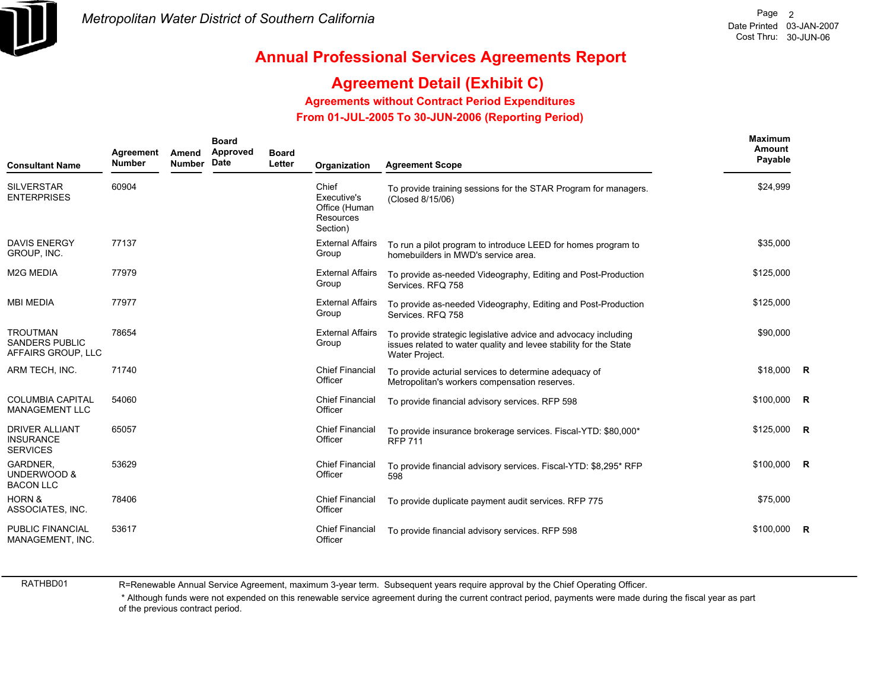

## **Agreement Detail (Exhibit C)**

**Agreements without Contract Period Expenditures**

 **From 01-JUL-2005 To 30-JUN-2006 (Reporting Period)** 

| <b>Consultant Name</b>                                         | Agreement<br><b>Number</b> | Amend<br><b>Number</b> | <b>Board</b><br>Approved<br>Date | <b>Board</b><br>Letter | Organization                                                   | <b>Agreement Scope</b>                                                                                                                                | <b>Maximum</b><br>Amount<br>Payable |  |
|----------------------------------------------------------------|----------------------------|------------------------|----------------------------------|------------------------|----------------------------------------------------------------|-------------------------------------------------------------------------------------------------------------------------------------------------------|-------------------------------------|--|
| <b>SILVERSTAR</b><br><b>ENTERPRISES</b>                        | 60904                      |                        |                                  |                        | Chief<br>Executive's<br>Office (Human<br>Resources<br>Section) | To provide training sessions for the STAR Program for managers.<br>(Closed 8/15/06)                                                                   | \$24,999                            |  |
| <b>DAVIS ENERGY</b><br>GROUP, INC.                             | 77137                      |                        |                                  |                        | <b>External Affairs</b><br>Group                               | To run a pilot program to introduce LEED for homes program to<br>homebuilders in MWD's service area.                                                  | \$35,000                            |  |
| <b>M2G MEDIA</b>                                               | 77979                      |                        |                                  |                        | <b>External Affairs</b><br>Group                               | To provide as-needed Videography, Editing and Post-Production<br>Services, RFQ 758                                                                    | \$125,000                           |  |
| <b>MBI MEDIA</b>                                               | 77977                      |                        |                                  |                        | <b>External Affairs</b><br>Group                               | To provide as-needed Videography, Editing and Post-Production<br>Services, RFQ 758                                                                    | \$125,000                           |  |
| <b>TROUTMAN</b><br><b>SANDERS PUBLIC</b><br>AFFAIRS GROUP, LLC | 78654                      |                        |                                  |                        | <b>External Affairs</b><br>Group                               | To provide strategic legislative advice and advocacy including<br>issues related to water quality and levee stability for the State<br>Water Project. | \$90,000                            |  |
| ARM TECH, INC.                                                 | 71740                      |                        |                                  |                        | <b>Chief Financial</b><br>Officer                              | To provide acturial services to determine adequacy of<br>Metropolitan's workers compensation reserves.                                                | \$18,000 R                          |  |
| <b>COLUMBIA CAPITAL</b><br><b>MANAGEMENT LLC</b>               | 54060                      |                        |                                  |                        | <b>Chief Financial</b><br>Officer                              | To provide financial advisory services. RFP 598                                                                                                       | $$100,000$ R                        |  |
| <b>DRIVER ALLIANT</b><br><b>INSURANCE</b><br><b>SERVICES</b>   | 65057                      |                        |                                  |                        | <b>Chief Financial</b><br>Officer                              | To provide insurance brokerage services. Fiscal-YTD: \$80,000*<br><b>RFP 711</b>                                                                      | $$125,000$ R                        |  |
| <b>GARDNER.</b><br>UNDERWOOD &<br><b>BACON LLC</b>             | 53629                      |                        |                                  |                        | <b>Chief Financial</b><br>Officer                              | To provide financial advisory services. Fiscal-YTD: \$8,295* RFP<br>598                                                                               | \$100,000 R                         |  |
| <b>HORN &amp;</b><br>ASSOCIATES, INC.                          | 78406                      |                        |                                  |                        | <b>Chief Financial</b><br>Officer                              | To provide duplicate payment audit services. RFP 775                                                                                                  | \$75,000                            |  |
| <b>PUBLIC FINANCIAL</b><br>MANAGEMENT, INC.                    | 53617                      |                        |                                  |                        | <b>Chief Financial</b><br>Officer                              | To provide financial advisory services. RFP 598                                                                                                       | $$100,000$ R                        |  |

RATHBD01

R=Renewable Annual Service Agreement, maximum 3-year term. Subsequent years require approval by the Chief Operating Officer.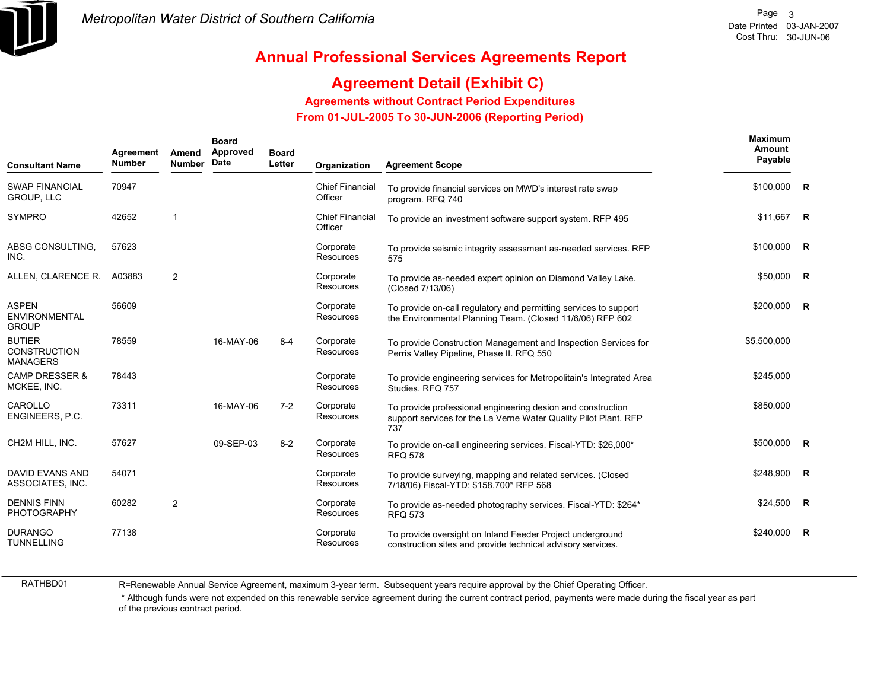

# **Agreement Detail (Exhibit C)**

**Agreements without Contract Period Expenditures**

 **From 01-JUL-2005 To 30-JUN-2006 (Reporting Period)** 

| <b>Consultant Name</b>                                  | Agreement<br><b>Number</b> | Amend<br><b>Number</b> | <b>Board</b><br>Approved<br><b>Date</b> | <b>Board</b><br>Letter | Organization                      | <b>Agreement Scope</b>                                                                                                                 | Maximum<br>Amount<br>Payable |                |
|---------------------------------------------------------|----------------------------|------------------------|-----------------------------------------|------------------------|-----------------------------------|----------------------------------------------------------------------------------------------------------------------------------------|------------------------------|----------------|
| <b>SWAP FINANCIAL</b><br><b>GROUP, LLC</b>              | 70947                      |                        |                                         |                        | <b>Chief Financial</b><br>Officer | To provide financial services on MWD's interest rate swap<br>program. RFQ 740                                                          | \$100,000 R                  |                |
| <b>SYMPRO</b>                                           | 42652                      | $\mathbf{1}$           |                                         |                        | <b>Chief Financial</b><br>Officer | To provide an investment software support system. RFP 495                                                                              | \$11,667 R                   |                |
| ABSG CONSULTING.<br>INC.                                | 57623                      |                        |                                         |                        | Corporate<br>Resources            | To provide seismic integrity assessment as-needed services. RFP<br>575                                                                 | $$100,000$ R                 |                |
| ALLEN, CLARENCE R.                                      | A03883                     | 2                      |                                         |                        | Corporate<br><b>Resources</b>     | To provide as-needed expert opinion on Diamond Valley Lake.<br>(Closed 7/13/06)                                                        | \$50,000 R                   |                |
| <b>ASPEN</b><br><b>ENVIRONMENTAL</b><br><b>GROUP</b>    | 56609                      |                        |                                         |                        | Corporate<br>Resources            | To provide on-call regulatory and permitting services to support<br>the Environmental Planning Team. (Closed 11/6/06) RFP 602          | \$200,000 R                  |                |
| <b>BUTIER</b><br><b>CONSTRUCTION</b><br><b>MANAGERS</b> | 78559                      |                        | 16-MAY-06                               | $8 - 4$                | Corporate<br>Resources            | To provide Construction Management and Inspection Services for<br>Perris Valley Pipeline, Phase II. RFQ 550                            | \$5,500,000                  |                |
| CAMP DRESSER &<br>MCKEE, INC.                           | 78443                      |                        |                                         |                        | Corporate<br>Resources            | To provide engineering services for Metropolitain's Integrated Area<br>Studies, RFQ 757                                                | \$245,000                    |                |
| CAROLLO<br>ENGINEERS, P.C.                              | 73311                      |                        | 16-MAY-06                               | $7-2$                  | Corporate<br>Resources            | To provide professional engineering desion and construction<br>support services for the La Verne Water Quality Pilot Plant. RFP<br>737 | \$850,000                    |                |
| CH2M HILL, INC.                                         | 57627                      |                        | 09-SEP-03                               | $8 - 2$                | Corporate<br>Resources            | To provide on-call engineering services. Fiscal-YTD: \$26,000*<br><b>RFQ 578</b>                                                       | \$500,000 R                  |                |
| <b>DAVID EVANS AND</b><br>ASSOCIATES, INC.              | 54071                      |                        |                                         |                        | Corporate<br>Resources            | To provide surveying, mapping and related services. (Closed<br>7/18/06) Fiscal-YTD: \$158,700* RFP 568                                 | \$248,900                    | $\overline{R}$ |
| <b>DENNIS FINN</b><br><b>PHOTOGRAPHY</b>                | 60282                      | $\overline{2}$         |                                         |                        | Corporate<br>Resources            | To provide as-needed photography services. Fiscal-YTD: \$264*<br><b>RFQ 573</b>                                                        | $$24,500$ R                  |                |
| <b>DURANGO</b><br><b>TUNNELLING</b>                     | 77138                      |                        |                                         |                        | Corporate<br>Resources            | To provide oversight on Inland Feeder Project underground<br>construction sites and provide technical advisory services.               | \$240,000                    | $\mathsf{R}$   |

RATHBD01

R=Renewable Annual Service Agreement, maximum 3-year term. Subsequent years require approval by the Chief Operating Officer.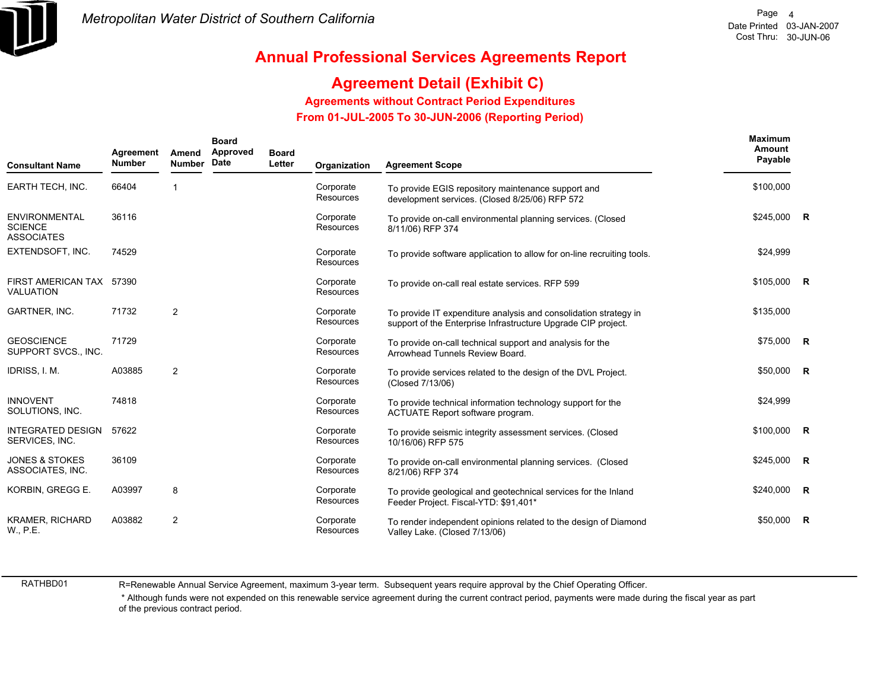

## **Agreement Detail (Exhibit C)**

#### **Agreements without Contract Period Expenditures**

 **From 01-JUL-2005 To 30-JUN-2006 (Reporting Period)** 

| <b>Consultant Name</b>                                      | Agreement<br><b>Number</b> | Amend<br><b>Number</b> | <b>Board</b><br>Approved<br><b>Date</b> | <b>Board</b><br>Letter | Organization                  | <b>Agreement Scope</b>                                                                                                            | Maximum<br>Amount<br>Payable |                |
|-------------------------------------------------------------|----------------------------|------------------------|-----------------------------------------|------------------------|-------------------------------|-----------------------------------------------------------------------------------------------------------------------------------|------------------------------|----------------|
| EARTH TECH, INC.                                            | 66404                      | -1                     |                                         |                        | Corporate<br>Resources        | To provide EGIS repository maintenance support and<br>development services. (Closed 8/25/06) RFP 572                              | \$100,000                    |                |
| <b>ENVIRONMENTAL</b><br><b>SCIENCE</b><br><b>ASSOCIATES</b> | 36116                      |                        |                                         |                        | Corporate<br>Resources        | To provide on-call environmental planning services. (Closed<br>8/11/06) RFP 374                                                   | $$245,000$ R                 |                |
| EXTENDSOFT, INC.                                            | 74529                      |                        |                                         |                        | Corporate<br>Resources        | To provide software application to allow for on-line recruiting tools.                                                            | \$24,999                     |                |
| FIRST AMERICAN TAX 57390<br><b>VALUATION</b>                |                            |                        |                                         |                        | Corporate<br>Resources        | To provide on-call real estate services. RFP 599                                                                                  | $$105,000$ R                 |                |
| GARTNER, INC.                                               | 71732                      | $\overline{2}$         |                                         |                        | Corporate<br><b>Resources</b> | To provide IT expenditure analysis and consolidation strategy in<br>support of the Enterprise Infrastructure Upgrade CIP project. | \$135,000                    |                |
| <b>GEOSCIENCE</b><br>SUPPORT SVCS., INC.                    | 71729                      |                        |                                         |                        | Corporate<br>Resources        | To provide on-call technical support and analysis for the<br>Arrowhead Tunnels Review Board.                                      | \$75,000 R                   |                |
| IDRISS, I. M.                                               | A03885                     | 2                      |                                         |                        | Corporate<br><b>Resources</b> | To provide services related to the design of the DVL Project.<br>(Closed 7/13/06)                                                 | $$50,000$ R                  |                |
| <b>INNOVENT</b><br>SOLUTIONS, INC.                          | 74818                      |                        |                                         |                        | Corporate<br>Resources        | To provide technical information technology support for the<br>ACTUATE Report software program.                                   | \$24,999                     |                |
| <b>INTEGRATED DESIGN</b><br>SERVICES, INC.                  | 57622                      |                        |                                         |                        | Corporate<br>Resources        | To provide seismic integrity assessment services. (Closed<br>10/16/06) RFP 575                                                    | \$100,000 R                  |                |
| <b>JONES &amp; STOKES</b><br>ASSOCIATES, INC.               | 36109                      |                        |                                         |                        | Corporate<br><b>Resources</b> | To provide on-call environmental planning services. (Closed<br>8/21/06) RFP 374                                                   | $$245,000$ R                 |                |
| KORBIN, GREGG E.                                            | A03997                     | 8                      |                                         |                        | Corporate<br><b>Resources</b> | To provide geological and geotechnical services for the Inland<br>Feeder Project. Fiscal-YTD: \$91,401*                           | \$240,000                    | $\overline{R}$ |
| <b>KRAMER, RICHARD</b><br>W., P.E.                          | A03882                     | $\overline{2}$         |                                         |                        | Corporate<br><b>Resources</b> | To render independent opinions related to the design of Diamond<br>Valley Lake. (Closed 7/13/06)                                  | \$50,000                     | $\overline{R}$ |

RATHBD01

R=Renewable Annual Service Agreement, maximum 3-year term. Subsequent years require approval by the Chief Operating Officer.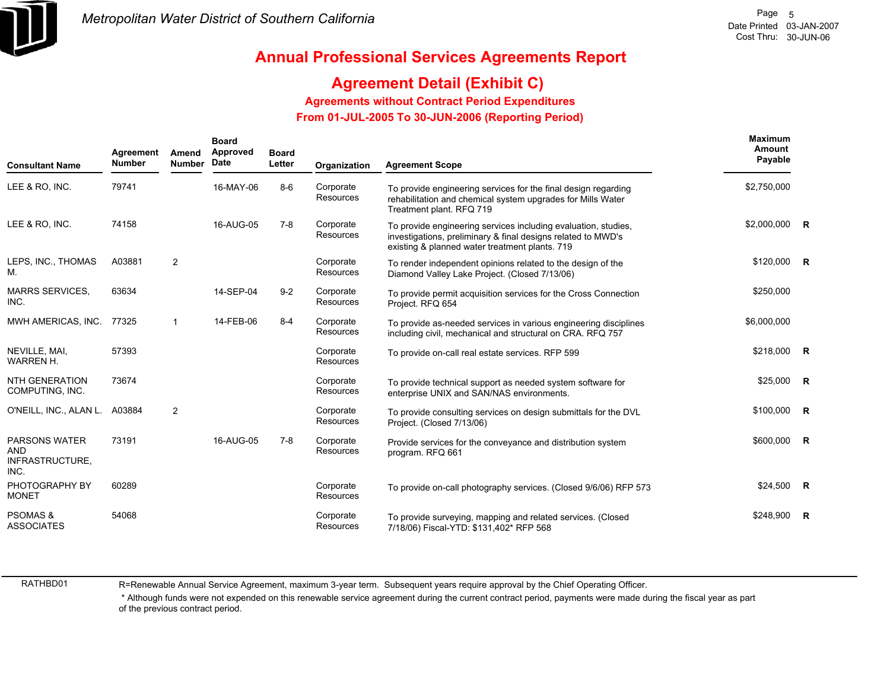

### **Agreement Detail (Exhibit C)**

#### **Agreements without Contract Period Expenditures**

 **From 01-JUL-2005 To 30-JUN-2006 (Reporting Period)** 

| <b>Consultant Name</b>                                        | Agreement<br><b>Number</b> | Amend<br><b>Number</b> | <b>Board</b><br>Approved<br>Date | <b>Board</b><br>Letter | Organization           | <b>Agreement Scope</b>                                                                                                                                                           | <b>Maximum</b><br>Amount<br>Payable |  |
|---------------------------------------------------------------|----------------------------|------------------------|----------------------------------|------------------------|------------------------|----------------------------------------------------------------------------------------------------------------------------------------------------------------------------------|-------------------------------------|--|
| LEE & RO, INC.                                                | 79741                      |                        | 16-MAY-06                        | $8-6$                  | Corporate<br>Resources | To provide engineering services for the final design regarding<br>rehabilitation and chemical system upgrades for Mills Water<br>Treatment plant. RFQ 719                        | \$2,750,000                         |  |
| LEE & RO. INC.                                                | 74158                      |                        | 16-AUG-05                        | $7-8$                  | Corporate<br>Resources | To provide engineering services including evaluation, studies,<br>investigations, preliminary & final designs related to MWD's<br>existing & planned water treatment plants. 719 | \$2,000,000 R                       |  |
| LEPS, INC., THOMAS<br>M.                                      | A03881                     | $\overline{2}$         |                                  |                        | Corporate<br>Resources | To render independent opinions related to the design of the<br>Diamond Valley Lake Project. (Closed 7/13/06)                                                                     | \$120,000 R                         |  |
| <b>MARRS SERVICES,</b><br>INC.                                | 63634                      |                        | 14-SEP-04                        | $9 - 2$                | Corporate<br>Resources | To provide permit acquisition services for the Cross Connection<br>Project. RFQ 654                                                                                              | \$250,000                           |  |
| MWH AMERICAS, INC.                                            | 77325                      | $\mathbf{1}$           | 14-FEB-06                        | $8 - 4$                | Corporate<br>Resources | To provide as-needed services in various engineering disciplines<br>including civil, mechanical and structural on CRA. RFQ 757                                                   | \$6,000,000                         |  |
| NEVILLE, MAI.<br>WARREN H.                                    | 57393                      |                        |                                  |                        | Corporate<br>Resources | To provide on-call real estate services. RFP 599                                                                                                                                 | \$218,000 R                         |  |
| <b>NTH GENERATION</b><br>COMPUTING, INC.                      | 73674                      |                        |                                  |                        | Corporate<br>Resources | To provide technical support as needed system software for<br>enterprise UNIX and SAN/NAS environments.                                                                          | $$25,000$ R                         |  |
| O'NEILL, INC., ALAN L.                                        | A03884                     | $\overline{2}$         |                                  |                        | Corporate<br>Resources | To provide consulting services on design submittals for the DVL<br>Project. (Closed 7/13/06)                                                                                     | $$100,000$ R                        |  |
| <b>PARSONS WATER</b><br><b>AND</b><br>INFRASTRUCTURE,<br>INC. | 73191                      |                        | 16-AUG-05                        | 7-8                    | Corporate<br>Resources | Provide services for the conveyance and distribution system<br>program. RFQ 661                                                                                                  | \$600,000 R                         |  |
| PHOTOGRAPHY BY<br><b>MONET</b>                                | 60289                      |                        |                                  |                        | Corporate<br>Resources | To provide on-call photography services. (Closed 9/6/06) RFP 573                                                                                                                 | $$24,500$ R                         |  |
| <b>PSOMAS &amp;</b><br><b>ASSOCIATES</b>                      | 54068                      |                        |                                  |                        | Corporate<br>Resources | To provide surveying, mapping and related services. (Closed<br>7/18/06) Fiscal-YTD: \$131,402* RFP 568                                                                           | $$248.900$ R                        |  |

RATHBD01

R=Renewable Annual Service Agreement, maximum 3-year term. Subsequent years require approval by the Chief Operating Officer.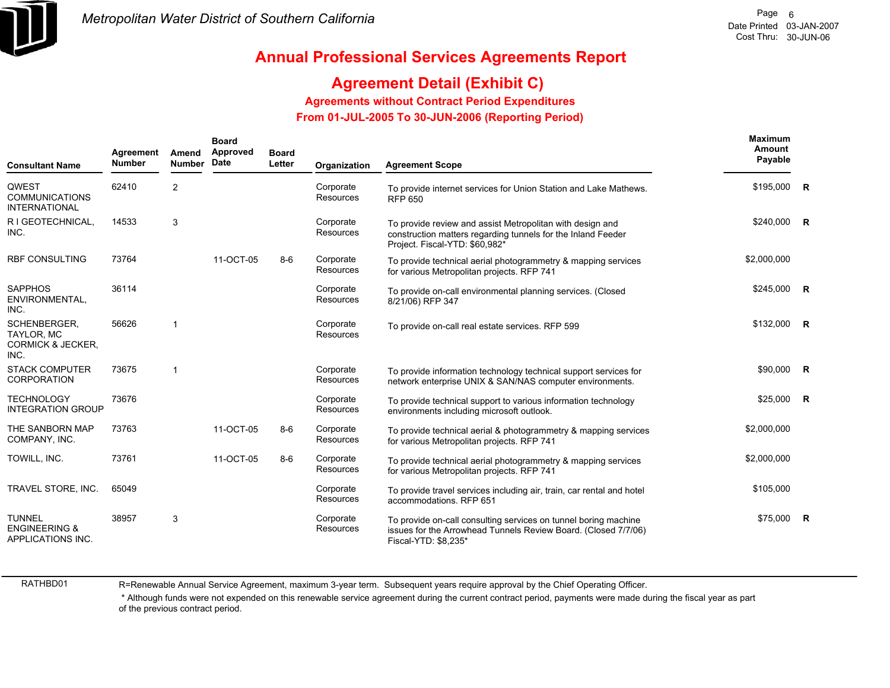

## **Agreement Detail (Exhibit C)**

#### **Agreements without Contract Period Expenditures**

 **From 01-JUL-2005 To 30-JUN-2006 (Reporting Period)** 

| <b>Consultant Name</b>                                                    | Agreement<br><b>Number</b> | Amend<br><b>Number</b> | <b>Board</b><br>Approved<br><b>Date</b> | <b>Board</b><br>Letter | Organization                  | <b>Agreement Scope</b>                                                                                                                                      | <b>Maximum</b><br>Amount<br>Payable |  |
|---------------------------------------------------------------------------|----------------------------|------------------------|-----------------------------------------|------------------------|-------------------------------|-------------------------------------------------------------------------------------------------------------------------------------------------------------|-------------------------------------|--|
| <b>QWEST</b><br><b>COMMUNICATIONS</b><br><b>INTERNATIONAL</b>             | 62410                      | $\overline{2}$         |                                         |                        | Corporate<br>Resources        | To provide internet services for Union Station and Lake Mathews.<br><b>RFP 650</b>                                                                          | $$195,000$ R                        |  |
| R I GEOTECHNICAL,<br>INC.                                                 | 14533                      | 3                      |                                         |                        | Corporate<br><b>Resources</b> | To provide review and assist Metropolitan with design and<br>construction matters regarding tunnels for the Inland Feeder<br>Project. Fiscal-YTD: \$60,982* | \$240,000 R                         |  |
| <b>RBF CONSULTING</b>                                                     | 73764                      |                        | 11-OCT-05                               | $8-6$                  | Corporate<br><b>Resources</b> | To provide technical aerial photogrammetry & mapping services<br>for various Metropolitan projects. RFP 741                                                 | \$2,000,000                         |  |
| <b>SAPPHOS</b><br>ENVIRONMENTAL,<br>INC.                                  | 36114                      |                        |                                         |                        | Corporate<br>Resources        | To provide on-call environmental planning services. (Closed<br>8/21/06) RFP 347                                                                             | \$245,000 R                         |  |
| SCHENBERGER.<br><b>TAYLOR, MC</b><br><b>CORMICK &amp; JECKER.</b><br>INC. | 56626                      | -1                     |                                         |                        | Corporate<br><b>Resources</b> | To provide on-call real estate services. RFP 599                                                                                                            | \$132,000 R                         |  |
| <b>STACK COMPUTER</b><br><b>CORPORATION</b>                               | 73675                      | $\overline{1}$         |                                         |                        | Corporate<br>Resources        | To provide information technology technical support services for<br>network enterprise UNIX & SAN/NAS computer environments.                                | \$90,000 R                          |  |
| <b>TECHNOLOGY</b><br><b>INTEGRATION GROUP</b>                             | 73676                      |                        |                                         |                        | Corporate<br><b>Resources</b> | To provide technical support to various information technology<br>environments including microsoft outlook.                                                 | $$25,000$ R                         |  |
| THE SANBORN MAP<br>COMPANY, INC.                                          | 73763                      |                        | 11-OCT-05                               | $8-6$                  | Corporate<br><b>Resources</b> | To provide technical aerial & photogrammetry & mapping services<br>for various Metropolitan projects. RFP 741                                               | \$2,000,000                         |  |
| TOWILL, INC.                                                              | 73761                      |                        | 11-OCT-05                               | $8-6$                  | Corporate<br>Resources        | To provide technical aerial photogrammetry & mapping services<br>for various Metropolitan projects. RFP 741                                                 | \$2,000,000                         |  |
| TRAVEL STORE, INC.                                                        | 65049                      |                        |                                         |                        | Corporate<br>Resources        | To provide travel services including air, train, car rental and hotel<br>accommodations. RFP 651                                                            | \$105,000                           |  |
| <b>TUNNEL</b><br><b>ENGINEERING &amp;</b><br>APPLICATIONS INC.            | 38957                      | 3                      |                                         |                        | Corporate<br>Resources        | To provide on-call consulting services on tunnel boring machine<br>issues for the Arrowhead Tunnels Review Board. (Closed 7/7/06)<br>Fiscal-YTD: \$8,235*   | $$75,000$ R                         |  |

RATHBD01

R=Renewable Annual Service Agreement, maximum 3-year term. Subsequent years require approval by the Chief Operating Officer.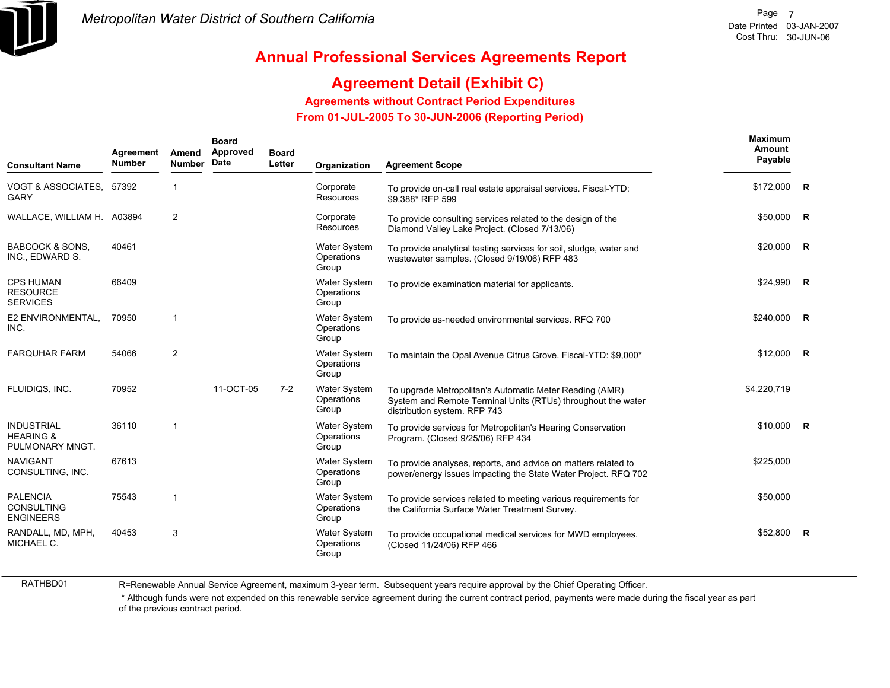

# **Agreement Detail (Exhibit C)**

**Agreements without Contract Period Expenditures**

 **From 01-JUL-2005 To 30-JUN-2006 (Reporting Period)** 

| <b>Consultant Name</b>                                       | Agreement<br><b>Number</b> | Amend<br><b>Number</b> | <b>Board</b><br>Approved<br>Date | <b>Board</b><br>Letter | Organization                               | <b>Agreement Scope</b>                                                                                                                                  | Maximum<br>Amount<br>Payable |                |
|--------------------------------------------------------------|----------------------------|------------------------|----------------------------------|------------------------|--------------------------------------------|---------------------------------------------------------------------------------------------------------------------------------------------------------|------------------------------|----------------|
| VOGT & ASSOCIATES, 57392<br><b>GARY</b>                      |                            | $\mathbf{1}$           |                                  |                        | Corporate<br>Resources                     | To provide on-call real estate appraisal services. Fiscal-YTD:<br>\$9,388* RFP 599                                                                      | \$172,000                    | R              |
| WALLACE, WILLIAM H. A03894                                   |                            | 2                      |                                  |                        | Corporate<br>Resources                     | To provide consulting services related to the design of the<br>Diamond Valley Lake Project. (Closed 7/13/06)                                            | \$50,000                     | R              |
| <b>BABCOCK &amp; SONS.</b><br>INC., EDWARD S.                | 40461                      |                        |                                  |                        | <b>Water System</b><br>Operations<br>Group | To provide analytical testing services for soil, sludge, water and<br>wastewater samples. (Closed 9/19/06) RFP 483                                      | \$20,000                     | R              |
| <b>CPS HUMAN</b><br><b>RESOURCE</b><br><b>SERVICES</b>       | 66409                      |                        |                                  |                        | <b>Water System</b><br>Operations<br>Group | To provide examination material for applicants.                                                                                                         | \$24,990                     | R              |
| E2 ENVIRONMENTAL,<br>INC.                                    | 70950                      |                        |                                  |                        | <b>Water System</b><br>Operations<br>Group | To provide as-needed environmental services. RFQ 700                                                                                                    | \$240.000                    | $\mathbf R$    |
| <b>FARQUHAR FARM</b>                                         | 54066                      | $\overline{2}$         |                                  |                        | <b>Water System</b><br>Operations<br>Group | To maintain the Opal Avenue Citrus Grove. Fiscal-YTD: \$9,000*                                                                                          | \$12,000                     | $\overline{R}$ |
| FLUIDIQS, INC.                                               | 70952                      |                        | 11-OCT-05                        | $7-2$                  | <b>Water System</b><br>Operations<br>Group | To upgrade Metropolitan's Automatic Meter Reading (AMR)<br>System and Remote Terminal Units (RTUs) throughout the water<br>distribution system. RFP 743 | \$4,220,719                  |                |
| <b>INDUSTRIAL</b><br><b>HEARING &amp;</b><br>PULMONARY MNGT. | 36110                      | $\overline{1}$         |                                  |                        | Water System<br>Operations<br>Group        | To provide services for Metropolitan's Hearing Conservation<br>Program. (Closed 9/25/06) RFP 434                                                        | $$10,000$ R                  |                |
| <b>NAVIGANT</b><br>CONSULTING, INC.                          | 67613                      |                        |                                  |                        | <b>Water System</b><br>Operations<br>Group | To provide analyses, reports, and advice on matters related to<br>power/energy issues impacting the State Water Project. RFQ 702                        | \$225,000                    |                |
| <b>PALENCIA</b><br>CONSULTING<br><b>ENGINEERS</b>            | 75543                      |                        |                                  |                        | <b>Water System</b><br>Operations<br>Group | To provide services related to meeting various requirements for<br>the California Surface Water Treatment Survey.                                       | \$50,000                     |                |
| RANDALL, MD, MPH,<br>MICHAEL C.                              | 40453                      | 3                      |                                  |                        | Water System<br>Operations<br>Group        | To provide occupational medical services for MWD employees.<br>(Closed 11/24/06) RFP 466                                                                | \$52,800                     | $\mathsf{R}$   |

RATHBD01

R=Renewable Annual Service Agreement, maximum 3-year term. Subsequent years require approval by the Chief Operating Officer.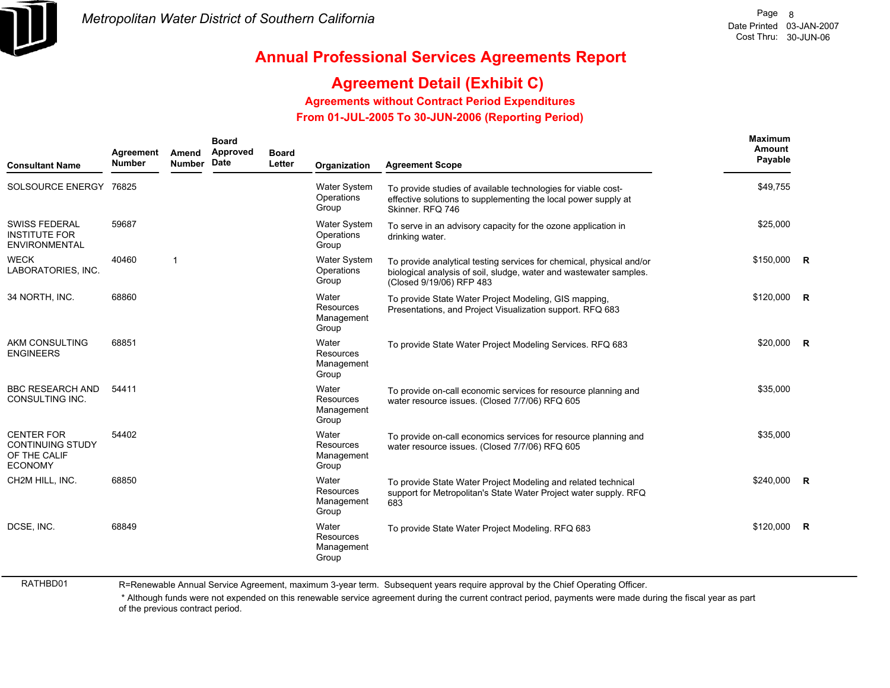

## **Agreement Detail (Exhibit C)**

**Agreements without Contract Period Expenditures**

 **From 01-JUL-2005 To 30-JUN-2006 (Reporting Period)** 

| <b>Consultant Name</b>                                                         | Agreement<br><b>Number</b> | Amend<br><b>Number</b> | <b>Board</b><br>Approved<br>Date | <b>Board</b><br>Letter | Organization                               | <b>Agreement Scope</b>                                                                                                                                                 | <b>Maximum</b><br><b>Amount</b><br>Payable |                |
|--------------------------------------------------------------------------------|----------------------------|------------------------|----------------------------------|------------------------|--------------------------------------------|------------------------------------------------------------------------------------------------------------------------------------------------------------------------|--------------------------------------------|----------------|
| SOLSOURCE ENERGY 76825                                                         |                            |                        |                                  |                        | <b>Water System</b><br>Operations<br>Group | To provide studies of available technologies for viable cost-<br>effective solutions to supplementing the local power supply at<br>Skinner, RFQ 746                    | \$49,755                                   |                |
| <b>SWISS FEDERAL</b><br><b>INSTITUTE FOR</b><br>ENVIRONMENTAL                  | 59687                      |                        |                                  |                        | <b>Water System</b><br>Operations<br>Group | To serve in an advisory capacity for the ozone application in<br>drinking water.                                                                                       | \$25,000                                   |                |
| <b>WECK</b><br>LABORATORIES, INC.                                              | 40460                      | $\mathbf{1}$           |                                  |                        | <b>Water System</b><br>Operations<br>Group | To provide analytical testing services for chemical, physical and/or<br>biological analysis of soil, sludge, water and wastewater samples.<br>(Closed 9/19/06) RFP 483 | \$150,000                                  | $\overline{R}$ |
| 34 NORTH, INC.                                                                 | 68860                      |                        |                                  |                        | Water<br>Resources<br>Management<br>Group  | To provide State Water Project Modeling, GIS mapping,<br>Presentations, and Project Visualization support. RFQ 683                                                     | \$120,000                                  | R              |
| <b>AKM CONSULTING</b><br><b>ENGINEERS</b>                                      | 68851                      |                        |                                  |                        | Water<br>Resources<br>Management<br>Group  | To provide State Water Project Modeling Services. RFQ 683                                                                                                              | \$20,000                                   | - R            |
| <b>BBC RESEARCH AND</b><br>CONSULTING INC.                                     | 54411                      |                        |                                  |                        | Water<br>Resources<br>Management<br>Group  | To provide on-call economic services for resource planning and<br>water resource issues. (Closed 7/7/06) RFQ 605                                                       | \$35,000                                   |                |
| <b>CENTER FOR</b><br><b>CONTINUING STUDY</b><br>OF THE CALIF<br><b>ECONOMY</b> | 54402                      |                        |                                  |                        | Water<br>Resources<br>Management<br>Group  | To provide on-call economics services for resource planning and<br>water resource issues. (Closed 7/7/06) RFQ 605                                                      | \$35.000                                   |                |
| CH2M HILL, INC.                                                                | 68850                      |                        |                                  |                        | Water<br>Resources<br>Management<br>Group  | To provide State Water Project Modeling and related technical<br>support for Metropolitan's State Water Project water supply. RFQ<br>683                               | \$240,000                                  | R              |
| DCSE, INC.                                                                     | 68849                      |                        |                                  |                        | Water<br>Resources<br>Management<br>Group  | To provide State Water Project Modeling. RFQ 683                                                                                                                       | \$120,000                                  | $\overline{R}$ |

RATHBD01

R=Renewable Annual Service Agreement, maximum 3-year term. Subsequent years require approval by the Chief Operating Officer.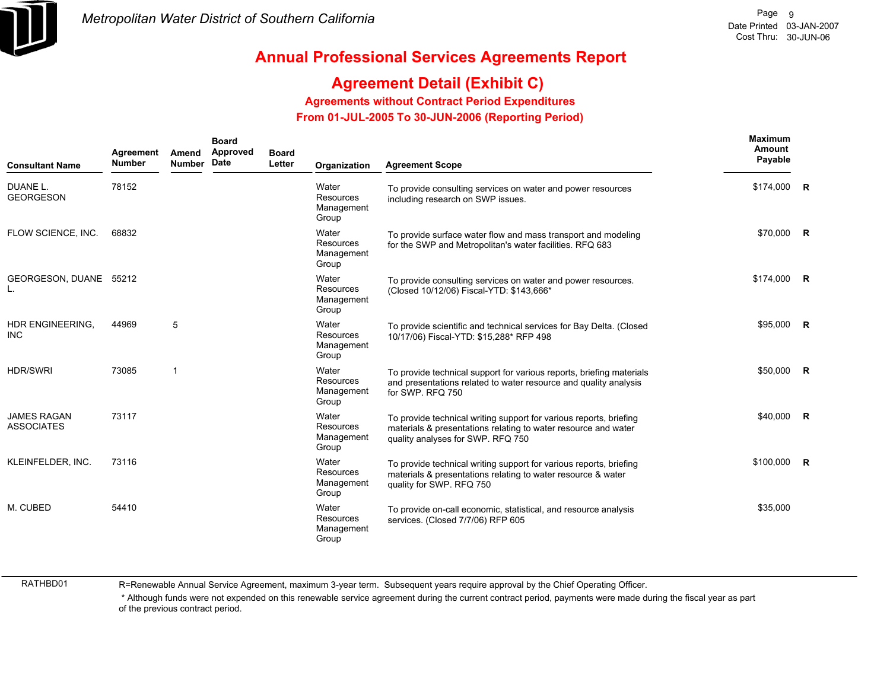

## **Agreement Detail (Exhibit C)**

**Agreements without Contract Period Expenditures**

 **From 01-JUL-2005 To 30-JUN-2006 (Reporting Period)** 

| <b>Consultant Name</b>                  | Agreement<br><b>Number</b> | Amend<br><b>Number</b> | <b>Board</b><br>Approved<br>Date | <b>Board</b><br>Letter | Organization                              | <b>Agreement Scope</b>                                                                                                                                                    | Maximum<br>Amount<br>Payable |   |
|-----------------------------------------|----------------------------|------------------------|----------------------------------|------------------------|-------------------------------------------|---------------------------------------------------------------------------------------------------------------------------------------------------------------------------|------------------------------|---|
| DUANE L.<br><b>GEORGESON</b>            | 78152                      |                        |                                  |                        | Water<br>Resources<br>Management<br>Group | To provide consulting services on water and power resources<br>including research on SWP issues.                                                                          | \$174,000 R                  |   |
| FLOW SCIENCE, INC.                      | 68832                      |                        |                                  |                        | Water<br>Resources<br>Management<br>Group | To provide surface water flow and mass transport and modeling<br>for the SWP and Metropolitan's water facilities. RFQ 683                                                 | \$70,000 R                   |   |
| GEORGESON, DUANE 55212<br>L.            |                            |                        |                                  |                        | Water<br>Resources<br>Management<br>Group | To provide consulting services on water and power resources.<br>(Closed 10/12/06) Fiscal-YTD: \$143,666*                                                                  | \$174.000                    | R |
| <b>HDR ENGINEERING.</b><br><b>INC</b>   | 44969                      | 5                      |                                  |                        | Water<br>Resources<br>Management<br>Group | To provide scientific and technical services for Bay Delta. (Closed<br>10/17/06) Fiscal-YTD: \$15,288* RFP 498                                                            | \$95,000 R                   |   |
| <b>HDR/SWRI</b>                         | 73085                      | $\overline{1}$         |                                  |                        | Water<br>Resources<br>Management<br>Group | To provide technical support for various reports, briefing materials<br>and presentations related to water resource and quality analysis<br>for SWP. RFQ 750              | \$50,000 R                   |   |
| <b>JAMES RAGAN</b><br><b>ASSOCIATES</b> | 73117                      |                        |                                  |                        | Water<br>Resources<br>Management<br>Group | To provide technical writing support for various reports, briefing<br>materials & presentations relating to water resource and water<br>quality analyses for SWP. RFQ 750 | \$40,000 R                   |   |
| KLEINFELDER, INC.                       | 73116                      |                        |                                  |                        | Water<br>Resources<br>Management<br>Group | To provide technical writing support for various reports, briefing<br>materials & presentations relating to water resource & water<br>quality for SWP. RFQ 750            | $$100,000$ R                 |   |
| M. CUBED                                | 54410                      |                        |                                  |                        | Water<br>Resources<br>Management<br>Group | To provide on-call economic, statistical, and resource analysis<br>services. (Closed 7/7/06) RFP 605                                                                      | \$35,000                     |   |

RATHBD01

R=Renewable Annual Service Agreement, maximum 3-year term. Subsequent years require approval by the Chief Operating Officer.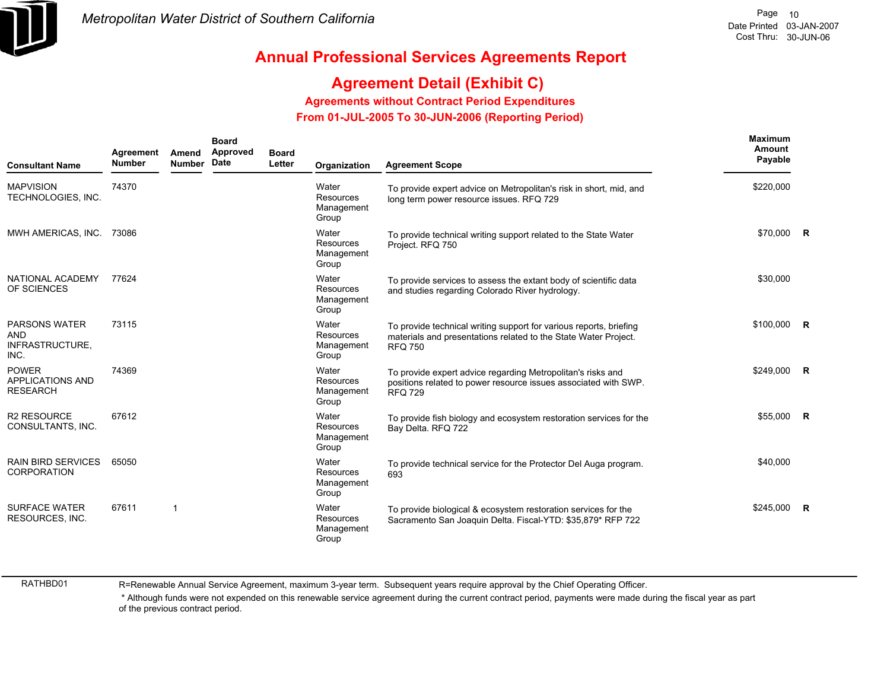

## **Agreement Detail (Exhibit C)**

**Agreements without Contract Period Expenditures**

 **From 01-JUL-2005 To 30-JUN-2006 (Reporting Period)** 

| <b>Consultant Name</b>                                        | Agreement<br><b>Number</b> | Amend<br><b>Number</b> | <b>Board</b><br>Approved<br>Date | <b>Board</b><br>Letter | Organization                                     | <b>Agreement Scope</b>                                                                                                                                  | <b>Maximum</b><br>Amount<br>Payable |                |
|---------------------------------------------------------------|----------------------------|------------------------|----------------------------------|------------------------|--------------------------------------------------|---------------------------------------------------------------------------------------------------------------------------------------------------------|-------------------------------------|----------------|
| <b>MAPVISION</b><br>TECHNOLOGIES, INC.                        | 74370                      |                        |                                  |                        | Water<br>Resources<br>Management<br>Group        | To provide expert advice on Metropolitan's risk in short, mid, and<br>long term power resource issues. RFQ 729                                          | \$220,000                           |                |
| MWH AMERICAS, INC.                                            | 73086                      |                        |                                  |                        | Water<br>Resources<br>Management<br>Group        | To provide technical writing support related to the State Water<br>Project. RFQ 750                                                                     | \$70,000 R                          |                |
| NATIONAL ACADEMY<br>OF SCIENCES                               | 77624                      |                        |                                  |                        | Water<br>Resources<br>Management<br>Group        | To provide services to assess the extant body of scientific data<br>and studies regarding Colorado River hydrology.                                     | \$30,000                            |                |
| <b>PARSONS WATER</b><br><b>AND</b><br>INFRASTRUCTURE,<br>INC. | 73115                      |                        |                                  |                        | Water<br>Resources<br>Management<br>Group        | To provide technical writing support for various reports, briefing<br>materials and presentations related to the State Water Project.<br><b>RFQ 750</b> | $$100,000$ R                        |                |
| <b>POWER</b><br><b>APPLICATIONS AND</b><br><b>RESEARCH</b>    | 74369                      |                        |                                  |                        | Water<br><b>Resources</b><br>Management<br>Group | To provide expert advice regarding Metropolitan's risks and<br>positions related to power resource issues associated with SWP.<br><b>RFQ 729</b>        | \$249,000                           | $\overline{R}$ |
| <b>R2 RESOURCE</b><br>CONSULTANTS, INC.                       | 67612                      |                        |                                  |                        | Water<br>Resources<br>Management<br>Group        | To provide fish biology and ecosystem restoration services for the<br>Bay Delta. RFQ 722                                                                | \$55,000 R                          |                |
| <b>RAIN BIRD SERVICES</b><br><b>CORPORATION</b>               | 65050                      |                        |                                  |                        | Water<br>Resources<br>Management<br>Group        | To provide technical service for the Protector Del Auga program.<br>693                                                                                 | \$40,000                            |                |
| <b>SURFACE WATER</b><br><b>RESOURCES, INC.</b>                | 67611                      | 1                      |                                  |                        | Water<br>Resources<br>Management<br>Group        | To provide biological & ecosystem restoration services for the<br>Sacramento San Joaquin Delta. Fiscal-YTD: \$35,879* RFP 722                           | \$245.000                           | $\overline{R}$ |

RATHBD01

R=Renewable Annual Service Agreement, maximum 3-year term. Subsequent years require approval by the Chief Operating Officer.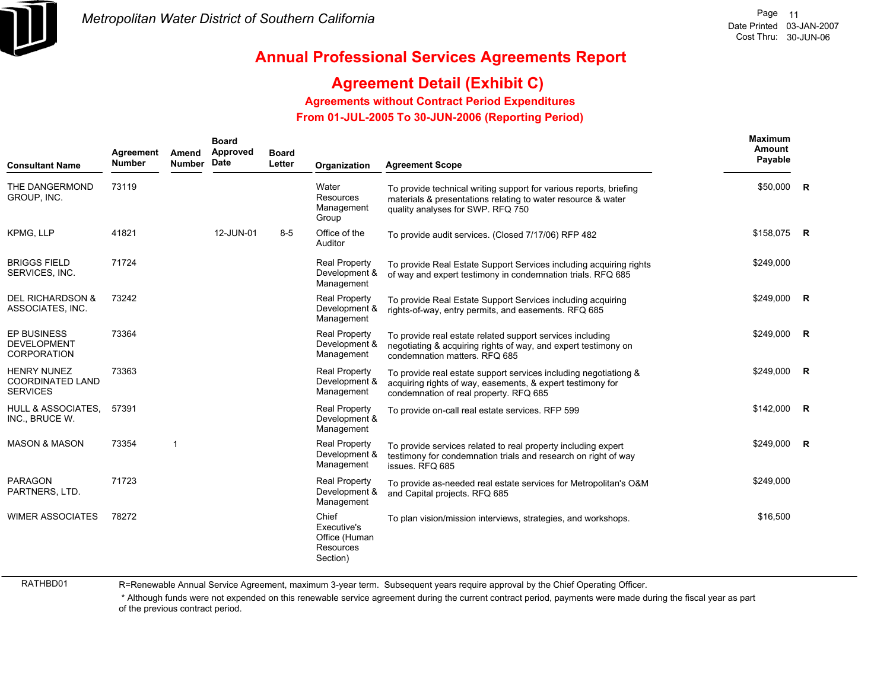

### **Agreement Detail (Exhibit C)**

**Agreements without Contract Period Expenditures**

 **From 01-JUL-2005 To 30-JUN-2006 (Reporting Period)** 

| <b>Consultant Name</b>                                           | Agreement<br><b>Number</b> | Amend<br><b>Number</b> | <b>Board</b><br>Approved<br>Date | <b>Board</b><br>Letter | Organization                                                   | <b>Agreement Scope</b>                                                                                                                                                   | <b>Maximum</b><br><b>Amount</b><br>Payable |                |
|------------------------------------------------------------------|----------------------------|------------------------|----------------------------------|------------------------|----------------------------------------------------------------|--------------------------------------------------------------------------------------------------------------------------------------------------------------------------|--------------------------------------------|----------------|
| THE DANGERMOND<br>GROUP, INC.                                    | 73119                      |                        |                                  |                        | Water<br>Resources<br>Management<br>Group                      | To provide technical writing support for various reports, briefing<br>materials & presentations relating to water resource & water<br>quality analyses for SWP. RFQ 750  | \$50,000                                   | $\overline{R}$ |
| KPMG, LLP                                                        | 41821                      |                        | 12-JUN-01                        | $8 - 5$                | Office of the<br>Auditor                                       | To provide audit services. (Closed 7/17/06) RFP 482                                                                                                                      | \$158,075 R                                |                |
| <b>BRIGGS FIELD</b><br>SERVICES, INC.                            | 71724                      |                        |                                  |                        | <b>Real Property</b><br>Development &<br>Management            | To provide Real Estate Support Services including acquiring rights<br>of way and expert testimony in condemnation trials. RFQ 685                                        | \$249,000                                  |                |
| <b>DEL RICHARDSON &amp;</b><br>ASSOCIATES, INC.                  | 73242                      |                        |                                  |                        | <b>Real Property</b><br>Development &<br>Management            | To provide Real Estate Support Services including acquiring<br>rights-of-way, entry permits, and easements. RFQ 685                                                      | \$249,000 R                                |                |
| <b>EP BUSINESS</b><br><b>DEVELOPMENT</b><br><b>CORPORATION</b>   | 73364                      |                        |                                  |                        | <b>Real Property</b><br>Development &<br>Management            | To provide real estate related support services including<br>negotiating & acquiring rights of way, and expert testimony on<br>condemnation matters, RFQ 685             | \$249,000                                  | R              |
| <b>HENRY NUNEZ</b><br><b>COORDINATED LAND</b><br><b>SERVICES</b> | 73363                      |                        |                                  |                        | <b>Real Property</b><br>Development &<br>Management            | To provide real estate support services including negotiationg &<br>acquiring rights of way, easements, & expert testimony for<br>condemnation of real property. RFQ 685 | \$249,000                                  | $\overline{R}$ |
| <b>HULL &amp; ASSOCIATES.</b><br>INC., BRUCE W.                  | 57391                      |                        |                                  |                        | <b>Real Property</b><br>Development &<br>Management            | To provide on-call real estate services. RFP 599                                                                                                                         | \$142,000                                  | $\overline{R}$ |
| <b>MASON &amp; MASON</b>                                         | 73354                      | $\mathbf{1}$           |                                  |                        | <b>Real Property</b><br>Development &<br>Management            | To provide services related to real property including expert<br>testimony for condemnation trials and research on right of way<br>issues. RFQ 685                       | \$249,000                                  | R              |
| <b>PARAGON</b><br>PARTNERS, LTD.                                 | 71723                      |                        |                                  |                        | <b>Real Property</b><br>Development &<br>Management            | To provide as-needed real estate services for Metropolitan's O&M<br>and Capital projects. RFQ 685                                                                        | \$249,000                                  |                |
| <b>WIMER ASSOCIATES</b>                                          | 78272                      |                        |                                  |                        | Chief<br>Executive's<br>Office (Human<br>Resources<br>Section) | To plan vision/mission interviews, strategies, and workshops.                                                                                                            | \$16,500                                   |                |

RATHBD01

R=Renewable Annual Service Agreement, maximum 3-year term. Subsequent years require approval by the Chief Operating Officer.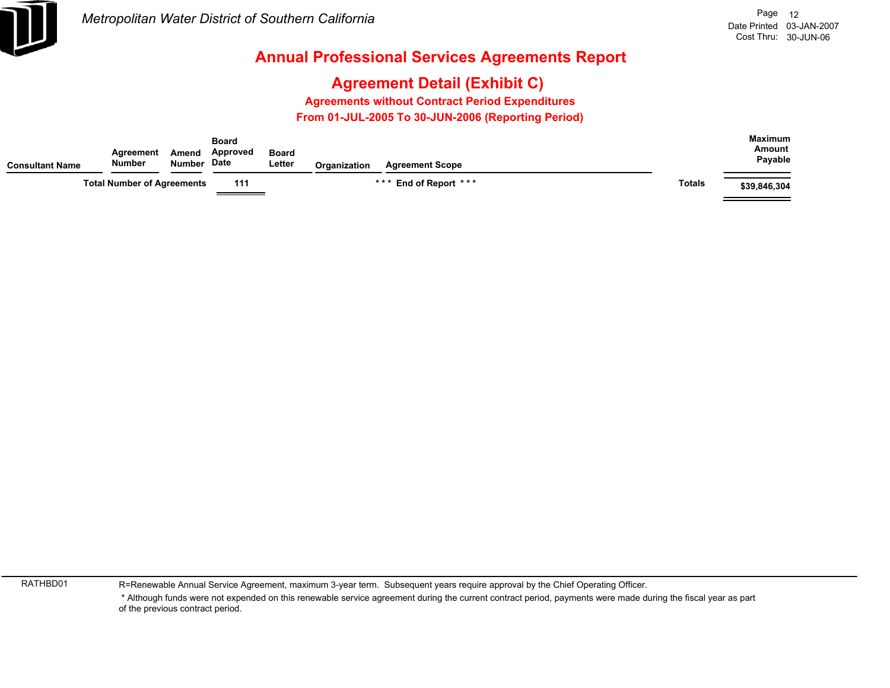

# **Agreement Detail (Exhibit C)**

**Agreements without Contract Period Expenditures**

 **From 01-JUL-2005 To 30-JUN-2006 (Reporting Period)** 

| <b>Consultant Name</b> | Agreement<br>Number               | Amend<br>Number Date | <b>Board</b><br>Approved                                                                                                                                                                                                                                                                                                                                                                                                                                                                           | <b>Board</b><br>Letter | Organization | <b>Agreement Scope</b> |               | <b>Maximum</b><br>Amount<br>Payable |
|------------------------|-----------------------------------|----------------------|----------------------------------------------------------------------------------------------------------------------------------------------------------------------------------------------------------------------------------------------------------------------------------------------------------------------------------------------------------------------------------------------------------------------------------------------------------------------------------------------------|------------------------|--------------|------------------------|---------------|-------------------------------------|
|                        | <b>Total Number of Agreements</b> |                      | 111<br>$\begin{tabular}{c} \multicolumn{1}{c} {\textbf{1}} & \multicolumn{1}{c} {\textbf{2}} & \multicolumn{1}{c} {\textbf{3}} & \multicolumn{1}{c} {\textbf{4}} & \multicolumn{1}{c} {\textbf{5}} & \multicolumn{1}{c} {\textbf{6}} & \multicolumn{1}{c} {\textbf{7}} & \multicolumn{1}{c} {\textbf{8}} & \multicolumn{1}{c} {\textbf{9}} & \multicolumn{1}{c} {\textbf{1}} & \multicolumn{1}{c} {\textbf{1}} & \multicolumn{1}{c} {\textbf{1}} & \multicolumn{1}{c} {\textbf{1}} & \multicolumn$ |                        |              | *** End of Report ***  | <b>Totals</b> | \$39,846,304                        |

RATHBD01

R=Renewable Annual Service Agreement, maximum 3-year term. Subsequent years require approval by the Chief Operating Officer.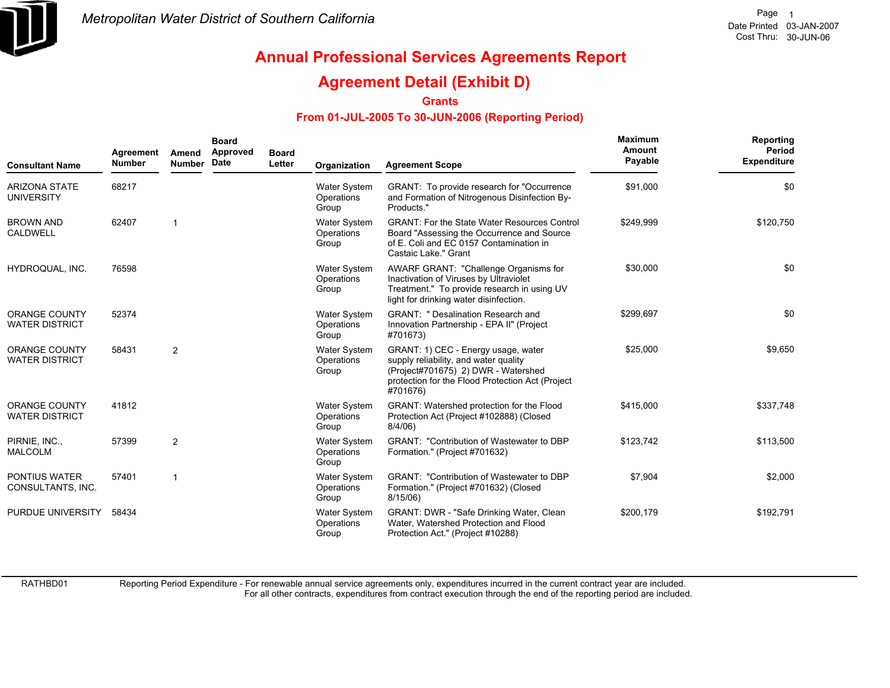

### **Agreement Detail (Exhibit D)**

**Grants**

#### **From 01-JUL-2005 To 30-JUN-2006 (Reporting Period)**

| <b>Consultant Name</b>                        | Agreement<br><b>Number</b> | Amend<br><b>Number</b> | <b>Board</b><br>Approved<br>Date | <b>Board</b><br>Letter | Organization                               | <b>Agreement Scope</b>                                                                                                                                                              | Maximum<br>Amount<br>Payable | Reporting<br>Period<br><b>Expenditure</b> |
|-----------------------------------------------|----------------------------|------------------------|----------------------------------|------------------------|--------------------------------------------|-------------------------------------------------------------------------------------------------------------------------------------------------------------------------------------|------------------------------|-------------------------------------------|
| <b>ARIZONA STATE</b><br><b>UNIVERSITY</b>     | 68217                      |                        |                                  |                        | Water System<br>Operations<br>Group        | GRANT: To provide research for "Occurrence"<br>and Formation of Nitrogenous Disinfection By-<br>Products."                                                                          | \$91,000                     | \$0                                       |
| <b>BROWN AND</b><br><b>CALDWELL</b>           | 62407                      |                        |                                  |                        | Water System<br>Operations<br>Group        | <b>GRANT: For the State Water Resources Control</b><br>Board "Assessing the Occurrence and Source<br>of E. Coli and EC 0157 Contamination in<br>Castaic Lake." Grant                | \$249.999                    | \$120,750                                 |
| HYDROQUAL, INC.                               | 76598                      |                        |                                  |                        | Water System<br>Operations<br>Group        | AWARF GRANT: "Challenge Organisms for<br>Inactivation of Viruses by Ultraviolet<br>Treatment." To provide research in using UV<br>light for drinking water disinfection.            | \$30,000                     | \$0                                       |
| <b>ORANGE COUNTY</b><br><b>WATER DISTRICT</b> | 52374                      |                        |                                  |                        | <b>Water System</b><br>Operations<br>Group | <b>GRANT: " Desalination Research and</b><br>Innovation Partnership - EPA II" (Project<br>#701673)                                                                                  | \$299,697                    | \$0                                       |
| <b>ORANGE COUNTY</b><br><b>WATER DISTRICT</b> | 58431                      | $\overline{2}$         |                                  |                        | Water System<br>Operations<br>Group        | GRANT: 1) CEC - Energy usage, water<br>supply reliability, and water quality<br>(Project#701675) 2) DWR - Watershed<br>protection for the Flood Protection Act (Project<br>#701676) | \$25,000                     | \$9,650                                   |
| ORANGE COUNTY<br><b>WATER DISTRICT</b>        | 41812                      |                        |                                  |                        | Water System<br>Operations<br>Group        | GRANT: Watershed protection for the Flood<br>Protection Act (Project #102888) (Closed<br>8/4/06                                                                                     | \$415,000                    | \$337,748                                 |
| PIRNIE, INC.,<br><b>MALCOLM</b>               | 57399                      | $\overline{2}$         |                                  |                        | <b>Water System</b><br>Operations<br>Group | <b>GRANT: "Contribution of Wastewater to DBP</b><br>Formation." (Project #701632)                                                                                                   | \$123,742                    | \$113,500                                 |
| <b>PONTIUS WATER</b><br>CONSULTANTS, INC.     | 57401                      | 1                      |                                  |                        | Water System<br>Operations<br>Group        | <b>GRANT: "Contribution of Wastewater to DBP</b><br>Formation." (Project #701632) (Closed<br>8/15/06)                                                                               | \$7,904                      | \$2,000                                   |
| PURDUE UNIVERSITY                             | 58434                      |                        |                                  |                        | Water System<br>Operations<br>Group        | GRANT: DWR - "Safe Drinking Water, Clean<br>Water, Watershed Protection and Flood<br>Protection Act." (Project #10288)                                                              | \$200,179                    | \$192,791                                 |

RATHBD01

Reporting Period Expenditure - For renewable annual service agreements only, expenditures incurred in the current contract year are included.

For all other contracts, expenditures from contract execution through the end of the reporting period are included.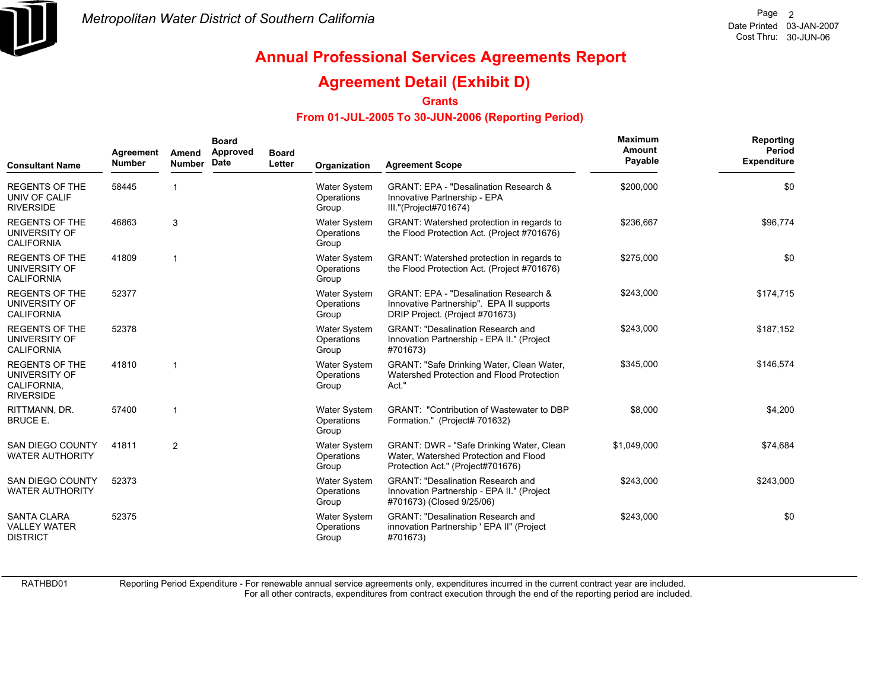

### **Agreement Detail (Exhibit D)**

**Grants**

#### **From 01-JUL-2005 To 30-JUN-2006 (Reporting Period)**

| <b>Consultant Name</b>                                                    | Agreement<br><b>Number</b> | Amend<br><b>Number</b> | <b>Board</b><br>Approved<br>Date | <b>Board</b><br>Letter | Organization                               | <b>Agreement Scope</b>                                                                                                          | <b>Maximum</b><br>Amount<br>Payable | Reporting<br>Period<br><b>Expenditure</b> |
|---------------------------------------------------------------------------|----------------------------|------------------------|----------------------------------|------------------------|--------------------------------------------|---------------------------------------------------------------------------------------------------------------------------------|-------------------------------------|-------------------------------------------|
| <b>REGENTS OF THE</b><br>UNIV OF CALIF<br><b>RIVERSIDE</b>                | 58445                      |                        |                                  |                        | Water System<br>Operations<br>Group        | <b>GRANT: EPA - "Desalination Research &amp;</b><br>Innovative Partnership - EPA<br>III."(Project#701674)                       | \$200,000                           | \$0                                       |
| <b>REGENTS OF THE</b><br>UNIVERSITY OF<br><b>CALIFORNIA</b>               | 46863                      | 3                      |                                  |                        | <b>Water System</b><br>Operations<br>Group | GRANT: Watershed protection in regards to<br>the Flood Protection Act. (Project #701676)                                        | \$236,667                           | \$96,774                                  |
| <b>REGENTS OF THE</b><br>UNIVERSITY OF<br><b>CALIFORNIA</b>               | 41809                      |                        |                                  |                        | Water System<br>Operations<br>Group        | GRANT: Watershed protection in regards to<br>the Flood Protection Act. (Project #701676)                                        | \$275,000                           | \$0                                       |
| <b>REGENTS OF THE</b><br>UNIVERSITY OF<br><b>CALIFORNIA</b>               | 52377                      |                        |                                  |                        | <b>Water System</b><br>Operations<br>Group | <b>GRANT: EPA - "Desalination Research &amp;</b><br>Innovative Partnership". EPA II supports<br>DRIP Project. (Project #701673) | \$243,000                           | \$174,715                                 |
| <b>REGENTS OF THE</b><br>UNIVERSITY OF<br><b>CALIFORNIA</b>               | 52378                      |                        |                                  |                        | <b>Water System</b><br>Operations<br>Group | <b>GRANT: "Desalination Research and</b><br>Innovation Partnership - EPA II." (Project<br>#701673)                              | \$243,000                           | \$187,152                                 |
| <b>REGENTS OF THE</b><br>UNIVERSITY OF<br>CALIFORNIA,<br><b>RIVERSIDE</b> | 41810                      | -1                     |                                  |                        | <b>Water System</b><br>Operations<br>Group | GRANT: "Safe Drinking Water, Clean Water,<br>Watershed Protection and Flood Protection<br>Act."                                 | \$345,000                           | \$146,574                                 |
| RITTMANN, DR.<br><b>BRUCE E.</b>                                          | 57400                      | -1                     |                                  |                        | <b>Water System</b><br>Operations<br>Group | <b>GRANT: "Contribution of Wastewater to DBP</b><br>Formation." (Project# 701632)                                               | \$8,000                             | \$4,200                                   |
| <b>SAN DIEGO COUNTY</b><br><b>WATER AUTHORITY</b>                         | 41811                      | $\overline{2}$         |                                  |                        | <b>Water System</b><br>Operations<br>Group | <b>GRANT: DWR - "Safe Drinking Water, Clean</b><br>Water, Watershed Protection and Flood<br>Protection Act." (Project#701676)   | \$1,049,000                         | \$74,684                                  |
| <b>SAN DIEGO COUNTY</b><br><b>WATER AUTHORITY</b>                         | 52373                      |                        |                                  |                        | <b>Water System</b><br>Operations<br>Group | <b>GRANT: "Desalination Research and</b><br>Innovation Partnership - EPA II." (Project<br>#701673) (Closed 9/25/06)             | \$243,000                           | \$243,000                                 |
| <b>SANTA CLARA</b><br><b>VALLEY WATER</b><br><b>DISTRICT</b>              | 52375                      |                        |                                  |                        | <b>Water System</b><br>Operations<br>Group | <b>GRANT: "Desalination Research and</b><br>innovation Partnership ' EPA II" (Project<br>#701673)                               | \$243,000                           | \$0                                       |

RATHBD01

Reporting Period Expenditure - For renewable annual service agreements only, expenditures incurred in the current contract year are included.

For all other contracts, expenditures from contract execution through the end of the reporting period are included.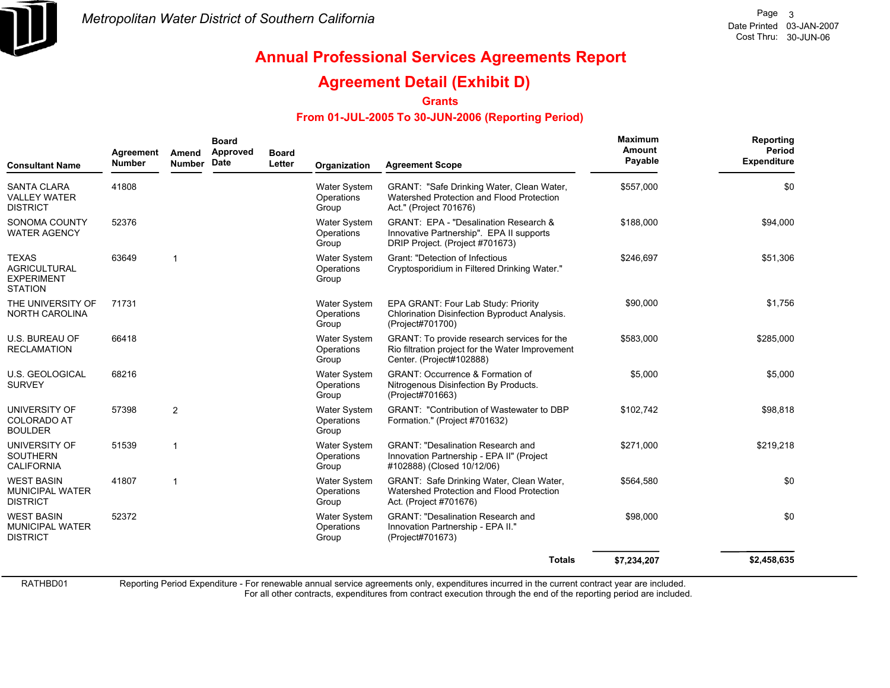

### **Agreement Detail (Exhibit D)**

**Grants**

#### **From 01-JUL-2005 To 30-JUN-2006 (Reporting Period)**

| <b>Consultant Name</b>                                                     | Agreement<br><b>Number</b> | Amend<br><b>Number</b>  | <b>Board</b><br>Approved<br>Date | <b>Board</b><br>Letter | Organization                               | <b>Agreement Scope</b>                                                                                                          | Maximum<br>Amount<br>Payable | Reporting<br>Period<br><b>Expenditure</b> |
|----------------------------------------------------------------------------|----------------------------|-------------------------|----------------------------------|------------------------|--------------------------------------------|---------------------------------------------------------------------------------------------------------------------------------|------------------------------|-------------------------------------------|
| <b>SANTA CLARA</b><br><b>VALLEY WATER</b><br><b>DISTRICT</b>               | 41808                      |                         |                                  |                        | <b>Water System</b><br>Operations<br>Group | GRANT: "Safe Drinking Water, Clean Water,<br>Watershed Protection and Flood Protection<br>Act." (Project 701676)                | \$557,000                    | \$0                                       |
| SONOMA COUNTY<br><b>WATER AGENCY</b>                                       | 52376                      |                         |                                  |                        | <b>Water System</b><br>Operations<br>Group | <b>GRANT: EPA - "Desalination Research &amp;</b><br>Innovative Partnership". EPA II supports<br>DRIP Project. (Project #701673) | \$188,000                    | \$94,000                                  |
| <b>TEXAS</b><br><b>AGRICULTURAL</b><br><b>EXPERIMENT</b><br><b>STATION</b> | 63649                      | $\overline{\mathbf{1}}$ |                                  |                        | <b>Water System</b><br>Operations<br>Group | Grant: "Detection of Infectious<br>Cryptosporidium in Filtered Drinking Water."                                                 | \$246,697                    | \$51,306                                  |
| THE UNIVERSITY OF<br>NORTH CAROLINA                                        | 71731                      |                         |                                  |                        | <b>Water System</b><br>Operations<br>Group | EPA GRANT: Four Lab Study: Priority<br>Chlorination Disinfection Byproduct Analysis.<br>(Project#701700)                        | \$90,000                     | \$1,756                                   |
| U.S. BUREAU OF<br><b>RECLAMATION</b>                                       | 66418                      |                         |                                  |                        | <b>Water System</b><br>Operations<br>Group | GRANT: To provide research services for the<br>Rio filtration project for the Water Improvement<br>Center. (Project#102888)     | \$583,000                    | \$285,000                                 |
| <b>U.S. GEOLOGICAL</b><br><b>SURVEY</b>                                    | 68216                      |                         |                                  |                        | <b>Water System</b><br>Operations<br>Group | <b>GRANT: Occurrence &amp; Formation of</b><br>Nitrogenous Disinfection By Products.<br>(Project#701663)                        | \$5,000                      | \$5,000                                   |
| UNIVERSITY OF<br><b>COLORADO AT</b><br><b>BOULDER</b>                      | 57398                      | 2                       |                                  |                        | <b>Water System</b><br>Operations<br>Group | GRANT: "Contribution of Wastewater to DBP<br>Formation." (Project #701632)                                                      | \$102,742                    | \$98,818                                  |
| UNIVERSITY OF<br><b>SOUTHERN</b><br><b>CALIFORNIA</b>                      | 51539                      | $\mathbf{1}$            |                                  |                        | Water System<br>Operations<br>Group        | <b>GRANT: "Desalination Research and</b><br>Innovation Partnership - EPA II" (Project<br>#102888) (Closed 10/12/06)             | \$271,000                    | \$219,218                                 |
| <b>WEST BASIN</b><br><b>MUNICIPAL WATER</b><br><b>DISTRICT</b>             | 41807                      | $\overline{1}$          |                                  |                        | <b>Water System</b><br>Operations<br>Group | GRANT: Safe Drinking Water, Clean Water,<br>Watershed Protection and Flood Protection<br>Act. (Project #701676)                 | \$564,580                    | \$0                                       |
| <b>WEST BASIN</b><br><b>MUNICIPAL WATER</b><br><b>DISTRICT</b>             | 52372                      |                         |                                  |                        | Water System<br>Operations<br>Group        | <b>GRANT: "Desalination Research and</b><br>Innovation Partnership - EPA II."<br>(Project#701673)                               | \$98,000                     | \$0                                       |
|                                                                            |                            |                         |                                  |                        |                                            | <b>Totals</b>                                                                                                                   | \$7,234,207                  | \$2,458,635                               |

RATHBD01

Reporting Period Expenditure - For renewable annual service agreements only, expenditures incurred in the current contract year are included.

For all other contracts, expenditures from contract execution through the end of the reporting period are included.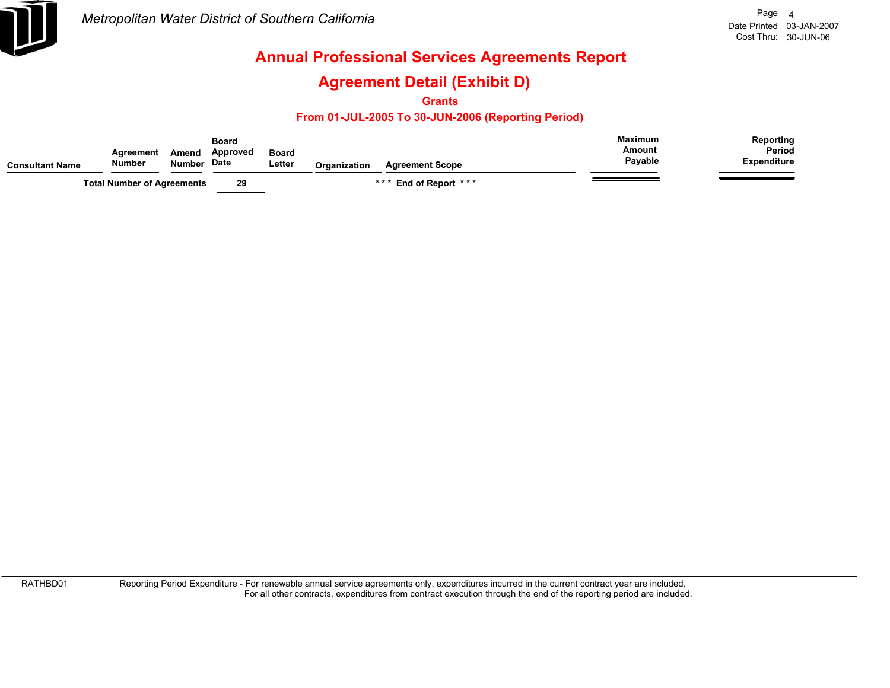

### **Agreement Detail (Exhibit D)**

**Grants**

#### **From 01-JUL-2005 To 30-JUN-2006 (Reporting Period)**

| <b>Consultant Name</b> | Agreement<br><b>Number</b>        | Amend<br><b>Number</b> | Board<br>Approved<br>Date | <b>Board</b><br>∟etter | <b>Organization</b> | <b>Agreement Scope</b> | <b>Maximum</b><br>Amount<br>Payable | Reporting<br><b>Period</b><br><b>Expenditure</b> |
|------------------------|-----------------------------------|------------------------|---------------------------|------------------------|---------------------|------------------------|-------------------------------------|--------------------------------------------------|
|                        | <b>Total Number of Agreements</b> |                        | 29                        |                        |                     | *** End of Report ***  |                                     |                                                  |

RATHBD01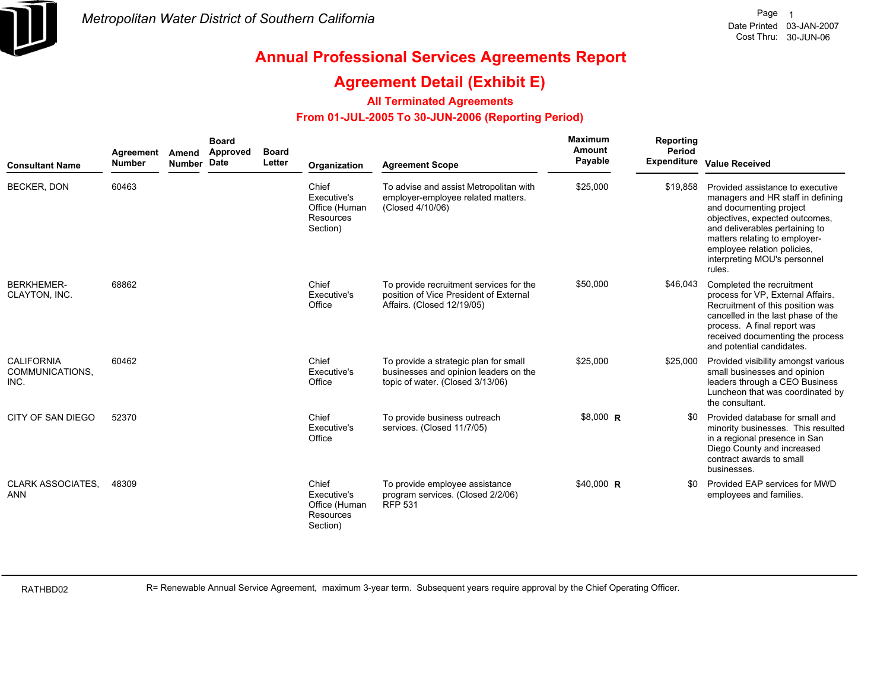

### **Agreement Detail (Exhibit E)**

#### **All Terminated Agreements**

#### **From 01-JUL-2005 To 30-JUN-2006 (Reporting Period)**

| <b>Consultant Name</b>                       | Agreement<br><b>Number</b> | Amend<br>Number Date | <b>Board</b><br><b>Approved</b> | <b>Board</b><br>Letter | Organization                                                   | <b>Agreement Scope</b>                                                                                             | <b>Maximum</b><br>Amount<br>Payable | Reporting<br><b>Period</b> | Expenditure Value Received                                                                                                                                                                                                                                                     |
|----------------------------------------------|----------------------------|----------------------|---------------------------------|------------------------|----------------------------------------------------------------|--------------------------------------------------------------------------------------------------------------------|-------------------------------------|----------------------------|--------------------------------------------------------------------------------------------------------------------------------------------------------------------------------------------------------------------------------------------------------------------------------|
| <b>BECKER, DON</b>                           | 60463                      |                      |                                 |                        | Chief<br>Executive's<br>Office (Human<br>Resources<br>Section) | To advise and assist Metropolitan with<br>employer-employee related matters.<br>(Closed 4/10/06)                   | \$25,000                            | \$19,858                   | Provided assistance to executive<br>managers and HR staff in defining<br>and documenting project<br>objectives, expected outcomes,<br>and deliverables pertaining to<br>matters relating to employer-<br>employee relation policies,<br>interpreting MOU's personnel<br>rules. |
| <b>BERKHEMER-</b><br>CLAYTON, INC.           | 68862                      |                      |                                 |                        | Chief<br>Executive's<br>Office                                 | To provide recruitment services for the<br>position of Vice President of External<br>Affairs. (Closed 12/19/05)    | \$50,000                            | \$46,043                   | Completed the recruitment<br>process for VP, External Affairs.<br>Recruitment of this position was<br>cancelled in the last phase of the<br>process. A final report was<br>received documenting the process<br>and potential candidates.                                       |
| <b>CALIFORNIA</b><br>COMMUNICATIONS,<br>INC. | 60462                      |                      |                                 |                        | Chief<br>Executive's<br>Office                                 | To provide a strategic plan for small<br>businesses and opinion leaders on the<br>topic of water. (Closed 3/13/06) | \$25,000                            | \$25,000                   | Provided visibility amongst various<br>small businesses and opinion<br>leaders through a CEO Business<br>Luncheon that was coordinated by<br>the consultant.                                                                                                                   |
| CITY OF SAN DIEGO                            | 52370                      |                      |                                 |                        | Chief<br>Executive's<br>Office                                 | To provide business outreach<br>services. (Closed 11/7/05)                                                         | \$8,000 R                           | \$0                        | Provided database for small and<br>minority businesses. This resulted<br>in a regional presence in San<br>Diego County and increased<br>contract awards to small<br>businesses.                                                                                                |
| <b>CLARK ASSOCIATES.</b><br><b>ANN</b>       | 48309                      |                      |                                 |                        | Chief<br>Executive's<br>Office (Human<br>Resources<br>Section) | To provide employee assistance<br>program services. (Closed 2/2/06)<br><b>RFP 531</b>                              | \$40,000 R                          | \$0                        | Provided EAP services for MWD<br>employees and families.                                                                                                                                                                                                                       |

RATHBD02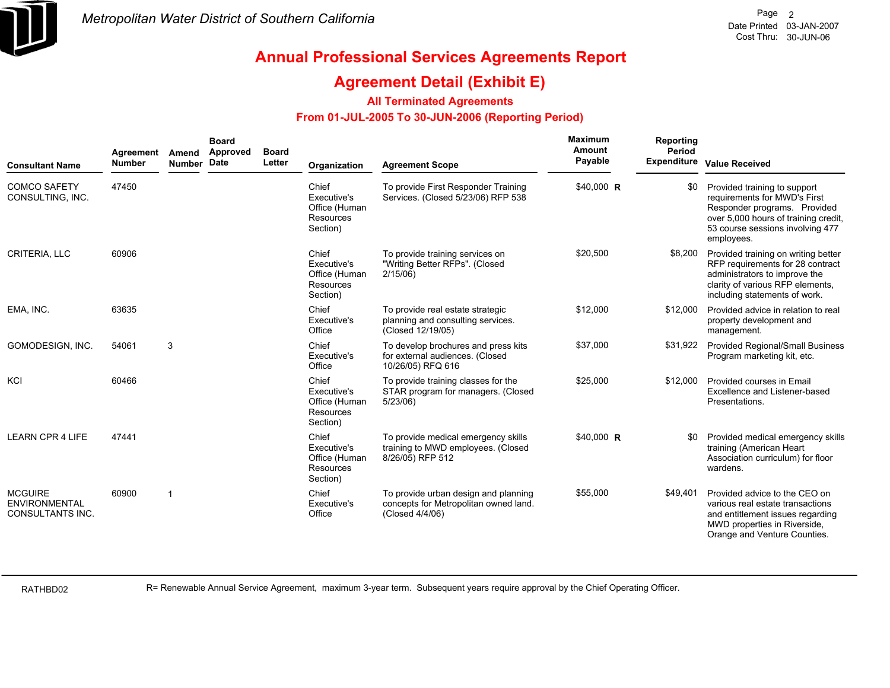

### **Agreement Detail (Exhibit E)**

#### **All Terminated Agreements**

#### **From 01-JUL-2005 To 30-JUN-2006 (Reporting Period)**

| <b>Consultant Name</b>                                            | Agreement<br><b>Number</b> | Amend<br>Number Date | <b>Board</b><br>Approved | <b>Board</b><br>Letter | Organization                                                          | <b>Agreement Scope</b>                                                                           | Maximum<br>Amount<br>Payable | Reporting<br>Period<br><b>Expenditure</b> | <b>Value Received</b>                                                                                                                                                                  |
|-------------------------------------------------------------------|----------------------------|----------------------|--------------------------|------------------------|-----------------------------------------------------------------------|--------------------------------------------------------------------------------------------------|------------------------------|-------------------------------------------|----------------------------------------------------------------------------------------------------------------------------------------------------------------------------------------|
| <b>COMCO SAFETY</b><br>CONSULTING, INC.                           | 47450                      |                      |                          |                        | Chief<br>Executive's<br>Office (Human<br>Resources<br>Section)        | To provide First Responder Training<br>Services. (Closed 5/23/06) RFP 538                        | \$40,000 R                   | \$0                                       | Provided training to support<br>requirements for MWD's First<br>Responder programs. Provided<br>over 5,000 hours of training credit,<br>53 course sessions involving 477<br>employees. |
| <b>CRITERIA, LLC</b>                                              | 60906                      |                      |                          |                        | Chief<br>Executive's<br>Office (Human<br>Resources<br>Section)        | To provide training services on<br>"Writing Better RFPs". (Closed<br>2/15/06                     | \$20,500                     | \$8,200                                   | Provided training on writing better<br>RFP requirements for 28 contract<br>administrators to improve the<br>clarity of various RFP elements,<br>including statements of work.          |
| EMA, INC.                                                         | 63635                      |                      |                          |                        | Chief<br>Executive's<br>Office                                        | To provide real estate strategic<br>planning and consulting services.<br>(Closed 12/19/05)       | \$12,000                     | \$12,000                                  | Provided advice in relation to real<br>property development and<br>management.                                                                                                         |
| GOMODESIGN, INC.                                                  | 54061                      | 3                    |                          |                        | Chief<br>Executive's<br>Office                                        | To develop brochures and press kits<br>for external audiences. (Closed<br>10/26/05) RFQ 616      | \$37,000                     | \$31,922                                  | <b>Provided Regional/Small Business</b><br>Program marketing kit, etc.                                                                                                                 |
| KCI                                                               | 60466                      |                      |                          |                        | Chief<br>Executive's<br>Office (Human<br><b>Resources</b><br>Section) | To provide training classes for the<br>STAR program for managers. (Closed<br>$5/23/06$ )         | \$25,000                     | \$12,000                                  | Provided courses in Email<br>Excellence and Listener-based<br>Presentations.                                                                                                           |
| <b>LEARN CPR 4 LIFE</b>                                           | 47441                      |                      |                          |                        | Chief<br>Executive's<br>Office (Human<br>Resources<br>Section)        | To provide medical emergency skills<br>training to MWD employees. (Closed<br>8/26/05) RFP 512    | \$40,000 R                   | \$0                                       | Provided medical emergency skills<br>training (American Heart<br>Association curriculum) for floor<br>wardens.                                                                         |
| <b>MCGUIRE</b><br><b>ENVIRONMENTAL</b><br><b>CONSULTANTS INC.</b> | 60900                      | -1                   |                          |                        | Chief<br>Executive's<br>Office                                        | To provide urban design and planning<br>concepts for Metropolitan owned land.<br>(Closed 4/4/06) | \$55,000                     | \$49,401                                  | Provided advice to the CEO on<br>various real estate transactions<br>and entitlement issues regarding<br>MWD properties in Riverside,<br>Orange and Venture Counties.                  |

RATHBD02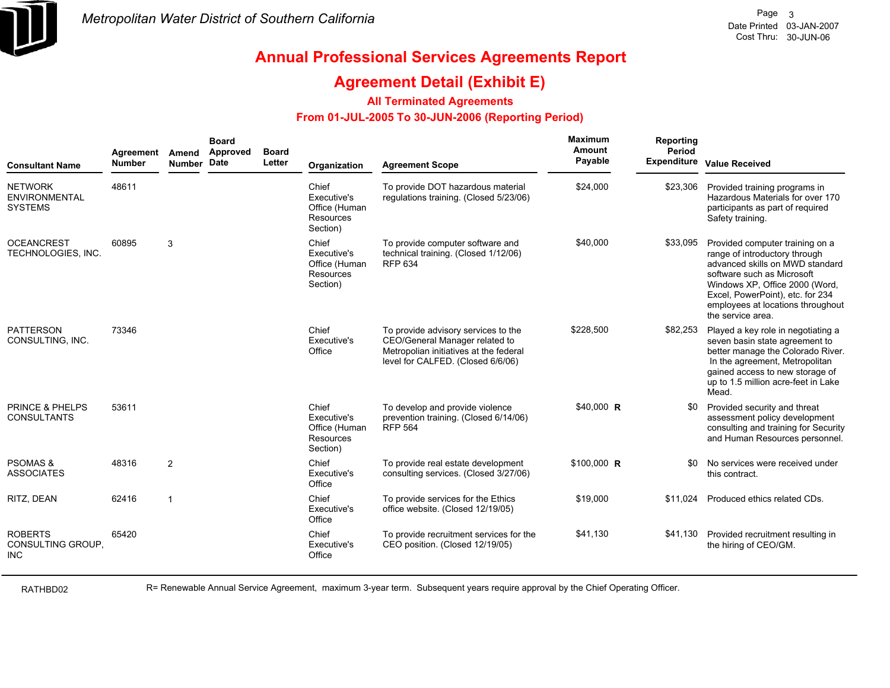

### **Agreement Detail (Exhibit E)**

#### **All Terminated Agreements**

#### **From 01-JUL-2005 To 30-JUN-2006 (Reporting Period)**

| <b>Consultant Name</b>                                   | Agreement<br><b>Number</b> | Amend<br><b>Number</b>  | <b>Board</b><br>Approved<br><b>Date</b> | <b>Board</b><br>Letter | Organization                                                   | <b>Agreement Scope</b>                                                                                                                               | Maximum<br>Amount<br>Payable | Reporting<br>Period<br><b>Expenditure</b> | <b>Value Received</b>                                                                                                                                                                                                                                             |
|----------------------------------------------------------|----------------------------|-------------------------|-----------------------------------------|------------------------|----------------------------------------------------------------|------------------------------------------------------------------------------------------------------------------------------------------------------|------------------------------|-------------------------------------------|-------------------------------------------------------------------------------------------------------------------------------------------------------------------------------------------------------------------------------------------------------------------|
| <b>NETWORK</b><br><b>ENVIRONMENTAL</b><br><b>SYSTEMS</b> | 48611                      |                         |                                         |                        | Chief<br>Executive's<br>Office (Human<br>Resources<br>Section) | To provide DOT hazardous material<br>regulations training. (Closed 5/23/06)                                                                          | \$24,000                     | \$23,306                                  | Provided training programs in<br>Hazardous Materials for over 170<br>participants as part of required<br>Safety training.                                                                                                                                         |
| <b>OCEANCREST</b><br><b>TECHNOLOGIES. INC.</b>           | 60895                      | 3                       |                                         |                        | Chief<br>Executive's<br>Office (Human<br>Resources<br>Section) | To provide computer software and<br>technical training. (Closed 1/12/06)<br><b>RFP 634</b>                                                           | \$40,000                     | \$33,095                                  | Provided computer training on a<br>range of introductory through<br>advanced skills on MWD standard<br>software such as Microsoft<br>Windows XP, Office 2000 (Word,<br>Excel, PowerPoint), etc. for 234<br>employees at locations throughout<br>the service area. |
| <b>PATTERSON</b><br>CONSULTING, INC.                     | 73346                      |                         |                                         |                        | Chief<br>Executive's<br>Office                                 | To provide advisory services to the<br>CEO/General Manager related to<br>Metropolian initiatives at the federal<br>level for CALFED. (Closed 6/6/06) | \$228,500                    | \$82,253                                  | Played a key role in negotiating a<br>seven basin state agreement to<br>better manage the Colorado River.<br>In the agreement, Metropolitan<br>gained access to new storage of<br>up to 1.5 million acre-feet in Lake<br>Mead.                                    |
| <b>PRINCE &amp; PHELPS</b><br><b>CONSULTANTS</b>         | 53611                      |                         |                                         |                        | Chief<br>Executive's<br>Office (Human<br>Resources<br>Section) | To develop and provide violence<br>prevention training. (Closed 6/14/06)<br><b>RFP 564</b>                                                           | \$40,000 R                   | \$0                                       | Provided security and threat<br>assessment policy development<br>consulting and training for Security<br>and Human Resources personnel.                                                                                                                           |
| <b>PSOMAS &amp;</b><br><b>ASSOCIATES</b>                 | 48316                      | 2                       |                                         |                        | Chief<br>Executive's<br>Office                                 | To provide real estate development<br>consulting services. (Closed 3/27/06)                                                                          | $$100,000$ R                 | \$0                                       | No services were received under<br>this contract.                                                                                                                                                                                                                 |
| RITZ, DEAN                                               | 62416                      | $\overline{\mathbf{1}}$ |                                         |                        | Chief<br>Executive's<br>Office                                 | To provide services for the Ethics<br>office website. (Closed 12/19/05)                                                                              | \$19,000                     | \$11.024                                  | Produced ethics related CDs.                                                                                                                                                                                                                                      |
| <b>ROBERTS</b><br>CONSULTING GROUP.<br><b>INC</b>        | 65420                      |                         |                                         |                        | Chief<br>Executive's<br>Office                                 | To provide recruitment services for the<br>CEO position. (Closed 12/19/05)                                                                           | \$41,130                     |                                           | \$41,130 Provided recruitment resulting in<br>the hiring of CEO/GM.                                                                                                                                                                                               |

RATHBD02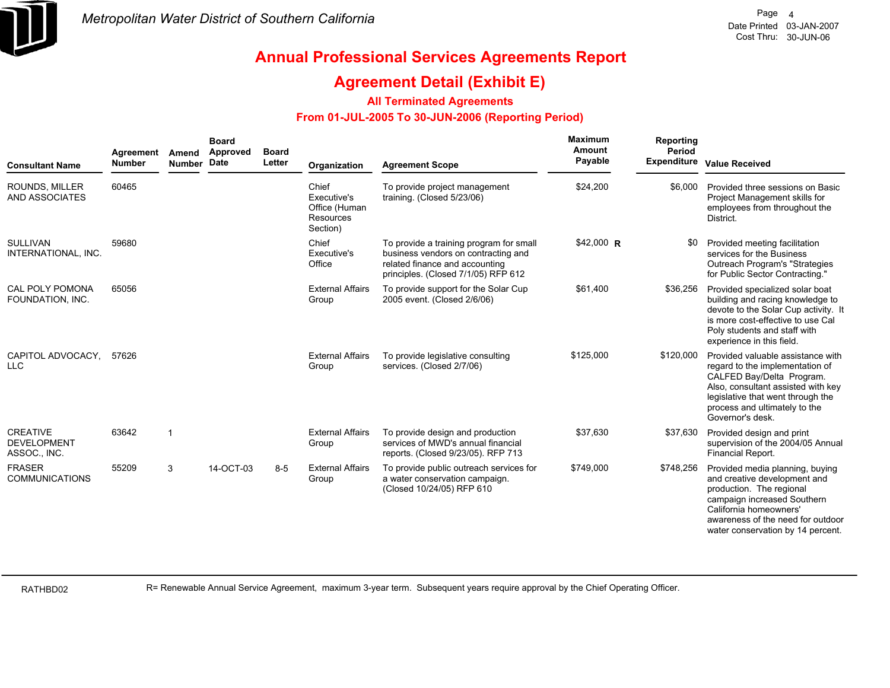

### **Agreement Detail (Exhibit E)**

#### **All Terminated Agreements**

#### **From 01-JUL-2005 To 30-JUN-2006 (Reporting Period)**

| <b>Consultant Name</b>                                | Agreement<br><b>Number</b> | Amend<br>Number Date | <b>Board</b><br>Approved | <b>Board</b><br>Letter | Organization                                                   | <b>Agreement Scope</b>                                                                                                                                  | Maximum<br>Amount<br>Payable | Reporting<br>Period<br><b>Expenditure</b> | <b>Value Received</b>                                                                                                                                                                                                             |
|-------------------------------------------------------|----------------------------|----------------------|--------------------------|------------------------|----------------------------------------------------------------|---------------------------------------------------------------------------------------------------------------------------------------------------------|------------------------------|-------------------------------------------|-----------------------------------------------------------------------------------------------------------------------------------------------------------------------------------------------------------------------------------|
| ROUNDS, MILLER<br>AND ASSOCIATES                      | 60465                      |                      |                          |                        | Chief<br>Executive's<br>Office (Human<br>Resources<br>Section) | To provide project management<br>training. (Closed 5/23/06)                                                                                             | \$24,200                     | \$6,000                                   | Provided three sessions on Basic<br>Project Management skills for<br>employees from throughout the<br>District.                                                                                                                   |
| <b>SULLIVAN</b><br>INTERNATIONAL, INC.                | 59680                      |                      |                          |                        | Chief<br>Executive's<br>Office                                 | To provide a training program for small<br>business vendors on contracting and<br>related finance and accounting<br>principles. (Closed 7/1/05) RFP 612 | $$42,000$ R                  | \$0                                       | Provided meeting facilitation<br>services for the Business<br>Outreach Program's "Strategies<br>for Public Sector Contracting."                                                                                                   |
| CAL POLY POMONA<br>FOUNDATION, INC.                   | 65056                      |                      |                          |                        | <b>External Affairs</b><br>Group                               | To provide support for the Solar Cup<br>2005 event. (Closed 2/6/06)                                                                                     | \$61.400                     | \$36,256                                  | Provided specialized solar boat<br>building and racing knowledge to<br>devote to the Solar Cup activity. It<br>is more cost-effective to use Cal<br>Poly students and staff with<br>experience in this field.                     |
| CAPITOL ADVOCACY.<br><b>LLC</b>                       | 57626                      |                      |                          |                        | <b>External Affairs</b><br>Group                               | To provide legislative consulting<br>services. (Closed 2/7/06)                                                                                          | \$125,000                    | \$120,000                                 | Provided valuable assistance with<br>regard to the implementation of<br>CALFED Bay/Delta Program.<br>Also, consultant assisted with key<br>legislative that went through the<br>process and ultimately to the<br>Governor's desk. |
| <b>CREATIVE</b><br><b>DEVELOPMENT</b><br>ASSOC., INC. | 63642                      | -1                   |                          |                        | <b>External Affairs</b><br>Group                               | To provide design and production<br>services of MWD's annual financial<br>reports. (Closed 9/23/05). RFP 713                                            | \$37,630                     | \$37,630                                  | Provided design and print<br>supervision of the 2004/05 Annual<br>Financial Report.                                                                                                                                               |
| <b>FRASER</b><br><b>COMMUNICATIONS</b>                | 55209                      | 3                    | 14-OCT-03                | $8 - 5$                | <b>External Affairs</b><br>Group                               | To provide public outreach services for<br>a water conservation campaign.<br>(Closed 10/24/05) RFP 610                                                  | \$749,000                    | \$748,256                                 | Provided media planning, buying<br>and creative development and<br>production. The regional<br>campaign increased Southern<br>California homeowners'<br>awareness of the need for outdoor<br>water conservation by 14 percent.    |

RATHBD02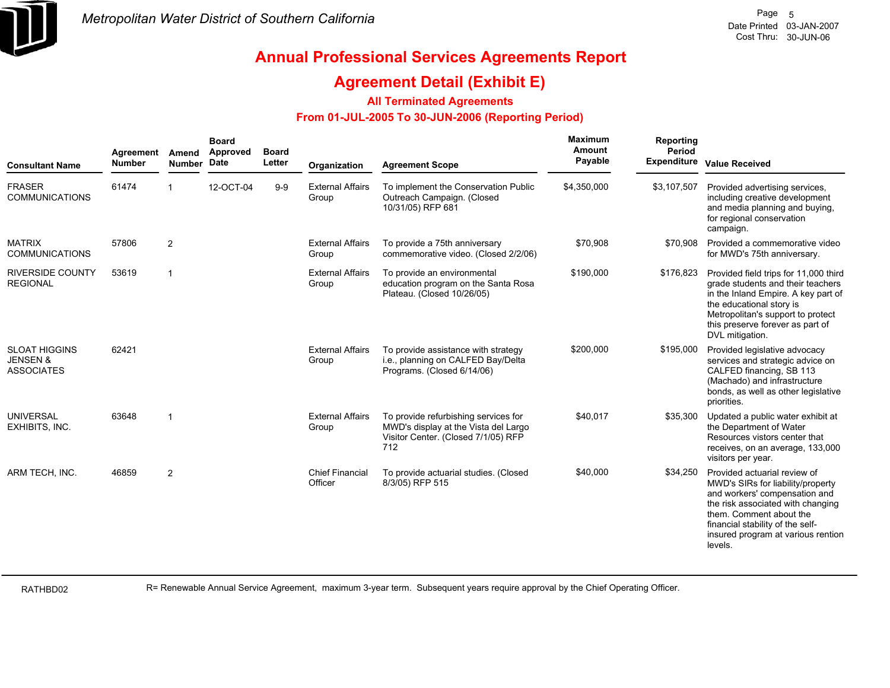

### **Agreement Detail (Exhibit E)**

#### **All Terminated Agreements**

#### **From 01-JUL-2005 To 30-JUN-2006 (Reporting Period)**

| <b>Consultant Name</b>                                           | Agreement<br><b>Number</b> | Amend<br><b>Number</b>  | <b>Board</b><br>Approved<br><b>Date</b> | <b>Board</b><br>Letter | Organization                      | <b>Agreement Scope</b>                                                                                                     | Maximum<br><b>Amount</b><br>Payable | Reporting<br>Period<br><b>Expenditure</b> | <b>Value Received</b>                                                                                                                                                                                                                                   |
|------------------------------------------------------------------|----------------------------|-------------------------|-----------------------------------------|------------------------|-----------------------------------|----------------------------------------------------------------------------------------------------------------------------|-------------------------------------|-------------------------------------------|---------------------------------------------------------------------------------------------------------------------------------------------------------------------------------------------------------------------------------------------------------|
| <b>FRASER</b><br><b>COMMUNICATIONS</b>                           | 61474                      |                         | 12-OCT-04                               | $9 - 9$                | <b>External Affairs</b><br>Group  | To implement the Conservation Public<br>Outreach Campaign. (Closed<br>10/31/05) RFP 681                                    | \$4,350,000                         | \$3,107,507                               | Provided advertising services,<br>including creative development<br>and media planning and buying,<br>for regional conservation<br>campaign.                                                                                                            |
| <b>MATRIX</b><br><b>COMMUNICATIONS</b>                           | 57806                      | 2                       |                                         |                        | <b>External Affairs</b><br>Group  | To provide a 75th anniversary<br>commemorative video. (Closed 2/2/06)                                                      | \$70,908                            | \$70,908                                  | Provided a commemorative video<br>for MWD's 75th anniversary.                                                                                                                                                                                           |
| <b>RIVERSIDE COUNTY</b><br><b>REGIONAL</b>                       | 53619                      | $\overline{1}$          |                                         |                        | <b>External Affairs</b><br>Group  | To provide an environmental<br>education program on the Santa Rosa<br>Plateau. (Closed 10/26/05)                           | \$190,000                           | \$176,823                                 | Provided field trips for 11,000 third<br>grade students and their teachers<br>in the Inland Empire. A key part of<br>the educational story is<br>Metropolitan's support to protect<br>this preserve forever as part of<br>DVL mitigation.               |
| <b>SLOAT HIGGINS</b><br><b>JENSEN &amp;</b><br><b>ASSOCIATES</b> | 62421                      |                         |                                         |                        | <b>External Affairs</b><br>Group  | To provide assistance with strategy<br>i.e., planning on CALFED Bay/Delta<br>Programs. (Closed 6/14/06)                    | \$200,000                           | \$195,000                                 | Provided legislative advocacy<br>services and strategic advice on<br>CALFED financing, SB 113<br>(Machado) and infrastructure<br>bonds, as well as other legislative<br>priorities.                                                                     |
| <b>UNIVERSAL</b><br>EXHIBITS, INC.                               | 63648                      | $\overline{\mathbf{1}}$ |                                         |                        | <b>External Affairs</b><br>Group  | To provide refurbishing services for<br>MWD's display at the Vista del Largo<br>Visitor Center. (Closed 7/1/05) RFP<br>712 | \$40,017                            | \$35,300                                  | Updated a public water exhibit at<br>the Department of Water<br>Resources vistors center that<br>receives, on an average, 133,000<br>visitors per year.                                                                                                 |
| ARM TECH, INC.                                                   | 46859                      | $\overline{2}$          |                                         |                        | <b>Chief Financial</b><br>Officer | To provide actuarial studies. (Closed<br>8/3/05) RFP 515                                                                   | \$40,000                            | \$34,250                                  | Provided actuarial review of<br>MWD's SIRs for liability/property<br>and workers' compensation and<br>the risk associated with changing<br>them. Comment about the<br>financial stability of the self-<br>insured program at various rention<br>levels. |

RATHBD02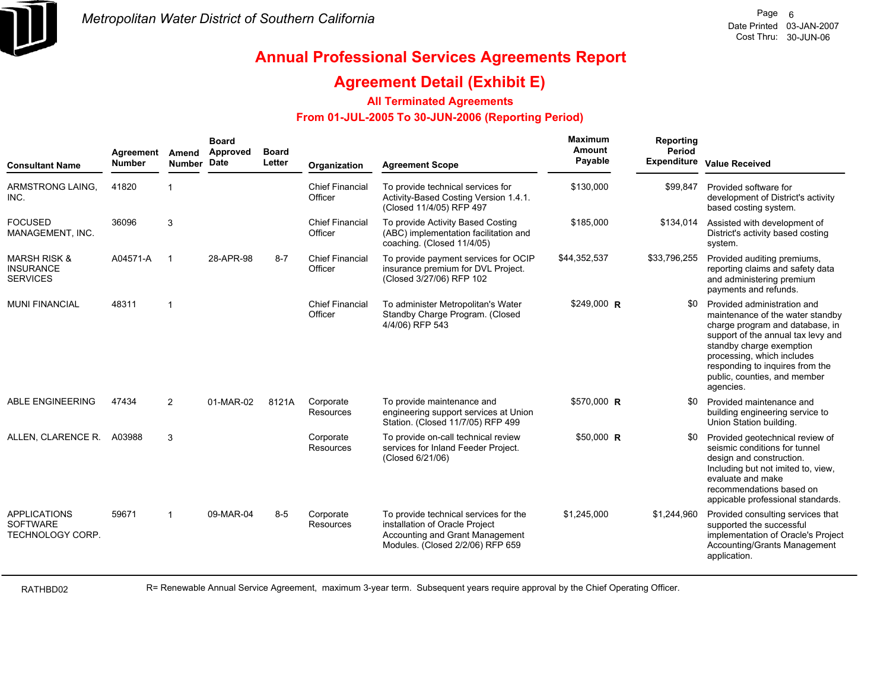

### **Agreement Detail (Exhibit E)**

#### **All Terminated Agreements**

#### **From 01-JUL-2005 To 30-JUN-2006 (Reporting Period)**

| <b>Consultant Name</b>                                         | Agreement<br><b>Number</b> | Amend<br><b>Number</b>  | <b>Board</b><br>Approved<br><b>Date</b> | <b>Board</b><br>Letter | Organization                      | <b>Agreement Scope</b>                                                                                                                         | Maximum<br>Amount<br>Payable | Reporting<br><b>Period</b><br><b>Expenditure</b> | <b>Value Received</b>                                                                                                                                                                                                                                                              |
|----------------------------------------------------------------|----------------------------|-------------------------|-----------------------------------------|------------------------|-----------------------------------|------------------------------------------------------------------------------------------------------------------------------------------------|------------------------------|--------------------------------------------------|------------------------------------------------------------------------------------------------------------------------------------------------------------------------------------------------------------------------------------------------------------------------------------|
| ARMSTRONG LAING.<br>INC.                                       | 41820                      | $\overline{\mathbf{1}}$ |                                         |                        | <b>Chief Financial</b><br>Officer | To provide technical services for<br>Activity-Based Costing Version 1.4.1.<br>(Closed 11/4/05) RFP 497                                         | \$130,000                    | \$99,847                                         | Provided software for<br>development of District's activity<br>based costing system.                                                                                                                                                                                               |
| <b>FOCUSED</b><br>MANAGEMENT, INC.                             | 36096                      | 3                       |                                         |                        | <b>Chief Financial</b><br>Officer | To provide Activity Based Costing<br>(ABC) implementation facilitation and<br>coaching. (Closed 11/4/05)                                       | \$185,000                    | \$134,014                                        | Assisted with development of<br>District's activity based costing<br>system.                                                                                                                                                                                                       |
| <b>MARSH RISK &amp;</b><br><b>INSURANCE</b><br><b>SERVICES</b> | A04571-A                   | $\overline{\mathbf{1}}$ | 28-APR-98                               | $8 - 7$                | <b>Chief Financial</b><br>Officer | To provide payment services for OCIP<br>insurance premium for DVL Project.<br>(Closed 3/27/06) RFP 102                                         | \$44,352,537                 | \$33,796,255                                     | Provided auditing premiums,<br>reporting claims and safety data<br>and administering premium<br>payments and refunds.                                                                                                                                                              |
| <b>MUNI FINANCIAL</b>                                          | 48311                      | $\overline{1}$          |                                         |                        | <b>Chief Financial</b><br>Officer | To administer Metropolitan's Water<br>Standby Charge Program. (Closed<br>4/4/06) RFP 543                                                       | $$249,000$ R                 | \$0                                              | Provided administration and<br>maintenance of the water standby<br>charge program and database, in<br>support of the annual tax levy and<br>standby charge exemption<br>processing, which includes<br>responding to inquires from the<br>public, counties, and member<br>agencies. |
| ABLE ENGINEERING                                               | 47434                      | 2                       | 01-MAR-02                               | 8121A                  | Corporate<br><b>Resources</b>     | To provide maintenance and<br>engineering support services at Union<br>Station. (Closed 11/7/05) RFP 499                                       | \$570,000 R                  | \$0                                              | Provided maintenance and<br>building engineering service to<br>Union Station building.                                                                                                                                                                                             |
| ALLEN, CLARENCE R.                                             | A03988                     | 3                       |                                         |                        | Corporate<br><b>Resources</b>     | To provide on-call technical review<br>services for Inland Feeder Project.<br>(Closed 6/21/06)                                                 | $$50,000$ R                  | \$0                                              | Provided geotechnical review of<br>seismic conditions for tunnel<br>design and construction.<br>Including but not imited to, view,<br>evaluate and make<br>recommendations based on<br>appicable professional standards.                                                           |
| <b>APPLICATIONS</b><br><b>SOFTWARE</b><br>TECHNOLOGY CORP.     | 59671                      | -1                      | 09-MAR-04                               | $8-5$                  | Corporate<br>Resources            | To provide technical services for the<br>installation of Oracle Project<br>Accounting and Grant Management<br>Modules. (Closed 2/2/06) RFP 659 | \$1,245,000                  | \$1,244,960                                      | Provided consulting services that<br>supported the successful<br>implementation of Oracle's Project<br>Accounting/Grants Management<br>application.                                                                                                                                |

RATHBD02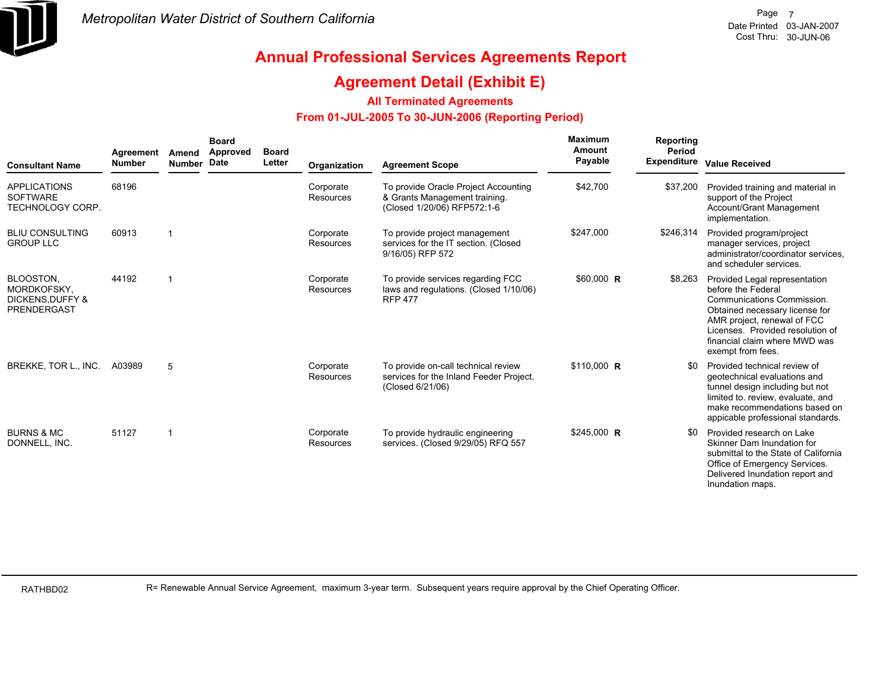

### **Agreement Detail (Exhibit E)**

#### **All Terminated Agreements**

#### **From 01-JUL-2005 To 30-JUN-2006 (Reporting Period)**

| <b>Consultant Name</b>                                                 | Agreement<br><b>Number</b> | Amend<br><b>Number</b>  | <b>Board</b><br>Approved<br>Date | <b>Board</b><br>Letter | Organization           | <b>Agreement Scope</b>                                                                               | Maximum<br>Amount<br>Payable | Reporting<br>Period<br><b>Expenditure</b> | <b>Value Received</b>                                                                                                                                                                                                                        |
|------------------------------------------------------------------------|----------------------------|-------------------------|----------------------------------|------------------------|------------------------|------------------------------------------------------------------------------------------------------|------------------------------|-------------------------------------------|----------------------------------------------------------------------------------------------------------------------------------------------------------------------------------------------------------------------------------------------|
| <b>APPLICATIONS</b><br><b>SOFTWARE</b><br><b>TECHNOLOGY CORP.</b>      | 68196                      |                         |                                  |                        | Corporate<br>Resources | To provide Oracle Project Accounting<br>& Grants Management training.<br>(Closed 1/20/06) RFP572:1-6 | \$42,700                     | \$37,200                                  | Provided training and material in<br>support of the Project<br>Account/Grant Management<br>implementation.                                                                                                                                   |
| <b>BLIU CONSULTING</b><br><b>GROUP LLC</b>                             | 60913                      | $\overline{\mathbf{1}}$ |                                  |                        | Corporate<br>Resources | To provide project management<br>services for the IT section. (Closed<br>9/16/05) RFP 572            | \$247,000                    | \$246,314                                 | Provided program/project<br>manager services, project<br>administrator/coordinator services.<br>and scheduler services.                                                                                                                      |
| BLOOSTON.<br>MORDKOFSKY.<br><b>DICKENS, DUFFY &amp;</b><br>PRENDERGAST | 44192                      | $\overline{1}$          |                                  |                        | Corporate<br>Resources | To provide services regarding FCC<br>laws and regulations. (Closed 1/10/06)<br><b>RFP 477</b>        | $$60,000$ R                  | \$8,263                                   | Provided Legal representation<br>before the Federal<br>Communications Commission.<br>Obtained necessary license for<br>AMR project, renewal of FCC<br>Licenses. Provided resolution of<br>financial claim where MWD was<br>exempt from fees. |
| BREKKE, TOR L., INC.                                                   | A03989                     | 5                       |                                  |                        | Corporate<br>Resources | To provide on-call technical review<br>services for the Inland Feeder Project.<br>(Closed 6/21/06)   | \$110,000 R                  | \$0                                       | Provided technical review of<br>geotechnical evaluations and<br>tunnel design including but not<br>limited to. review, evaluate, and<br>make recommendations based on<br>appicable professional standards.                                   |
| <b>BURNS &amp; MC</b><br>DONNELL, INC.                                 | 51127                      |                         |                                  |                        | Corporate<br>Resources | To provide hydraulic engineering<br>services. (Closed 9/29/05) RFQ 557                               | \$245,000 R                  | \$0                                       | Provided research on Lake<br>Skinner Dam Inundation for<br>submittal to the State of California<br>Office of Emergency Services.<br>Delivered Inundation report and<br>Inundation maps.                                                      |

RATHBD02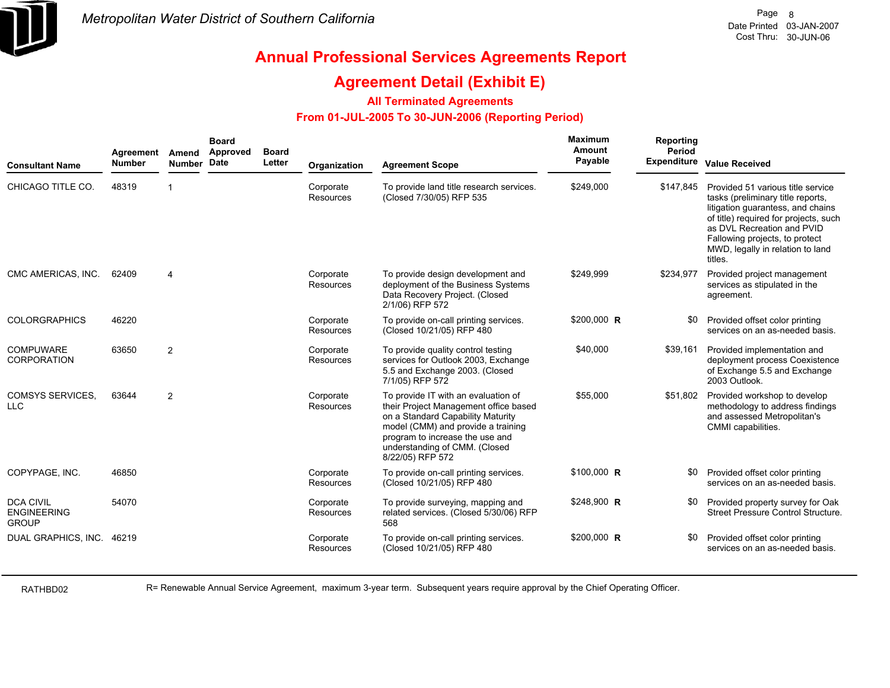

### **Agreement Detail (Exhibit E)**

**All Terminated Agreements**

#### **From 01-JUL-2005 To 30-JUN-2006 (Reporting Period)**

| <b>Consultant Name</b>                                 | Agreement<br><b>Number</b> | Amend<br>Number Date | <b>Board</b><br>Approved | <b>Board</b><br>Letter | Organization                  | <b>Agreement Scope</b>                                                                                                                                                                                                                          | Maximum<br>Amount<br>Payable | Reporting<br>Period<br>Expenditure | <b>Value Received</b>                                                                                                                                                                                                                                               |
|--------------------------------------------------------|----------------------------|----------------------|--------------------------|------------------------|-------------------------------|-------------------------------------------------------------------------------------------------------------------------------------------------------------------------------------------------------------------------------------------------|------------------------------|------------------------------------|---------------------------------------------------------------------------------------------------------------------------------------------------------------------------------------------------------------------------------------------------------------------|
| CHICAGO TITLE CO.                                      | 48319                      | 1                    |                          |                        | Corporate<br><b>Resources</b> | To provide land title research services.<br>(Closed 7/30/05) RFP 535                                                                                                                                                                            | \$249,000                    | \$147.845                          | Provided 51 various title service<br>tasks (preliminary title reports,<br>litigation quarantess, and chains<br>of title) required for projects, such<br>as DVL Recreation and PVID<br>Fallowing projects, to protect<br>MWD, legally in relation to land<br>titles. |
| CMC AMERICAS, INC.                                     | 62409                      | 4                    |                          |                        | Corporate<br><b>Resources</b> | To provide design development and<br>deployment of the Business Systems<br>Data Recovery Project. (Closed<br>2/1/06) RFP 572                                                                                                                    | \$249,999                    | \$234,977                          | Provided project management<br>services as stipulated in the<br>agreement.                                                                                                                                                                                          |
| <b>COLORGRAPHICS</b>                                   | 46220                      |                      |                          |                        | Corporate<br><b>Resources</b> | To provide on-call printing services.<br>(Closed 10/21/05) RFP 480                                                                                                                                                                              | \$200,000 R                  | \$0                                | Provided offset color printing<br>services on an as-needed basis.                                                                                                                                                                                                   |
| <b>COMPUWARE</b><br><b>CORPORATION</b>                 | 63650                      | $\overline{2}$       |                          |                        | Corporate<br><b>Resources</b> | To provide quality control testing<br>services for Outlook 2003, Exchange<br>5.5 and Exchange 2003. (Closed<br>7/1/05) RFP 572                                                                                                                  | \$40,000                     | \$39,161                           | Provided implementation and<br>deployment process Coexistence<br>of Exchange 5.5 and Exchange<br>2003 Outlook.                                                                                                                                                      |
| <b>COMSYS SERVICES.</b><br><b>LLC</b>                  | 63644                      | 2                    |                          |                        | Corporate<br><b>Resources</b> | To provide IT with an evaluation of<br>their Project Management office based<br>on a Standard Capability Maturity<br>model (CMM) and provide a training<br>program to increase the use and<br>understanding of CMM. (Closed<br>8/22/05) RFP 572 | \$55,000                     | \$51,802                           | Provided workshop to develop<br>methodology to address findings<br>and assessed Metropolitan's<br>CMMI capabilities.                                                                                                                                                |
| COPYPAGE, INC.                                         | 46850                      |                      |                          |                        | Corporate<br><b>Resources</b> | To provide on-call printing services.<br>(Closed 10/21/05) RFP 480                                                                                                                                                                              | \$100,000 R                  | \$0                                | Provided offset color printing<br>services on an as-needed basis.                                                                                                                                                                                                   |
| <b>DCA CIVIL</b><br><b>ENGINEERING</b><br><b>GROUP</b> | 54070                      |                      |                          |                        | Corporate<br>Resources        | To provide surveying, mapping and<br>related services. (Closed 5/30/06) RFP<br>568                                                                                                                                                              | \$248,900 R                  | \$0                                | Provided property survey for Oak<br>Street Pressure Control Structure.                                                                                                                                                                                              |
| DUAL GRAPHICS, INC.                                    | 46219                      |                      |                          |                        | Corporate<br>Resources        | To provide on-call printing services.<br>(Closed 10/21/05) RFP 480                                                                                                                                                                              | \$200,000 R                  |                                    | Provided offset color printing<br>services on an as-needed basis.                                                                                                                                                                                                   |

RATHBD02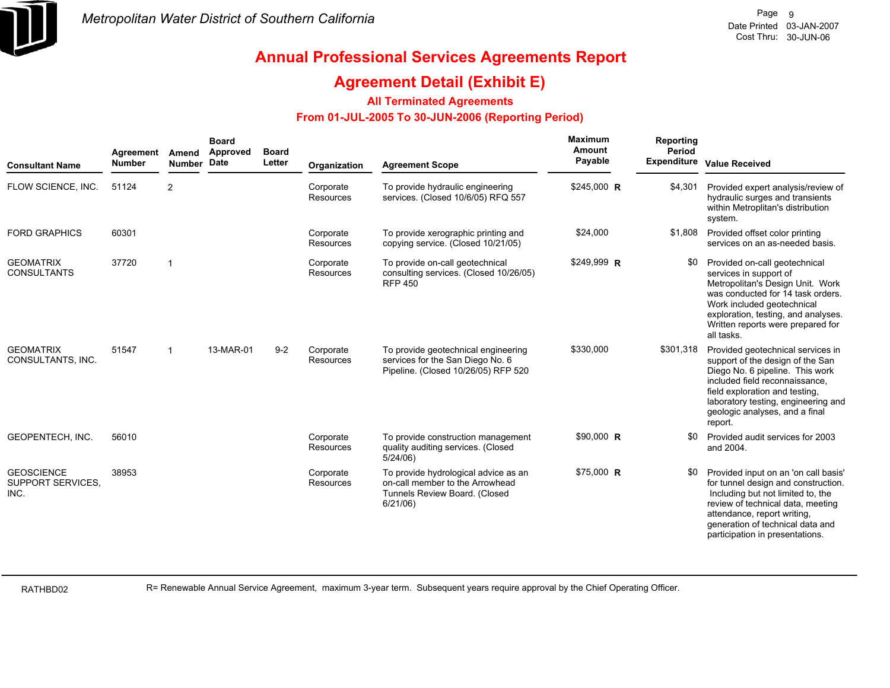

### **Agreement Detail (Exhibit E)**

#### **All Terminated Agreements**

#### **From 01-JUL-2005 To 30-JUN-2006 (Reporting Period)**

| <b>Consultant Name</b>                                | Agreement<br><b>Number</b> | Amend<br>Number Date    | <b>Board</b><br>Approved | <b>Board</b><br>Letter | Organization           | <b>Agreement Scope</b>                                                                                              | <b>Maximum</b><br>Amount<br>Payable | <b>Reporting</b><br>Period | Expenditure Value Received                                                                                                                                                                                                                                       |
|-------------------------------------------------------|----------------------------|-------------------------|--------------------------|------------------------|------------------------|---------------------------------------------------------------------------------------------------------------------|-------------------------------------|----------------------------|------------------------------------------------------------------------------------------------------------------------------------------------------------------------------------------------------------------------------------------------------------------|
| FLOW SCIENCE, INC.                                    | 51124                      | 2                       |                          |                        | Corporate<br>Resources | To provide hydraulic engineering<br>services. (Closed 10/6/05) RFQ 557                                              | \$245,000 R                         | \$4,301                    | Provided expert analysis/review of<br>hydraulic surges and transients<br>within Metroplitan's distribution<br>system.                                                                                                                                            |
| <b>FORD GRAPHICS</b>                                  | 60301                      |                         |                          |                        | Corporate<br>Resources | To provide xerographic printing and<br>copying service. (Closed 10/21/05)                                           | \$24,000                            | \$1,808                    | Provided offset color printing<br>services on an as-needed basis.                                                                                                                                                                                                |
| <b>GEOMATRIX</b><br><b>CONSULTANTS</b>                | 37720                      | $\overline{1}$          |                          |                        | Corporate<br>Resources | To provide on-call geotechnical<br>consulting services. (Closed 10/26/05)<br><b>RFP 450</b>                         | \$249,999 R                         | \$0                        | Provided on-call geotechnical<br>services in support of<br>Metropolitan's Design Unit. Work<br>was conducted for 14 task orders.<br>Work included geotechnical<br>exploration, testing, and analyses.<br>Written reports were prepared for<br>all tasks.         |
| <b>GEOMATRIX</b><br>CONSULTANTS, INC.                 | 51547                      | $\overline{\mathbf{1}}$ | 13-MAR-01                | $9 - 2$                | Corporate<br>Resources | To provide geotechnical engineering<br>services for the San Diego No. 6<br>Pipeline. (Closed 10/26/05) RFP 520      | \$330,000                           | \$301,318                  | Provided geotechnical services in<br>support of the design of the San<br>Diego No. 6 pipeline. This work<br>included field reconnaissance.<br>field exploration and testing,<br>laboratory testing, engineering and<br>geologic analyses, and a final<br>report. |
| GEOPENTECH, INC.                                      | 56010                      |                         |                          |                        | Corporate<br>Resources | To provide construction management<br>quality auditing services. (Closed<br>$5/24/06$ )                             | $$90,000$ R                         | 80                         | Provided audit services for 2003<br>and 2004.                                                                                                                                                                                                                    |
| <b>GEOSCIENCE</b><br><b>SUPPORT SERVICES.</b><br>INC. | 38953                      |                         |                          |                        | Corporate<br>Resources | To provide hydrological advice as an<br>on-call member to the Arrowhead<br>Tunnels Review Board. (Closed<br>6/21/06 | \$75,000 R                          |                            | Provided input on an 'on call basis'<br>for tunnel design and construction.<br>Including but not limited to, the<br>review of technical data, meeting<br>attendance, report writing,<br>generation of technical data and<br>participation in presentations.      |

RATHBD02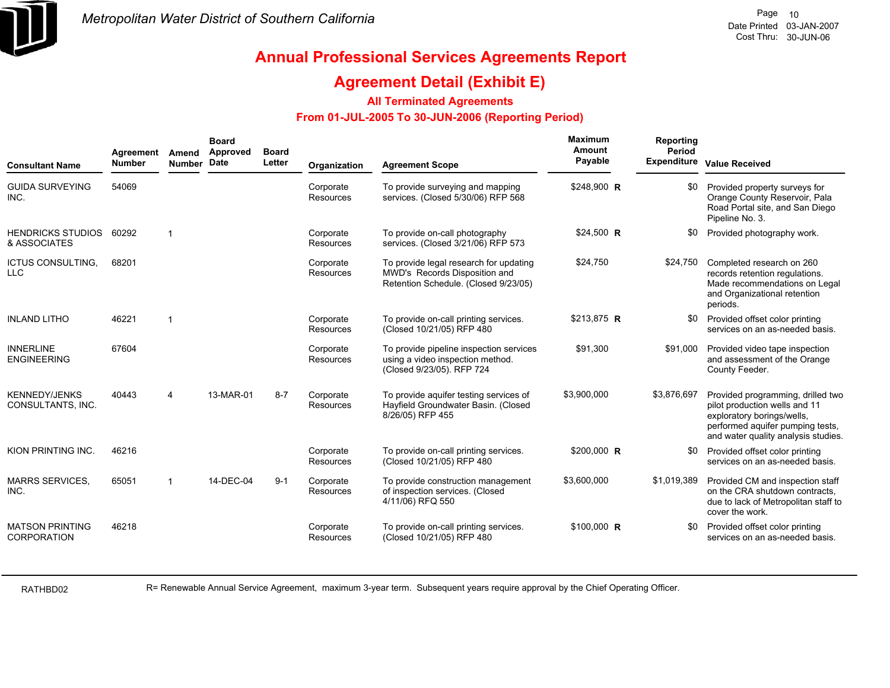

### **Agreement Detail (Exhibit E)**

#### **All Terminated Agreements**

#### **From 01-JUL-2005 To 30-JUN-2006 (Reporting Period)**

| <b>Consultant Name</b>                       | Agreement<br><b>Number</b> | Amend<br>Number       | <b>Board</b><br><b>Approved</b><br>Date | <b>Board</b><br>Letter | Organization                  | <b>Agreement Scope</b>                                                                                          | <b>Maximum</b><br>Amount<br>Payable | Reporting<br>Period | <b>Expenditure Value Received</b>                                                                                                                                           |
|----------------------------------------------|----------------------------|-----------------------|-----------------------------------------|------------------------|-------------------------------|-----------------------------------------------------------------------------------------------------------------|-------------------------------------|---------------------|-----------------------------------------------------------------------------------------------------------------------------------------------------------------------------|
| <b>GUIDA SURVEYING</b><br>INC.               | 54069                      |                       |                                         |                        | Corporate<br><b>Resources</b> | To provide surveying and mapping<br>services. (Closed 5/30/06) RFP 568                                          | \$248,900 R                         | \$0                 | Provided property surveys for<br>Orange County Reservoir, Pala<br>Road Portal site, and San Diego<br>Pipeline No. 3.                                                        |
| <b>HENDRICKS STUDIOS</b><br>& ASSOCIATES     | 60292                      | $\overline{1}$        |                                         |                        | Corporate<br><b>Resources</b> | To provide on-call photography<br>services. (Closed 3/21/06) RFP 573                                            | $$24,500$ R                         | \$0                 | Provided photography work.                                                                                                                                                  |
| <b>ICTUS CONSULTING,</b><br><b>LLC</b>       | 68201                      |                       |                                         |                        | Corporate<br><b>Resources</b> | To provide legal research for updating<br>MWD's Records Disposition and<br>Retention Schedule. (Closed 9/23/05) | \$24,750                            | \$24.750            | Completed research on 260<br>records retention regulations.<br>Made recommendations on Legal<br>and Organizational retention<br>periods.                                    |
| <b>INLAND LITHO</b>                          | 46221                      | $\overline{1}$        |                                         |                        | Corporate<br><b>Resources</b> | To provide on-call printing services.<br>(Closed 10/21/05) RFP 480                                              | \$213,875 R                         | \$0                 | Provided offset color printing<br>services on an as-needed basis.                                                                                                           |
| <b>INNERLINE</b><br><b>ENGINEERING</b>       | 67604                      |                       |                                         |                        | Corporate<br><b>Resources</b> | To provide pipeline inspection services<br>using a video inspection method.<br>(Closed 9/23/05). RFP 724        | \$91,300                            | \$91,000            | Provided video tape inspection<br>and assessment of the Orange<br>County Feeder.                                                                                            |
| <b>KENNEDY/JENKS</b><br>CONSULTANTS, INC.    | 40443                      | $\boldsymbol{\Delta}$ | 13-MAR-01                               | $8 - 7$                | Corporate<br><b>Resources</b> | To provide aquifer testing services of<br>Hayfield Groundwater Basin. (Closed<br>8/26/05) RFP 455               | \$3,900,000                         | \$3,876,697         | Provided programming, drilled two<br>pilot production wells and 11<br>exploratory borings/wells,<br>performed aquifer pumping tests,<br>and water quality analysis studies. |
| KION PRINTING INC.                           | 46216                      |                       |                                         |                        | Corporate<br><b>Resources</b> | To provide on-call printing services.<br>(Closed 10/21/05) RFP 480                                              | \$200,000 R                         | \$0                 | Provided offset color printing<br>services on an as-needed basis.                                                                                                           |
| <b>MARRS SERVICES,</b><br>INC.               | 65051                      | -1                    | 14-DEC-04                               | $9 - 1$                | Corporate<br>Resources        | To provide construction management<br>of inspection services. (Closed<br>4/11/06) RFQ 550                       | \$3,600,000                         | \$1,019,389         | Provided CM and inspection staff<br>on the CRA shutdown contracts.<br>due to lack of Metropolitan staff to<br>cover the work.                                               |
| <b>MATSON PRINTING</b><br><b>CORPORATION</b> | 46218                      |                       |                                         |                        | Corporate<br><b>Resources</b> | To provide on-call printing services.<br>(Closed 10/21/05) RFP 480                                              | $$100,000$ R                        | \$0                 | Provided offset color printing<br>services on an as-needed basis.                                                                                                           |

RATHBD02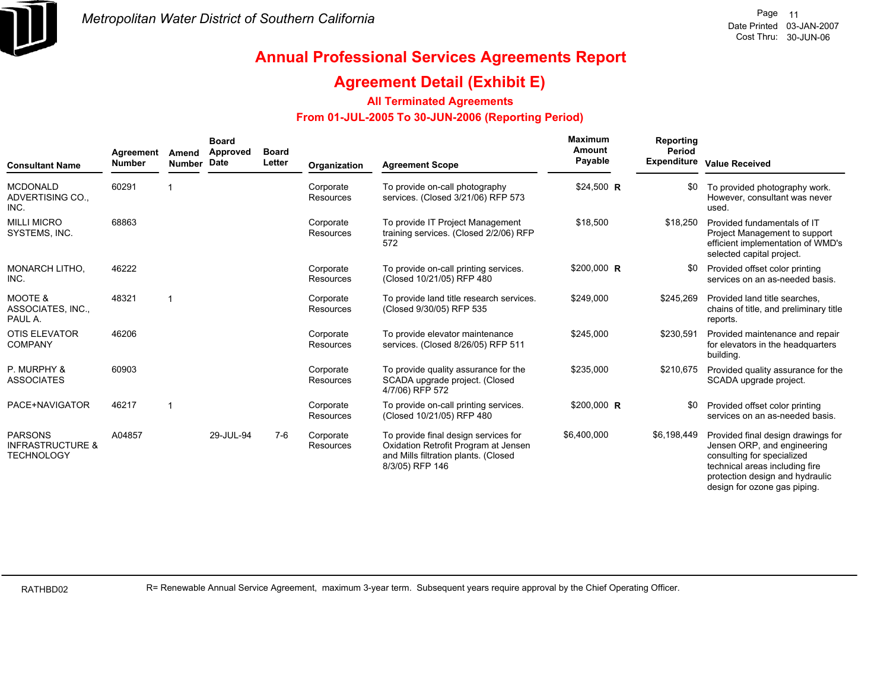

design for ozone gas piping.

# **Annual Professional Services Agreements Report**

### **Agreement Detail (Exhibit E)**

#### **All Terminated Agreements**

#### **From 01-JUL-2005 To 30-JUN-2006 (Reporting Period)**

| <b>Consultant Name</b>                                             | Agreement<br><b>Number</b> | Amend<br><b>Number</b> | <b>Board</b><br>Approved<br>Date | <b>Board</b><br>Letter | Organization           | <b>Agreement Scope</b>                                                                                                                  | Maximum<br>Amount<br>Payable | Reporting<br>Period<br><b>Expenditure</b> | <b>Value Received</b>                                                                                                                                                |
|--------------------------------------------------------------------|----------------------------|------------------------|----------------------------------|------------------------|------------------------|-----------------------------------------------------------------------------------------------------------------------------------------|------------------------------|-------------------------------------------|----------------------------------------------------------------------------------------------------------------------------------------------------------------------|
| <b>MCDONALD</b><br>ADVERTISING CO.,<br>INC.                        | 60291                      |                        |                                  |                        | Corporate<br>Resources | To provide on-call photography<br>services. (Closed 3/21/06) RFP 573                                                                    | \$24,500 R                   | \$0                                       | To provided photography work.<br>However, consultant was never<br>used.                                                                                              |
| <b>MILLI MICRO</b><br>SYSTEMS, INC.                                | 68863                      |                        |                                  |                        | Corporate<br>Resources | To provide IT Project Management<br>training services. (Closed 2/2/06) RFP<br>572                                                       | \$18,500                     | \$18,250                                  | Provided fundamentals of IT<br>Project Management to support<br>efficient implementation of WMD's<br>selected capital project.                                       |
| <b>MONARCH LITHO.</b><br>INC.                                      | 46222                      |                        |                                  |                        | Corporate<br>Resources | To provide on-call printing services.<br>(Closed 10/21/05) RFP 480                                                                      | \$200,000 R                  | \$0                                       | Provided offset color printing<br>services on an as-needed basis.                                                                                                    |
| <b>MOOTE &amp;</b><br>ASSOCIATES, INC.,<br>PAUL A.                 | 48321                      | $\overline{1}$         |                                  |                        | Corporate<br>Resources | To provide land title research services.<br>(Closed 9/30/05) RFP 535                                                                    | \$249,000                    | \$245,269                                 | Provided land title searches.<br>chains of title, and preliminary title<br>reports.                                                                                  |
| <b>OTIS ELEVATOR</b><br><b>COMPANY</b>                             | 46206                      |                        |                                  |                        | Corporate<br>Resources | To provide elevator maintenance<br>services. (Closed 8/26/05) RFP 511                                                                   | \$245,000                    | \$230,591                                 | Provided maintenance and repair<br>for elevators in the headquarters<br>building.                                                                                    |
| P. MURPHY &<br><b>ASSOCIATES</b>                                   | 60903                      |                        |                                  |                        | Corporate<br>Resources | To provide quality assurance for the<br>SCADA upgrade project. (Closed<br>4/7/06) RFP 572                                               | \$235,000                    | \$210,675                                 | Provided quality assurance for the<br>SCADA upgrade project.                                                                                                         |
| PACE+NAVIGATOR                                                     | 46217                      |                        |                                  |                        | Corporate<br>Resources | To provide on-call printing services.<br>(Closed 10/21/05) RFP 480                                                                      | \$200,000 R                  | \$0                                       | Provided offset color printing<br>services on an as-needed basis.                                                                                                    |
| <b>PARSONS</b><br><b>INFRASTRUCTURE &amp;</b><br><b>TECHNOLOGY</b> | A04857                     |                        | 29-JUL-94                        | $7-6$                  | Corporate<br>Resources | To provide final design services for<br>Oxidation Retrofit Program at Jensen<br>and Mills filtration plants. (Closed<br>8/3/05) RFP 146 | \$6,400,000                  | \$6,198,449                               | Provided final design drawings for<br>Jensen ORP, and engineering<br>consulting for specialized<br>technical areas including fire<br>protection design and hydraulic |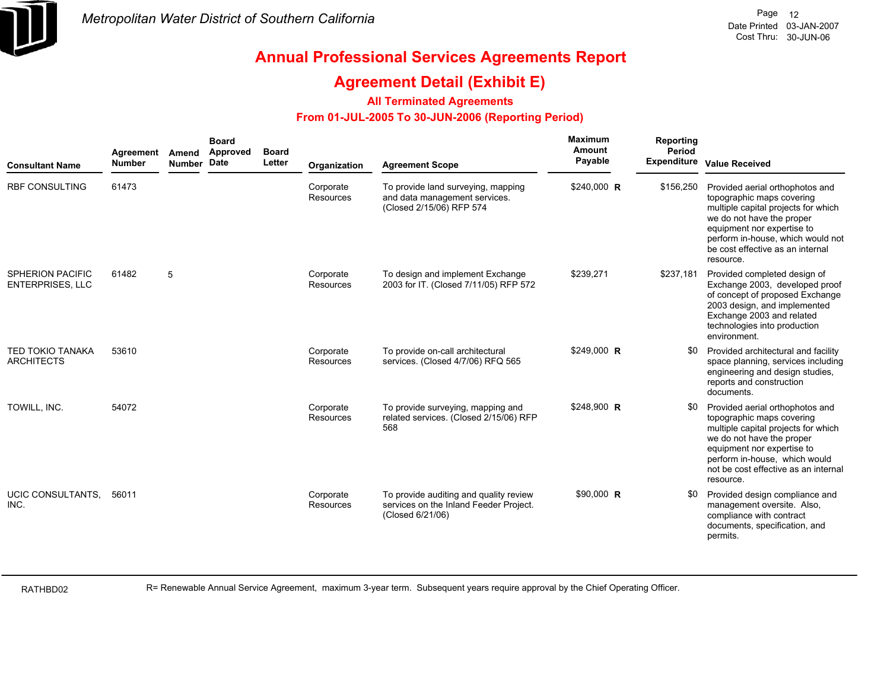

### **Agreement Detail (Exhibit E)**

#### **All Terminated Agreements**

#### **From 01-JUL-2005 To 30-JUN-2006 (Reporting Period)**

| <b>Consultant Name</b>                             | Agreement<br>Number | Amend<br>Number Date | <b>Board</b><br>Approved | <b>Board</b><br>Letter | Organization                  | <b>Agreement Scope</b>                                                                               | <b>Maximum</b><br>Amount<br>Payable | Reporting<br>Period | Expenditure Value Received                                                                                                                                                                                                                           |
|----------------------------------------------------|---------------------|----------------------|--------------------------|------------------------|-------------------------------|------------------------------------------------------------------------------------------------------|-------------------------------------|---------------------|------------------------------------------------------------------------------------------------------------------------------------------------------------------------------------------------------------------------------------------------------|
| <b>RBF CONSULTING</b>                              | 61473               |                      |                          |                        | Corporate<br><b>Resources</b> | To provide land surveying, mapping<br>and data management services.<br>(Closed 2/15/06) RFP 574      | \$240,000 R                         | \$156,250           | Provided aerial orthophotos and<br>topographic maps covering<br>multiple capital projects for which<br>we do not have the proper<br>equipment nor expertise to<br>perform in-house, which would not<br>be cost effective as an internal<br>resource. |
| <b>SPHERION PACIFIC</b><br><b>ENTERPRISES, LLC</b> | 61482               | 5                    |                          |                        | Corporate<br>Resources        | To design and implement Exchange<br>2003 for IT. (Closed 7/11/05) RFP 572                            | \$239,271                           | \$237,181           | Provided completed design of<br>Exchange 2003, developed proof<br>of concept of proposed Exchange<br>2003 design, and implemented<br>Exchange 2003 and related<br>technologies into production<br>environment.                                       |
| TED TOKIO TANAKA<br><b>ARCHITECTS</b>              | 53610               |                      |                          |                        | Corporate<br>Resources        | To provide on-call architectural<br>services. (Closed 4/7/06) RFQ 565                                | \$249,000 R                         | SO.                 | Provided architectural and facility<br>space planning, services including<br>engineering and design studies,<br>reports and construction<br>documents.                                                                                               |
| TOWILL, INC.                                       | 54072               |                      |                          |                        | Corporate<br>Resources        | To provide surveying, mapping and<br>related services. (Closed 2/15/06) RFP<br>568                   | \$248,900 R                         | <b>SO</b>           | Provided aerial orthophotos and<br>topographic maps covering<br>multiple capital projects for which<br>we do not have the proper<br>equipment nor expertise to<br>perform in-house, which would<br>not be cost effective as an internal<br>resource. |
| UCIC CONSULTANTS.<br>INC.                          | 56011               |                      |                          |                        | Corporate<br>Resources        | To provide auditing and quality review<br>services on the Inland Feeder Project.<br>(Closed 6/21/06) | \$90,000 R                          | <b>SO</b>           | Provided design compliance and<br>management oversite. Also,<br>compliance with contract<br>documents, specification, and<br>permits.                                                                                                                |

RATHBD02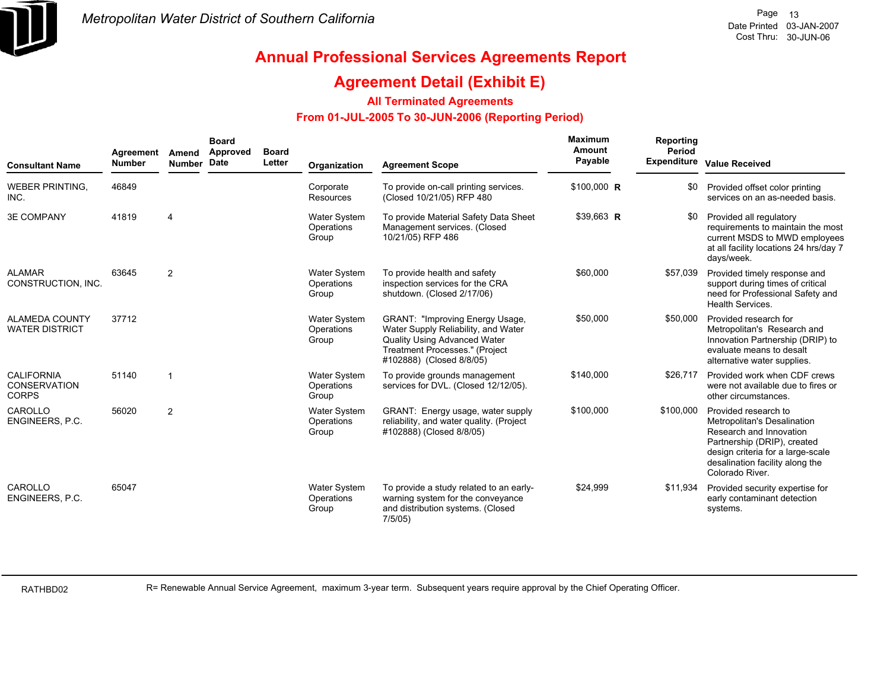

### **Agreement Detail (Exhibit E)**

#### **All Terminated Agreements**

#### **From 01-JUL-2005 To 30-JUN-2006 (Reporting Period)**

| <b>Consultant Name</b>                            | Agreement<br><b>Number</b> | Amend<br>Number Date    | <b>Board</b><br>Approved | <b>Board</b><br>Letter | Organization                               | <b>Agreement Scope</b>                                                                                                                                                             | Maximum<br>Amount<br>Payable | Reporting<br>Period | <b>Expenditure Value Received</b>                                                                                                                                                                        |
|---------------------------------------------------|----------------------------|-------------------------|--------------------------|------------------------|--------------------------------------------|------------------------------------------------------------------------------------------------------------------------------------------------------------------------------------|------------------------------|---------------------|----------------------------------------------------------------------------------------------------------------------------------------------------------------------------------------------------------|
| <b>WEBER PRINTING,</b><br>INC.                    | 46849                      |                         |                          |                        | Corporate<br><b>Resources</b>              | To provide on-call printing services.<br>(Closed 10/21/05) RFP 480                                                                                                                 | \$100,000 R                  | \$0                 | Provided offset color printing<br>services on an as-needed basis.                                                                                                                                        |
| <b>3E COMPANY</b>                                 | 41819                      | $\overline{4}$          |                          |                        | <b>Water System</b><br>Operations<br>Group | To provide Material Safety Data Sheet<br>Management services. (Closed<br>10/21/05) RFP 486                                                                                         | $$39,663$ R                  | \$0                 | Provided all regulatory<br>requirements to maintain the most<br>current MSDS to MWD employees<br>at all facility locations 24 hrs/day 7<br>days/week.                                                    |
| <b>ALAMAR</b><br>CONSTRUCTION, INC.               | 63645                      | $\overline{2}$          |                          |                        | <b>Water System</b><br>Operations<br>Group | To provide health and safety<br>inspection services for the CRA<br>shutdown. (Closed 2/17/06)                                                                                      | \$60,000                     | \$57,039            | Provided timely response and<br>support during times of critical<br>need for Professional Safety and<br>Health Services.                                                                                 |
| <b>ALAMEDA COUNTY</b><br><b>WATER DISTRICT</b>    | 37712                      |                         |                          |                        | <b>Water System</b><br>Operations<br>Group | <b>GRANT: "Improving Energy Usage,</b><br>Water Supply Reliability, and Water<br>Quality Using Advanced Water<br><b>Treatment Processes." (Project</b><br>#102888) (Closed 8/8/05) | \$50,000                     | \$50,000            | Provided research for<br>Metropolitan's Research and<br>Innovation Partnership (DRIP) to<br>evaluate means to desalt<br>alternative water supplies.                                                      |
| <b>CALIFORNIA</b><br>CONSERVATION<br><b>CORPS</b> | 51140                      | $\overline{\mathbf{1}}$ |                          |                        | <b>Water System</b><br>Operations<br>Group | To provide grounds management<br>services for DVL. (Closed 12/12/05).                                                                                                              | \$140,000                    | \$26,717            | Provided work when CDF crews<br>were not available due to fires or<br>other circumstances.                                                                                                               |
| CAROLLO<br>ENGINEERS, P.C.                        | 56020                      | $\overline{2}$          |                          |                        | <b>Water System</b><br>Operations<br>Group | GRANT: Energy usage, water supply<br>reliability, and water quality. (Project<br>#102888) (Closed 8/8/05)                                                                          | \$100,000                    | \$100,000           | Provided research to<br>Metropolitan's Desalination<br>Research and Innovation<br>Partnership (DRIP), created<br>design criteria for a large-scale<br>desalination facility along the<br>Colorado River. |
| CAROLLO<br>ENGINEERS, P.C.                        | 65047                      |                         |                          |                        | <b>Water System</b><br>Operations<br>Group | To provide a study related to an early-<br>warning system for the conveyance<br>and distribution systems. (Closed<br>7/5/05)                                                       | \$24,999                     | \$11,934            | Provided security expertise for<br>early contaminant detection<br>systems.                                                                                                                               |

RATHBD02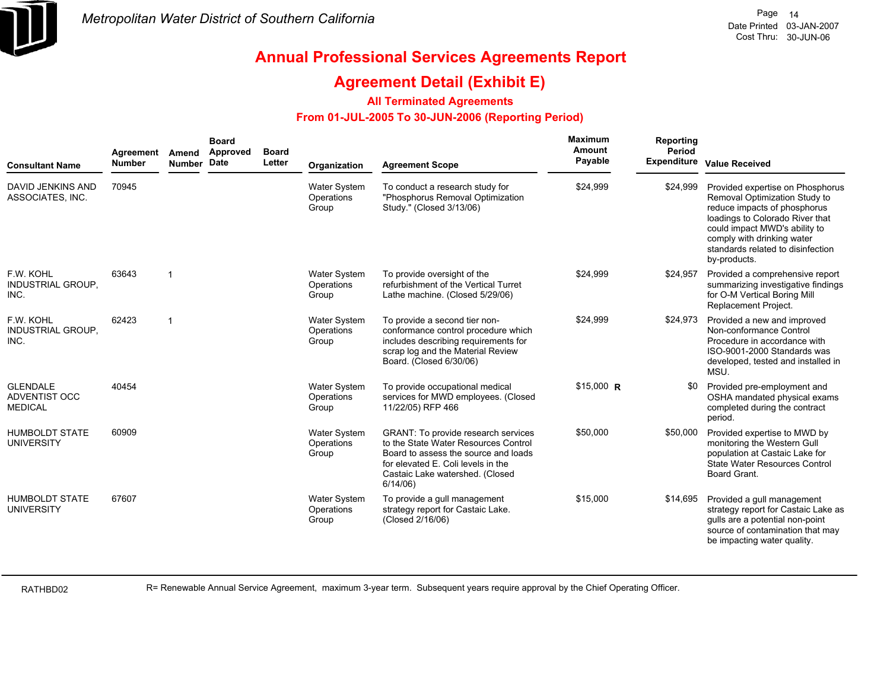

### **Agreement Detail (Exhibit E)**

#### **All Terminated Agreements**

#### **From 01-JUL-2005 To 30-JUN-2006 (Reporting Period)**

| <b>Consultant Name</b>                             | Agreement<br><b>Number</b> | Amend<br>Number Date | <b>Board</b><br>Approved | <b>Board</b><br>Letter | Organization                               | <b>Agreement Scope</b>                                                                                                                                                                                         | <b>Maximum</b><br>Amount<br>Payable | Reporting<br>Period | Expenditure Value Received                                                                                                                                                                                                                               |
|----------------------------------------------------|----------------------------|----------------------|--------------------------|------------------------|--------------------------------------------|----------------------------------------------------------------------------------------------------------------------------------------------------------------------------------------------------------------|-------------------------------------|---------------------|----------------------------------------------------------------------------------------------------------------------------------------------------------------------------------------------------------------------------------------------------------|
| DAVID JENKINS AND<br>ASSOCIATES, INC.              | 70945                      |                      |                          |                        | <b>Water System</b><br>Operations<br>Group | To conduct a research study for<br>"Phosphorus Removal Optimization<br>Study." (Closed 3/13/06)                                                                                                                | \$24,999                            | \$24,999            | Provided expertise on Phosphorus<br>Removal Optimization Study to<br>reduce impacts of phosphorus<br>loadings to Colorado River that<br>could impact MWD's ability to<br>comply with drinking water<br>standards related to disinfection<br>by-products. |
| F.W. KOHL<br><b>INDUSTRIAL GROUP,</b><br>INC.      | 63643                      | $\overline{1}$       |                          |                        | <b>Water System</b><br>Operations<br>Group | To provide oversight of the<br>refurbishment of the Vertical Turret<br>Lathe machine. (Closed 5/29/06)                                                                                                         | \$24,999                            | \$24,957            | Provided a comprehensive report<br>summarizing investigative findings<br>for O-M Vertical Boring Mill<br><b>Replacement Project.</b>                                                                                                                     |
| F.W. KOHL<br>INDUSTRIAL GROUP,<br>INC.             | 62423                      | $\mathbf{1}$         |                          |                        | <b>Water System</b><br>Operations<br>Group | To provide a second tier non-<br>conformance control procedure which<br>includes describing requirements for<br>scrap log and the Material Review<br>Board. (Closed 6/30/06)                                   | \$24,999                            | \$24,973            | Provided a new and improved<br>Non-conformance Control<br>Procedure in accordance with<br>ISO-9001-2000 Standards was<br>developed, tested and installed in<br>MSU.                                                                                      |
| <b>GLENDALE</b><br>ADVENTIST OCC<br><b>MEDICAL</b> | 40454                      |                      |                          |                        | <b>Water System</b><br>Operations<br>Group | To provide occupational medical<br>services for MWD employees. (Closed<br>11/22/05) RFP 466                                                                                                                    | $$15,000$ R                         | \$0                 | Provided pre-employment and<br>OSHA mandated physical exams<br>completed during the contract<br>period.                                                                                                                                                  |
| <b>HUMBOLDT STATE</b><br><b>UNIVERSITY</b>         | 60909                      |                      |                          |                        | <b>Water System</b><br>Operations<br>Group | <b>GRANT: To provide research services</b><br>to the State Water Resources Control<br>Board to assess the source and loads<br>for elevated E. Coli levels in the<br>Castaic Lake watershed. (Closed<br>6/14/06 | \$50,000                            | \$50,000            | Provided expertise to MWD by<br>monitoring the Western Gull<br>population at Castaic Lake for<br>State Water Resources Control<br>Board Grant.                                                                                                           |
| <b>HUMBOLDT STATE</b><br><b>UNIVERSITY</b>         | 67607                      |                      |                          |                        | <b>Water System</b><br>Operations<br>Group | To provide a gull management<br>strategy report for Castaic Lake.<br>(Closed 2/16/06)                                                                                                                          | \$15,000                            | \$14,695            | Provided a gull management<br>strategy report for Castaic Lake as<br>gulls are a potential non-point<br>source of contamination that may<br>be impacting water quality.                                                                                  |

RATHBD02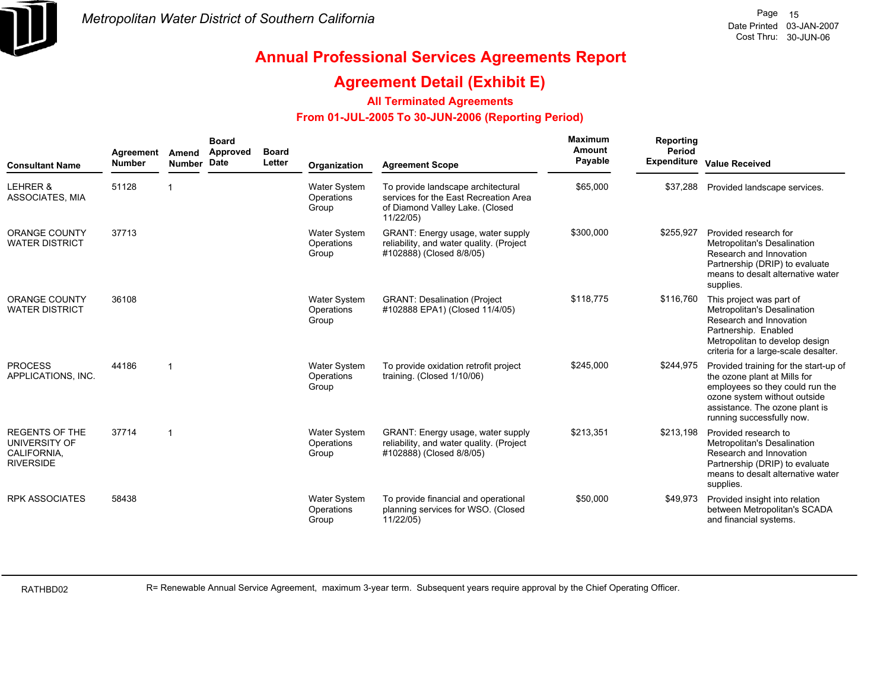

### **Agreement Detail (Exhibit E)**

#### **All Terminated Agreements**

#### **From 01-JUL-2005 To 30-JUN-2006 (Reporting Period)**

| <b>Consultant Name</b>                                                    | Agreement<br><b>Number</b> | Amend<br><b>Number</b> | <b>Board</b><br><b>Approved</b><br><b>Date</b> | <b>Board</b><br>Letter | Organization                               | <b>Agreement Scope</b>                                                                                                      | <b>Maximum</b><br>Amount<br>Payable | Reporting<br>Period | <b>Expenditure Value Received</b>                                                                                                                                                                       |
|---------------------------------------------------------------------------|----------------------------|------------------------|------------------------------------------------|------------------------|--------------------------------------------|-----------------------------------------------------------------------------------------------------------------------------|-------------------------------------|---------------------|---------------------------------------------------------------------------------------------------------------------------------------------------------------------------------------------------------|
| LEHRER &<br>ASSOCIATES, MIA                                               | 51128                      |                        |                                                |                        | Water System<br>Operations<br>Group        | To provide landscape architectural<br>services for the East Recreation Area<br>of Diamond Valley Lake. (Closed<br>11/22/05) | \$65,000                            | \$37.288            | Provided landscape services.                                                                                                                                                                            |
| <b>ORANGE COUNTY</b><br><b>WATER DISTRICT</b>                             | 37713                      |                        |                                                |                        | <b>Water System</b><br>Operations<br>Group | GRANT: Energy usage, water supply<br>reliability, and water quality. (Project<br>#102888) (Closed 8/8/05)                   | \$300,000                           | \$255,927           | Provided research for<br>Metropolitan's Desalination<br>Research and Innovation<br>Partnership (DRIP) to evaluate<br>means to desalt alternative water<br>supplies.                                     |
| <b>ORANGE COUNTY</b><br><b>WATER DISTRICT</b>                             | 36108                      |                        |                                                |                        | Water System<br>Operations<br>Group        | <b>GRANT: Desalination (Project</b><br>#102888 EPA1) (Closed 11/4/05)                                                       | \$118,775                           | \$116,760           | This project was part of<br>Metropolitan's Desalination<br>Research and Innovation<br>Partnership. Enabled<br>Metropolitan to develop design<br>criteria for a large-scale desalter.                    |
| <b>PROCESS</b><br>APPLICATIONS, INC.                                      | 44186                      | -1                     |                                                |                        | <b>Water System</b><br>Operations<br>Group | To provide oxidation retrofit project<br>training. (Closed 1/10/06)                                                         | \$245,000                           | \$244,975           | Provided training for the start-up of<br>the ozone plant at Mills for<br>employees so they could run the<br>ozone system without outside<br>assistance. The ozone plant is<br>running successfully now. |
| <b>REGENTS OF THE</b><br>UNIVERSITY OF<br>CALIFORNIA,<br><b>RIVERSIDE</b> | 37714                      | -1                     |                                                |                        | <b>Water System</b><br>Operations<br>Group | GRANT: Energy usage, water supply<br>reliability, and water quality. (Project<br>#102888) (Closed 8/8/05)                   | \$213,351                           | \$213,198           | Provided research to<br>Metropolitan's Desalination<br>Research and Innovation<br>Partnership (DRIP) to evaluate<br>means to desalt alternative water<br>supplies.                                      |
| <b>RPK ASSOCIATES</b>                                                     | 58438                      |                        |                                                |                        | <b>Water System</b><br>Operations<br>Group | To provide financial and operational<br>planning services for WSO. (Closed<br>11/22/05)                                     | \$50,000                            | \$49,973            | Provided insight into relation<br>between Metropolitan's SCADA<br>and financial systems.                                                                                                                |

RATHBD02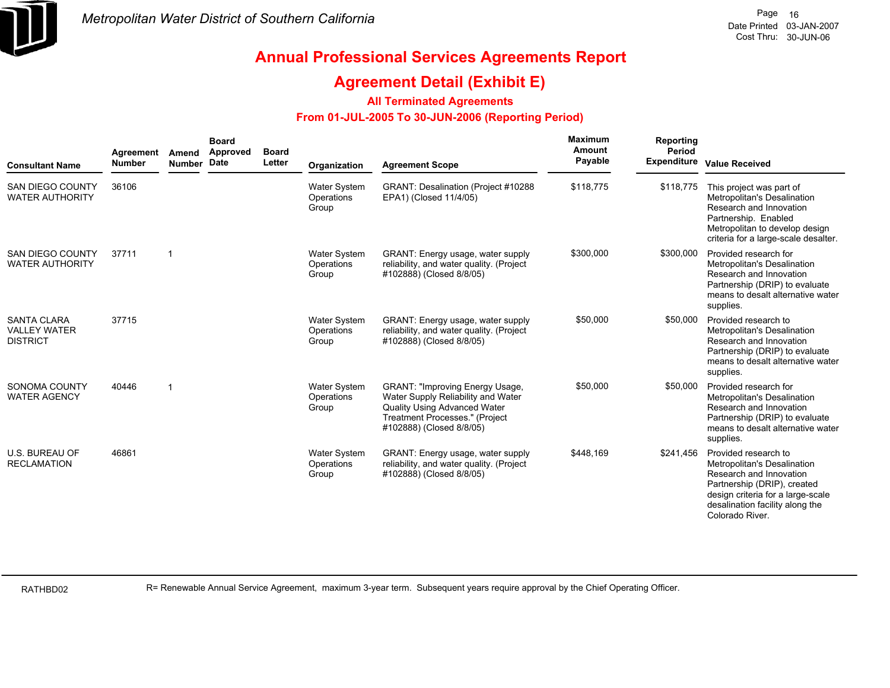

### **Agreement Detail (Exhibit E)**

#### **All Terminated Agreements**

#### **From 01-JUL-2005 To 30-JUN-2006 (Reporting Period)**

| <b>Consultant Name</b>                                       | Agreement<br><b>Number</b> | Amend<br>Number Date    | <b>Board</b><br>Approved | <b>Board</b><br>Letter | Organization                               | <b>Agreement Scope</b>                                                                                                                                                            | Maximum<br>Amount<br>Payable | Reporting<br>Period | <b>Expenditure Value Received</b>                                                                                                                                                                        |
|--------------------------------------------------------------|----------------------------|-------------------------|--------------------------|------------------------|--------------------------------------------|-----------------------------------------------------------------------------------------------------------------------------------------------------------------------------------|------------------------------|---------------------|----------------------------------------------------------------------------------------------------------------------------------------------------------------------------------------------------------|
| <b>SAN DIEGO COUNTY</b><br><b>WATER AUTHORITY</b>            | 36106                      |                         |                          |                        | Water System<br>Operations<br>Group        | GRANT: Desalination (Project #10288<br>EPA1) (Closed 11/4/05)                                                                                                                     | \$118,775                    | \$118,775           | This project was part of<br>Metropolitan's Desalination<br>Research and Innovation<br>Partnership. Enabled<br>Metropolitan to develop design<br>criteria for a large-scale desalter.                     |
| SAN DIEGO COUNTY<br><b>WATER AUTHORITY</b>                   | 37711                      | -1                      |                          |                        | <b>Water System</b><br>Operations<br>Group | GRANT: Energy usage, water supply<br>reliability, and water quality. (Project<br>#102888) (Closed 8/8/05)                                                                         | \$300,000                    | \$300,000           | Provided research for<br>Metropolitan's Desalination<br>Research and Innovation<br>Partnership (DRIP) to evaluate<br>means to desalt alternative water<br>supplies.                                      |
| <b>SANTA CLARA</b><br><b>VALLEY WATER</b><br><b>DISTRICT</b> | 37715                      |                         |                          |                        | Water System<br>Operations<br>Group        | GRANT: Energy usage, water supply<br>reliability, and water quality. (Project<br>#102888) (Closed 8/8/05)                                                                         | \$50,000                     | \$50,000            | Provided research to<br>Metropolitan's Desalination<br>Research and Innovation<br>Partnership (DRIP) to evaluate<br>means to desalt alternative water<br>supplies.                                       |
| SONOMA COUNTY<br><b>WATER AGENCY</b>                         | 40446                      | $\overline{\mathbf{1}}$ |                          |                        | <b>Water System</b><br>Operations<br>Group | <b>GRANT: "Improving Energy Usage,</b><br>Water Supply Reliability and Water<br><b>Quality Using Advanced Water</b><br>Treatment Processes." (Project<br>#102888) (Closed 8/8/05) | \$50,000                     | \$50,000            | Provided research for<br>Metropolitan's Desalination<br>Research and Innovation<br>Partnership (DRIP) to evaluate<br>means to desalt alternative water<br>supplies.                                      |
| <b>U.S. BUREAU OF</b><br><b>RECLAMATION</b>                  | 46861                      |                         |                          |                        | <b>Water System</b><br>Operations<br>Group | GRANT: Energy usage, water supply<br>reliability, and water quality. (Project<br>#102888) (Closed 8/8/05)                                                                         | \$448,169                    | \$241,456           | Provided research to<br>Metropolitan's Desalination<br>Research and Innovation<br>Partnership (DRIP), created<br>design criteria for a large-scale<br>desalination facility along the<br>Colorado River. |

RATHBD02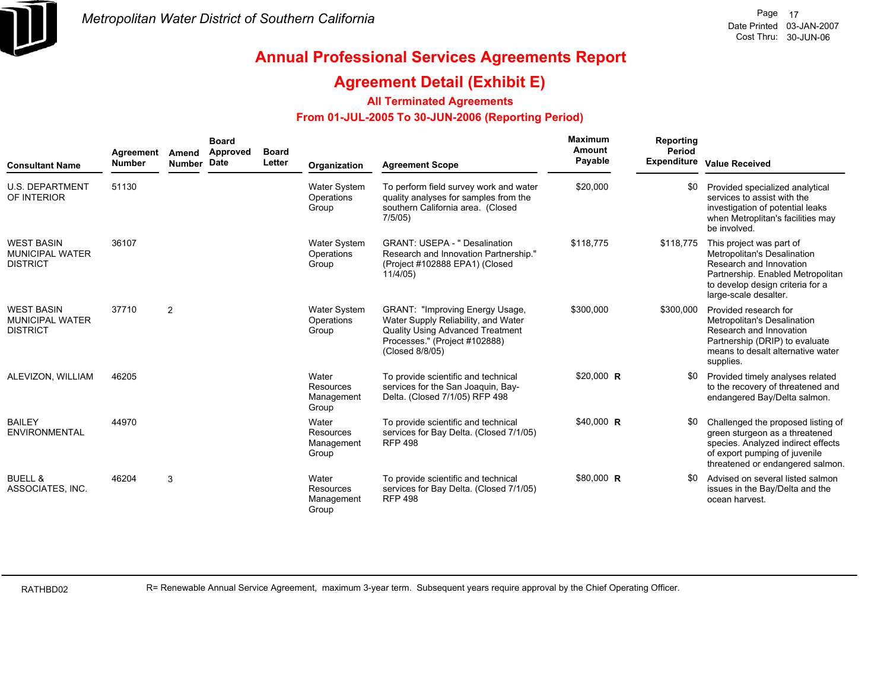

### **Agreement Detail (Exhibit E)**

#### **All Terminated Agreements**

#### **From 01-JUL-2005 To 30-JUN-2006 (Reporting Period)**

| <b>Consultant Name</b>                                         | Agreement<br><b>Number</b> | Amend<br>Number Date | <b>Board</b><br><b>Approved</b> | <b>Board</b><br>Letter | Organization                               | <b>Agreement Scope</b>                                                                                                                                                       | Maximum<br><b>Amount</b><br>Payable | Reporting<br>Period | Expenditure Value Received                                                                                                                                                           |
|----------------------------------------------------------------|----------------------------|----------------------|---------------------------------|------------------------|--------------------------------------------|------------------------------------------------------------------------------------------------------------------------------------------------------------------------------|-------------------------------------|---------------------|--------------------------------------------------------------------------------------------------------------------------------------------------------------------------------------|
| <b>U.S. DEPARTMENT</b><br>OF INTERIOR                          | 51130                      |                      |                                 |                        | <b>Water System</b><br>Operations<br>Group | To perform field survey work and water<br>quality analyses for samples from the<br>southern California area. (Closed<br>7/5/05                                               | \$20,000                            | \$0                 | Provided specialized analytical<br>services to assist with the<br>investigation of potential leaks<br>when Metroplitan's facilities may<br>be involved.                              |
| <b>WEST BASIN</b><br><b>MUNICIPAL WATER</b><br><b>DISTRICT</b> | 36107                      |                      |                                 |                        | Water System<br>Operations<br>Group        | <b>GRANT: USEPA - " Desalination</b><br>Research and Innovation Partnership."<br>(Project #102888 EPA1) (Closed<br>11/4/05)                                                  | \$118,775                           | \$118,775           | This project was part of<br>Metropolitan's Desalination<br>Research and Innovation<br>Partnership. Enabled Metropolitan<br>to develop design criteria for a<br>large-scale desalter. |
| <b>WEST BASIN</b><br><b>MUNICIPAL WATER</b><br><b>DISTRICT</b> | 37710                      | $\overline{2}$       |                                 |                        | Water System<br>Operations<br>Group        | <b>GRANT: "Improving Energy Usage,</b><br>Water Supply Reliability, and Water<br><b>Quality Using Advanced Treatment</b><br>Processes." (Project #102888)<br>(Closed 8/8/05) | \$300,000                           | \$300,000           | Provided research for<br>Metropolitan's Desalination<br>Research and Innovation<br>Partnership (DRIP) to evaluate<br>means to desalt alternative water<br>supplies.                  |
| ALEVIZON, WILLIAM                                              | 46205                      |                      |                                 |                        | Water<br>Resources<br>Management<br>Group  | To provide scientific and technical<br>services for the San Joaquin, Bay-<br>Delta. (Closed 7/1/05) RFP 498                                                                  | $$20,000$ R                         |                     | Provided timely analyses related<br>to the recovery of threatened and<br>endangered Bay/Delta salmon.                                                                                |
| <b>BAILEY</b><br><b>ENVIRONMENTAL</b>                          | 44970                      |                      |                                 |                        | Water<br>Resources<br>Management<br>Group  | To provide scientific and technical<br>services for Bay Delta. (Closed 7/1/05)<br><b>RFP 498</b>                                                                             | \$40,000 R                          |                     | Challenged the proposed listing of<br>green sturgeon as a threatened<br>species. Analyzed indirect effects<br>of export pumping of juvenile<br>threatened or endangered salmon.      |
| <b>BUELL &amp;</b><br>ASSOCIATES, INC.                         | 46204                      | 3                    |                                 |                        | Water<br>Resources<br>Management<br>Group  | To provide scientific and technical<br>services for Bay Delta. (Closed 7/1/05)<br><b>RFP 498</b>                                                                             | \$80,000 R                          | \$0                 | Advised on several listed salmon<br>issues in the Bay/Delta and the<br>ocean harvest.                                                                                                |

RATHBD02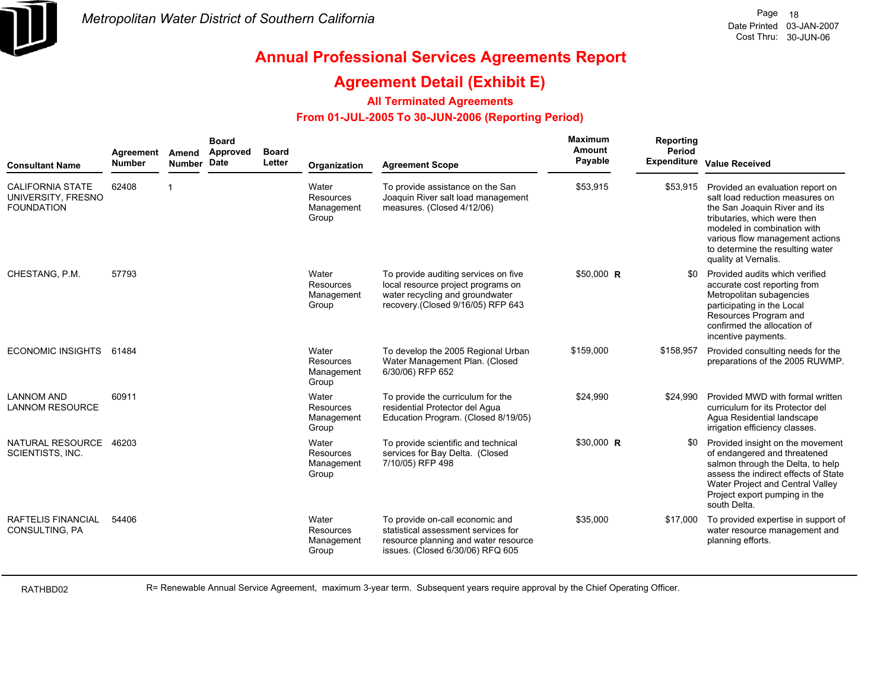

### **Agreement Detail (Exhibit E)**

#### **All Terminated Agreements**

#### **From 01-JUL-2005 To 30-JUN-2006 (Reporting Period)**

| <b>Consultant Name</b>                                             | Agreement<br><b>Number</b> | Amend<br>Number Date | <b>Board</b><br>Approved | <b>Board</b><br>Letter | Organization                                     | <b>Agreement Scope</b>                                                                                                                             | Maximum<br><b>Amount</b><br>Payable | Reporting<br>Period<br><b>Expenditure</b> | <b>Value Received</b>                                                                                                                                                                                                                                              |
|--------------------------------------------------------------------|----------------------------|----------------------|--------------------------|------------------------|--------------------------------------------------|----------------------------------------------------------------------------------------------------------------------------------------------------|-------------------------------------|-------------------------------------------|--------------------------------------------------------------------------------------------------------------------------------------------------------------------------------------------------------------------------------------------------------------------|
| <b>CALIFORNIA STATE</b><br>UNIVERSITY, FRESNO<br><b>FOUNDATION</b> | 62408                      | 1                    |                          |                        | Water<br>Resources<br>Management<br>Group        | To provide assistance on the San<br>Joaquin River salt load management<br>measures. (Closed 4/12/06)                                               | \$53,915                            | \$53,915                                  | Provided an evaluation report on<br>salt load reduction measures on<br>the San Joaquin River and its<br>tributaries, which were then<br>modeled in combination with<br>various flow management actions<br>to determine the resulting water<br>quality at Vernalis. |
| CHESTANG, P.M.                                                     | 57793                      |                      |                          |                        | Water<br>Resources<br>Management<br>Group        | To provide auditing services on five<br>local resource project programs on<br>water recycling and groundwater<br>recovery (Closed 9/16/05) RFP 643 | $$50,000$ R                         | \$0                                       | Provided audits which verified<br>accurate cost reporting from<br>Metropolitan subagencies<br>participating in the Local<br>Resources Program and<br>confirmed the allocation of<br>incentive payments.                                                            |
| ECONOMIC INSIGHTS 61484                                            |                            |                      |                          |                        | Water<br>Resources<br>Management<br>Group        | To develop the 2005 Regional Urban<br>Water Management Plan. (Closed<br>6/30/06) RFP 652                                                           | \$159,000                           | \$158,957                                 | Provided consulting needs for the<br>preparations of the 2005 RUWMP.                                                                                                                                                                                               |
| <b>LANNOM AND</b><br><b>LANNOM RESOURCE</b>                        | 60911                      |                      |                          |                        | Water<br>Resources<br>Management<br>Group        | To provide the curriculum for the<br>residential Protector del Aqua<br>Education Program. (Closed 8/19/05)                                         | \$24,990                            | \$24,990                                  | Provided MWD with formal written<br>curriculum for its Protector del<br>Agua Residential landscape<br>irrigation efficiency classes.                                                                                                                               |
| NATURAL RESOURCE<br><b>SCIENTISTS, INC.</b>                        | 46203                      |                      |                          |                        | Water<br><b>Resources</b><br>Management<br>Group | To provide scientific and technical<br>services for Bay Delta. (Closed<br>7/10/05) RFP 498                                                         | \$30,000 R                          | \$0                                       | Provided insight on the movement<br>of endangered and threatened<br>salmon through the Delta, to help<br>assess the indirect effects of State<br>Water Project and Central Valley<br>Project export pumping in the<br>south Delta.                                 |
| RAFTELIS FINANCIAL<br>CONSULTING, PA                               | 54406                      |                      |                          |                        | Water<br>Resources<br>Management<br>Group        | To provide on-call economic and<br>statistical assessment services for<br>resource planning and water resource<br>issues. (Closed 6/30/06) RFQ 605 | \$35,000                            | \$17,000                                  | To provided expertise in support of<br>water resource management and<br>planning efforts.                                                                                                                                                                          |

RATHBD02